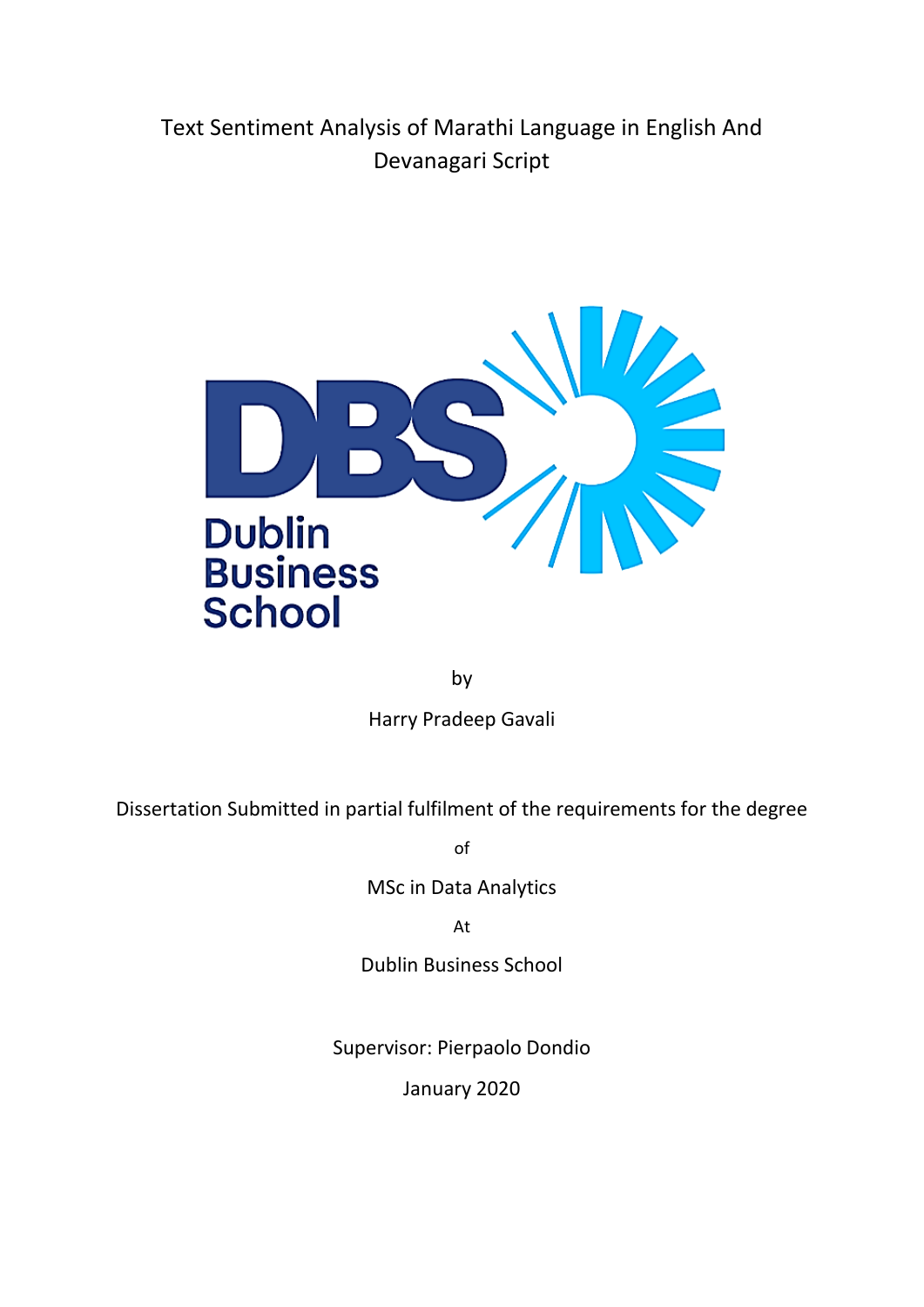# Text Sentiment Analysis of Marathi Language in English And Devanagari Script



by

Harry Pradeep Gavali

Dissertation Submitted in partial fulfilment of the requirements for the degree

of

MSc in Data Analytics

At

Dublin Business School

Supervisor: Pierpaolo Dondio

January 2020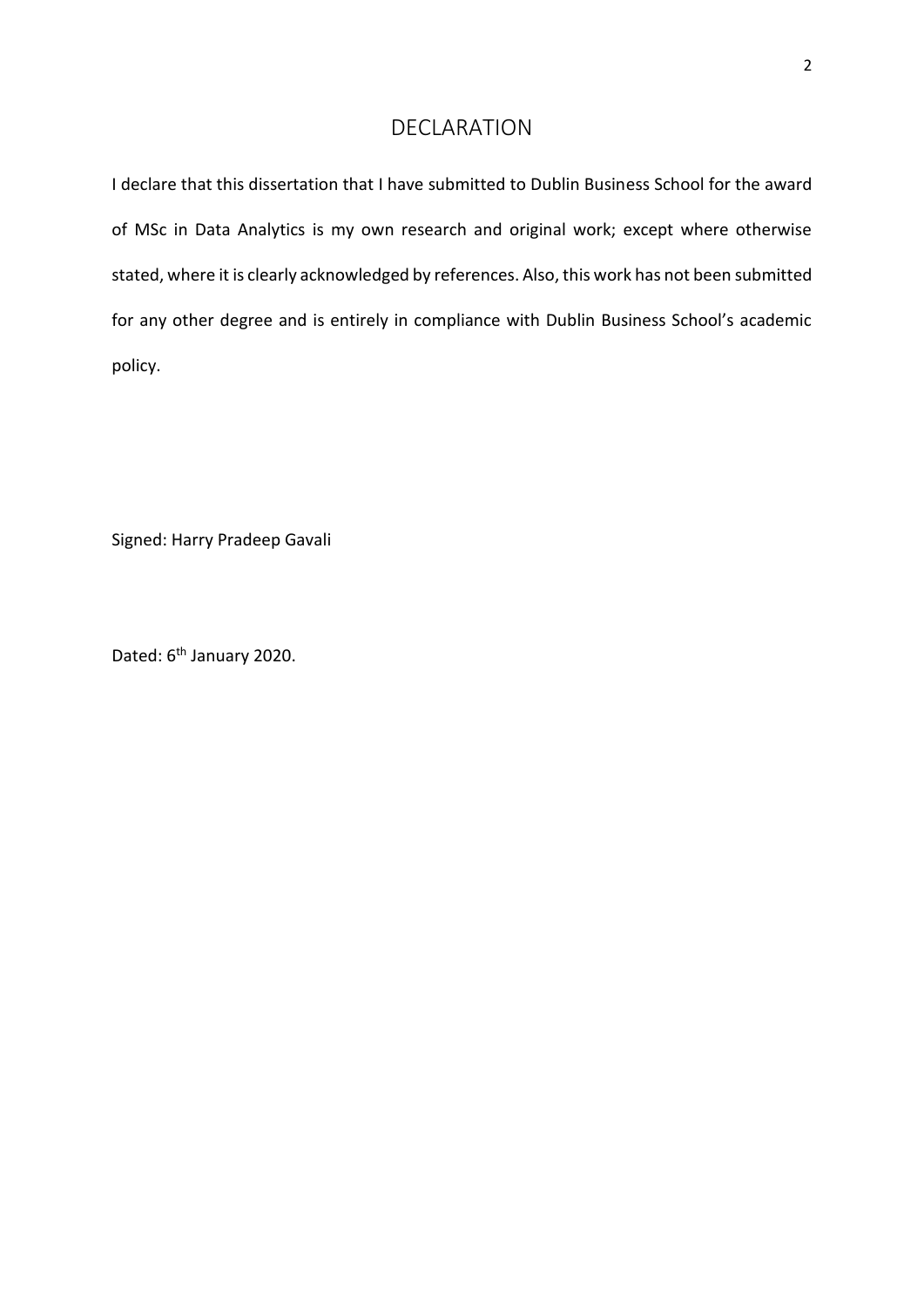# DECLARATION

<span id="page-1-0"></span>I declare that this dissertation that I have submitted to Dublin Business School for the award of MSc in Data Analytics is my own research and original work; except where otherwise stated, where it is clearly acknowledged by references. Also, this work has not been submitted for any other degree and is entirely in compliance with Dublin Business School's academic policy.

Signed: Harry Pradeep Gavali

Dated: 6<sup>th</sup> January 2020.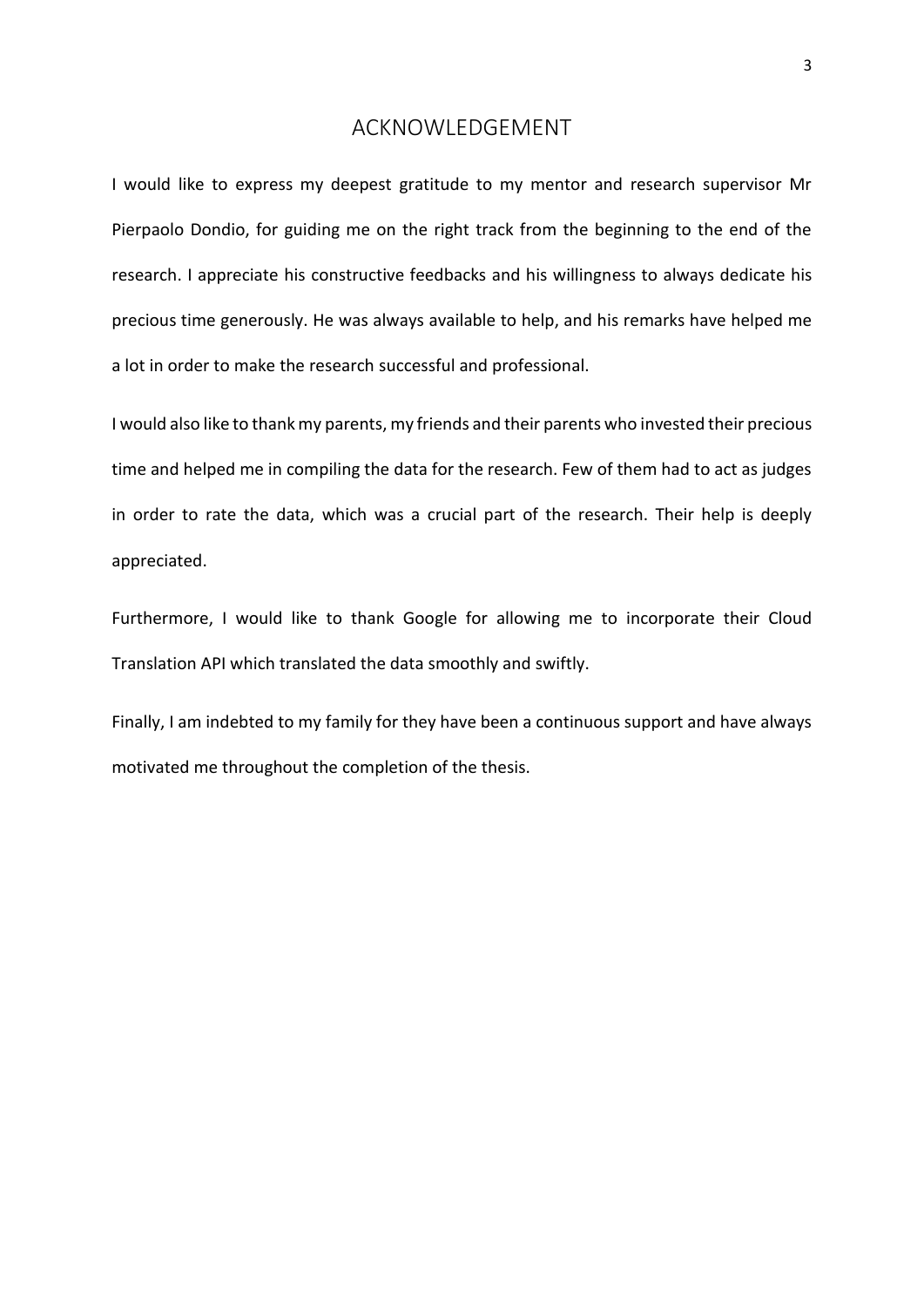### ACKNOWLEDGEMENT

<span id="page-2-0"></span>I would like to express my deepest gratitude to my mentor and research supervisor Mr Pierpaolo Dondio, for guiding me on the right track from the beginning to the end of the research. I appreciate his constructive feedbacks and his willingness to always dedicate his precious time generously. He was always available to help, and his remarks have helped me a lot in order to make the research successful and professional.

I would also like to thank my parents, my friends and their parents who invested their precious time and helped me in compiling the data for the research. Few of them had to act as judges in order to rate the data, which was a crucial part of the research. Their help is deeply appreciated.

Furthermore, I would like to thank Google for allowing me to incorporate their Cloud Translation API which translated the data smoothly and swiftly.

Finally, I am indebted to my family for they have been a continuous support and have always motivated me throughout the completion of the thesis.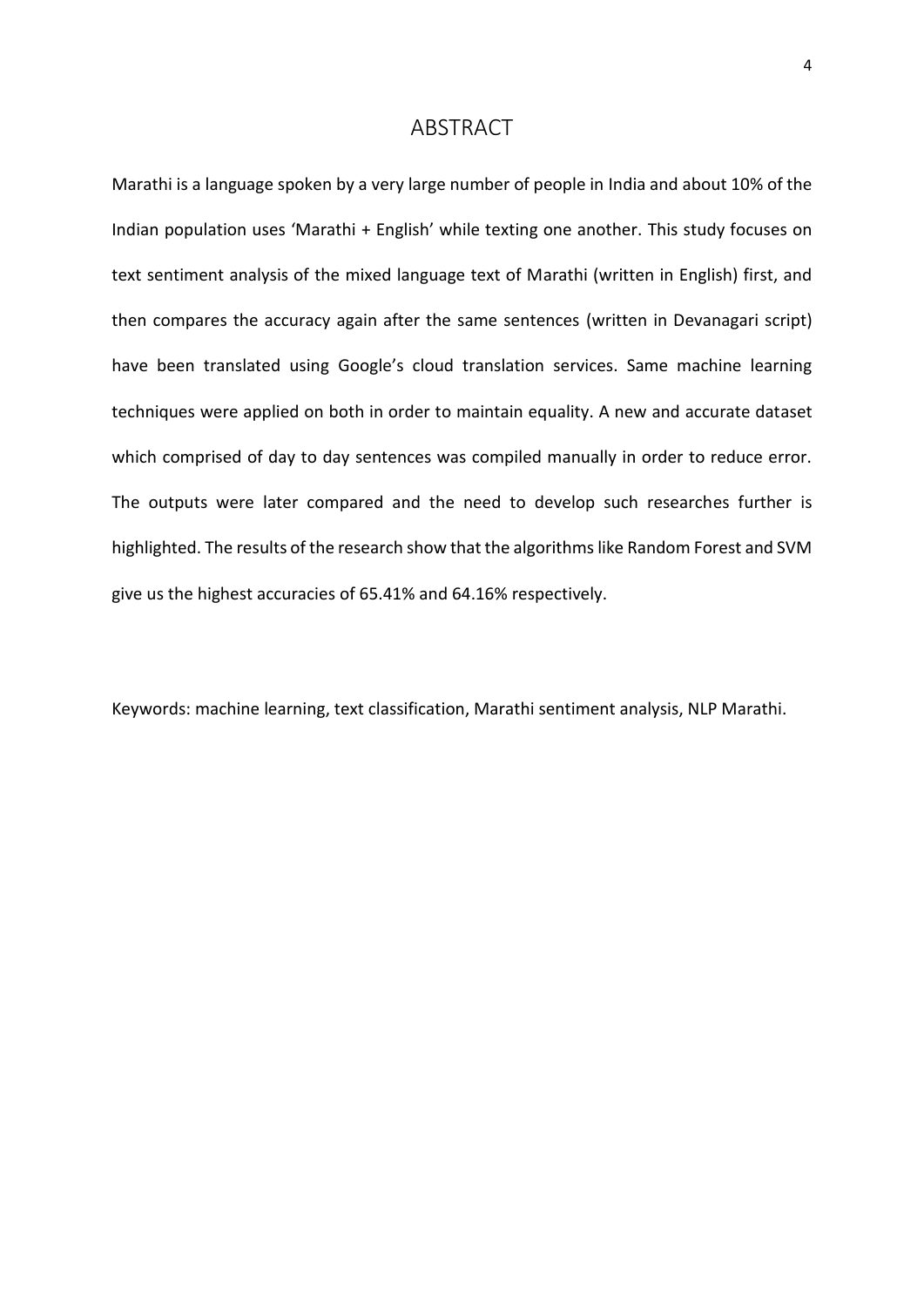### ABSTRACT

<span id="page-3-0"></span>Marathi is a language spoken by a very large number of people in India and about 10% of the Indian population uses 'Marathi + English' while texting one another. This study focuses on text sentiment analysis of the mixed language text of Marathi (written in English) first, and then compares the accuracy again after the same sentences (written in Devanagari script) have been translated using Google's cloud translation services. Same machine learning techniques were applied on both in order to maintain equality. A new and accurate dataset which comprised of day to day sentences was compiled manually in order to reduce error. The outputs were later compared and the need to develop such researches further is highlighted. The results of the research show that the algorithms like Random Forest and SVM give us the highest accuracies of 65.41% and 64.16% respectively.

Keywords: machine learning, text classification, Marathi sentiment analysis, NLP Marathi.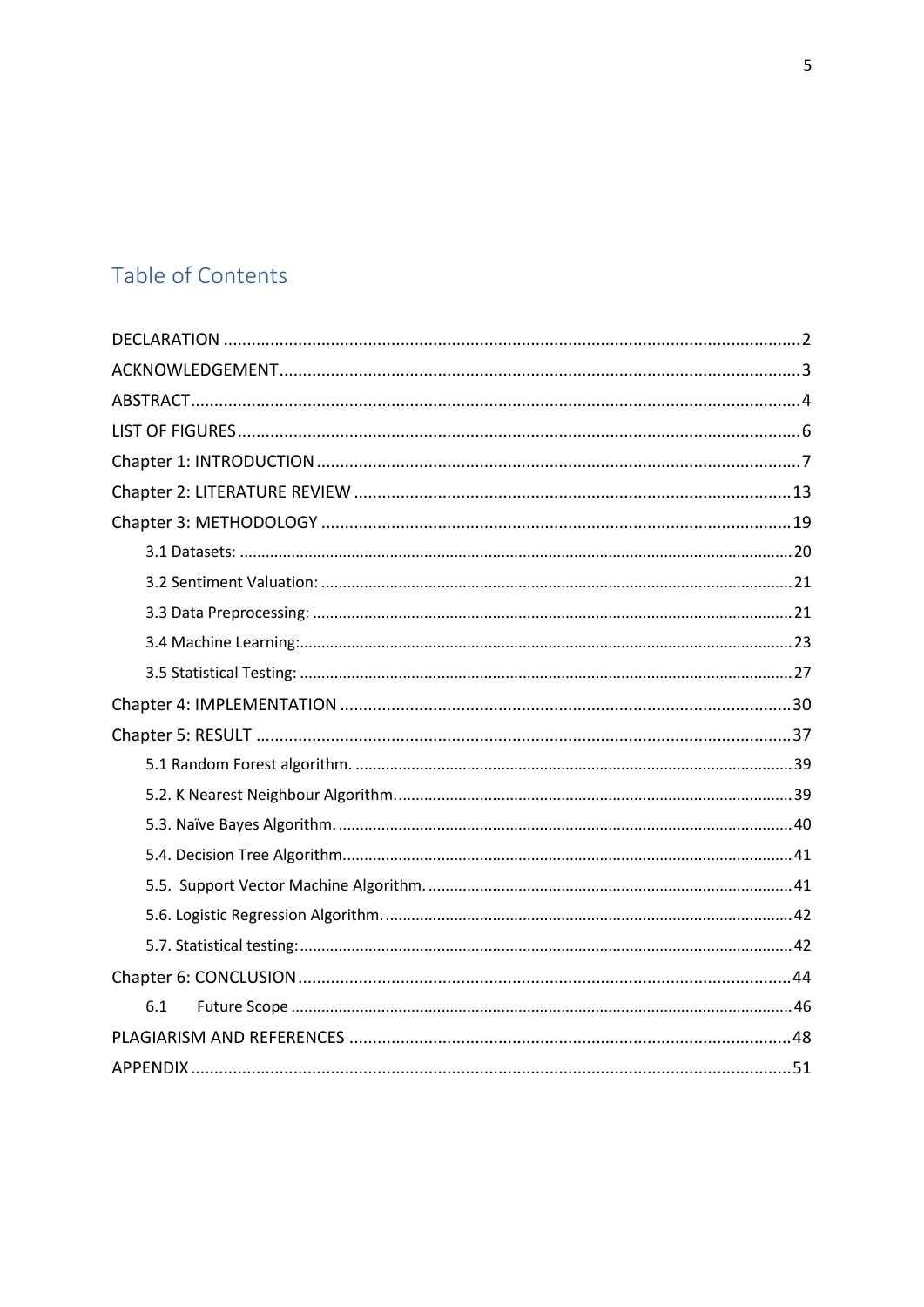# Table of Contents

| 6.1 |
|-----|
|     |
|     |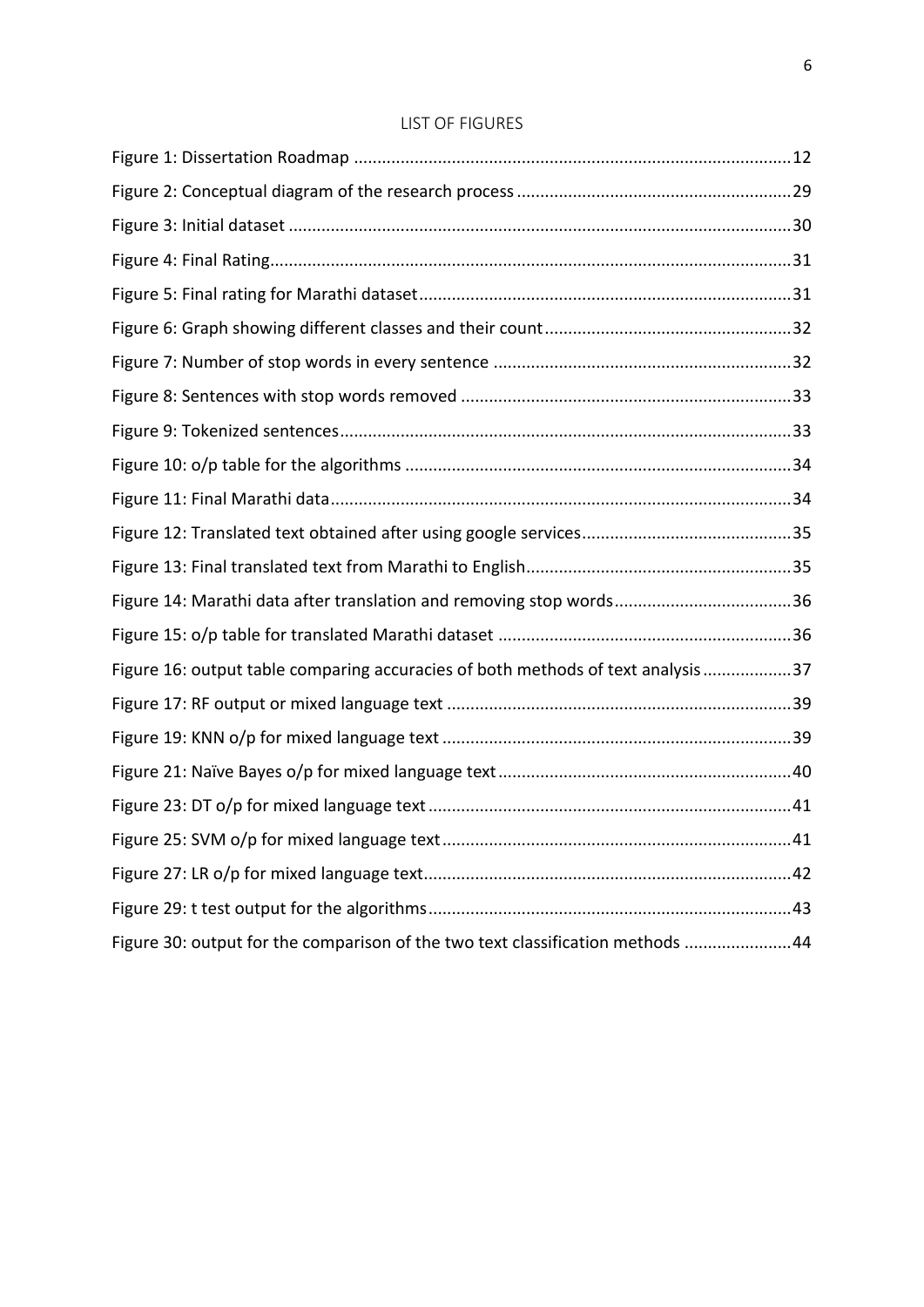### LIST OF FIGURES

<span id="page-5-0"></span>

| Figure 14: Marathi data after translation and removing stop words36             |  |
|---------------------------------------------------------------------------------|--|
|                                                                                 |  |
| Figure 16: output table comparing accuracies of both methods of text analysis37 |  |
|                                                                                 |  |
|                                                                                 |  |
|                                                                                 |  |
|                                                                                 |  |
|                                                                                 |  |
|                                                                                 |  |
|                                                                                 |  |
| Figure 30: output for the comparison of the two text classification methods 44  |  |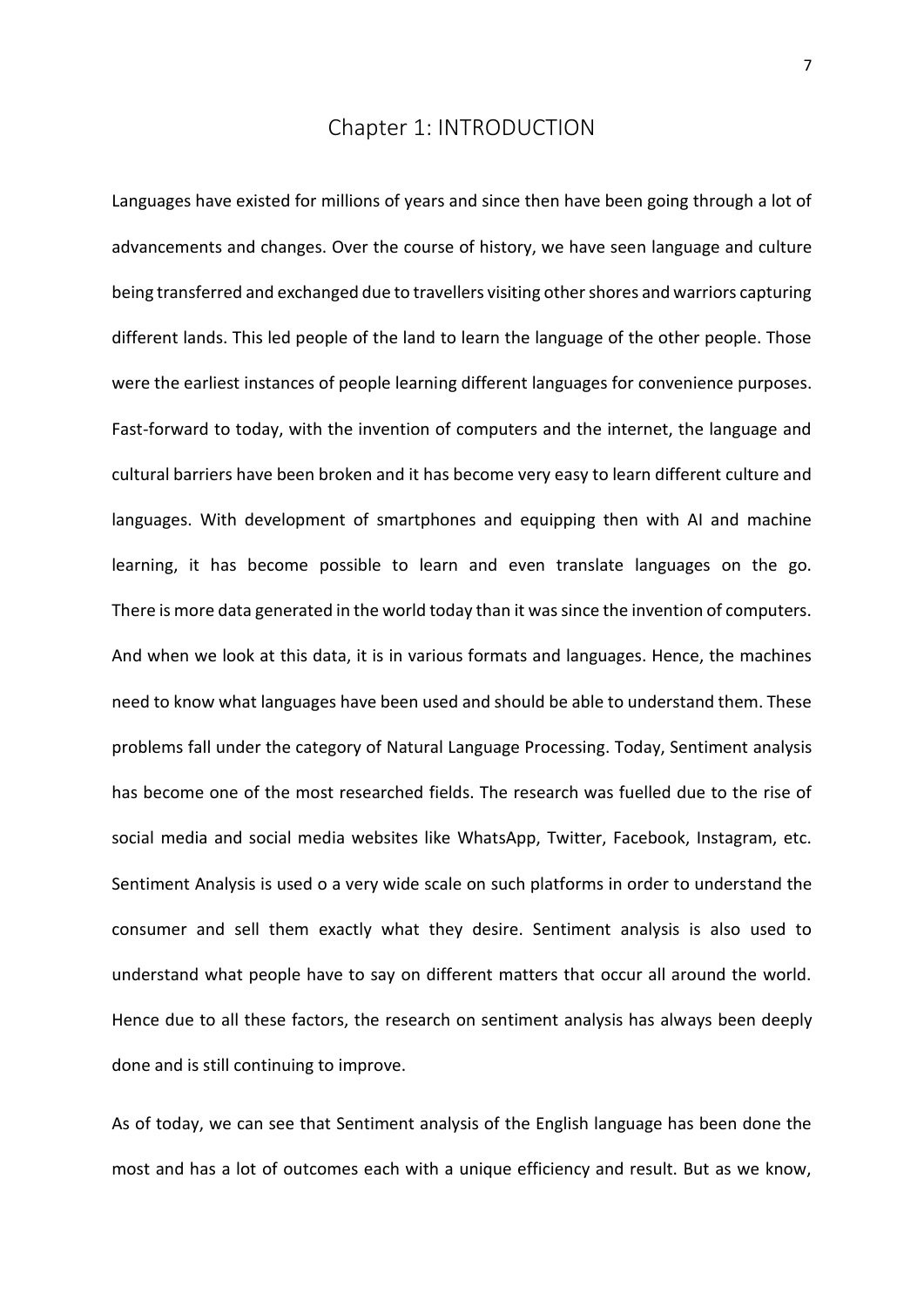## Chapter 1: INTRODUCTION

<span id="page-6-0"></span>Languages have existed for millions of years and since then have been going through a lot of advancements and changes. Over the course of history, we have seen language and culture being transferred and exchanged due to travellers visiting other shores and warriors capturing different lands. This led people of the land to learn the language of the other people. Those were the earliest instances of people learning different languages for convenience purposes. Fast-forward to today, with the invention of computers and the internet, the language and cultural barriers have been broken and it has become very easy to learn different culture and languages. With development of smartphones and equipping then with AI and machine learning, it has become possible to learn and even translate languages on the go. There is more data generated in the world today than it was since the invention of computers. And when we look at this data, it is in various formats and languages. Hence, the machines need to know what languages have been used and should be able to understand them. These problems fall under the category of Natural Language Processing. Today, Sentiment analysis has become one of the most researched fields. The research was fuelled due to the rise of social media and social media websites like WhatsApp, Twitter, Facebook, Instagram, etc. Sentiment Analysis is used o a very wide scale on such platforms in order to understand the consumer and sell them exactly what they desire. Sentiment analysis is also used to understand what people have to say on different matters that occur all around the world. Hence due to all these factors, the research on sentiment analysis has always been deeply done and is still continuing to improve.

As of today, we can see that Sentiment analysis of the English language has been done the most and has a lot of outcomes each with a unique efficiency and result. But as we know,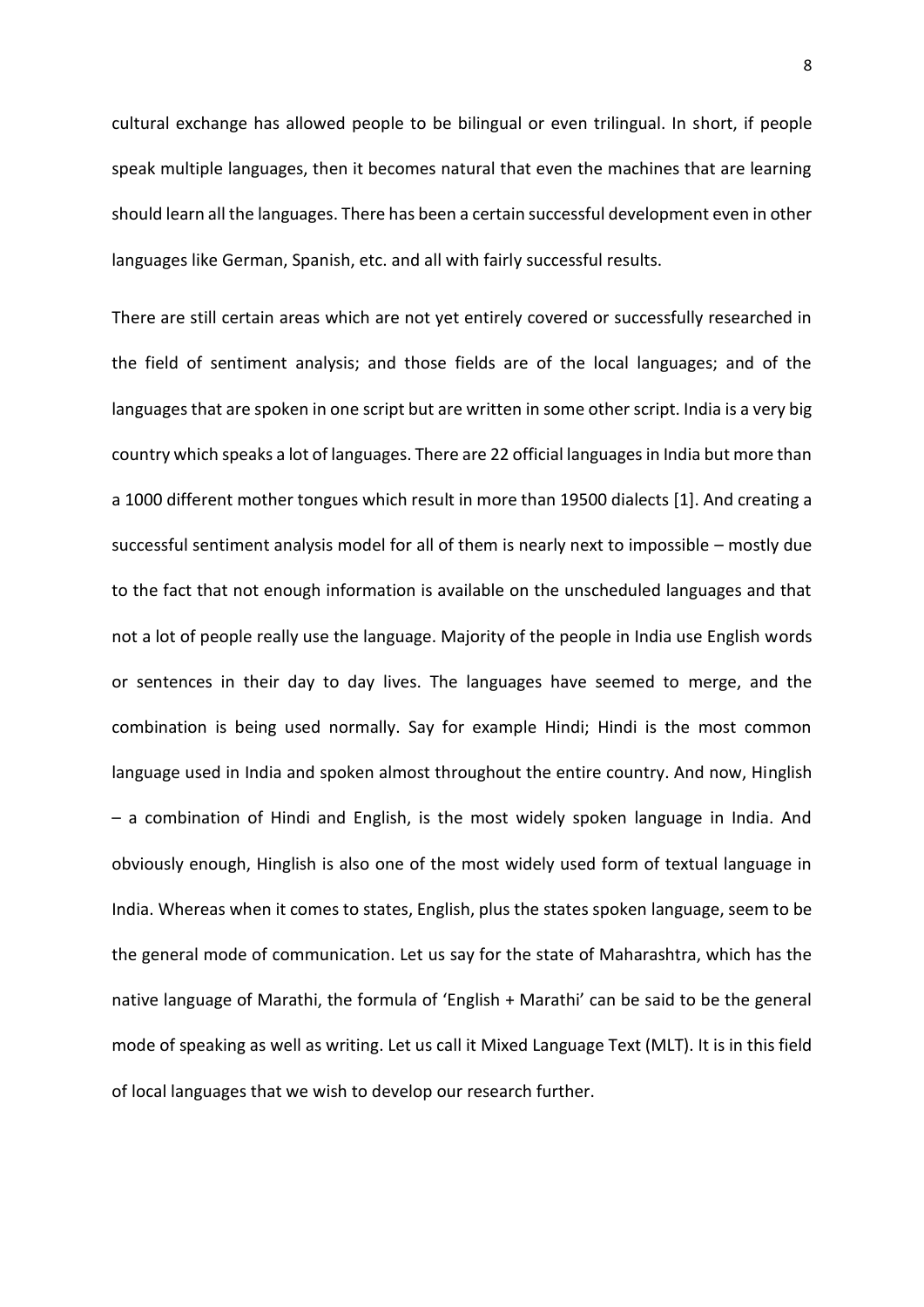cultural exchange has allowed people to be bilingual or even trilingual. In short, if people speak multiple languages, then it becomes natural that even the machines that are learning should learn all the languages. There has been a certain successful development even in other languages like German, Spanish, etc. and all with fairly successful results.

There are still certain areas which are not yet entirely covered or successfully researched in the field of sentiment analysis; and those fields are of the local languages; and of the languages that are spoken in one script but are written in some other script. India is a very big country which speaks a lot of languages. There are 22 official languages in India but more than a 1000 different mother tongues which result in more than 19500 dialects [1]. And creating a successful sentiment analysis model for all of them is nearly next to impossible – mostly due to the fact that not enough information is available on the unscheduled languages and that not a lot of people really use the language. Majority of the people in India use English words or sentences in their day to day lives. The languages have seemed to merge, and the combination is being used normally. Say for example Hindi; Hindi is the most common language used in India and spoken almost throughout the entire country. And now, Hinglish – a combination of Hindi and English, is the most widely spoken language in India. And obviously enough, Hinglish is also one of the most widely used form of textual language in India. Whereas when it comes to states, English, plus the states spoken language, seem to be the general mode of communication. Let us say for the state of Maharashtra, which has the native language of Marathi, the formula of 'English + Marathi' can be said to be the general mode of speaking as well as writing. Let us call it Mixed Language Text (MLT). It is in this field of local languages that we wish to develop our research further.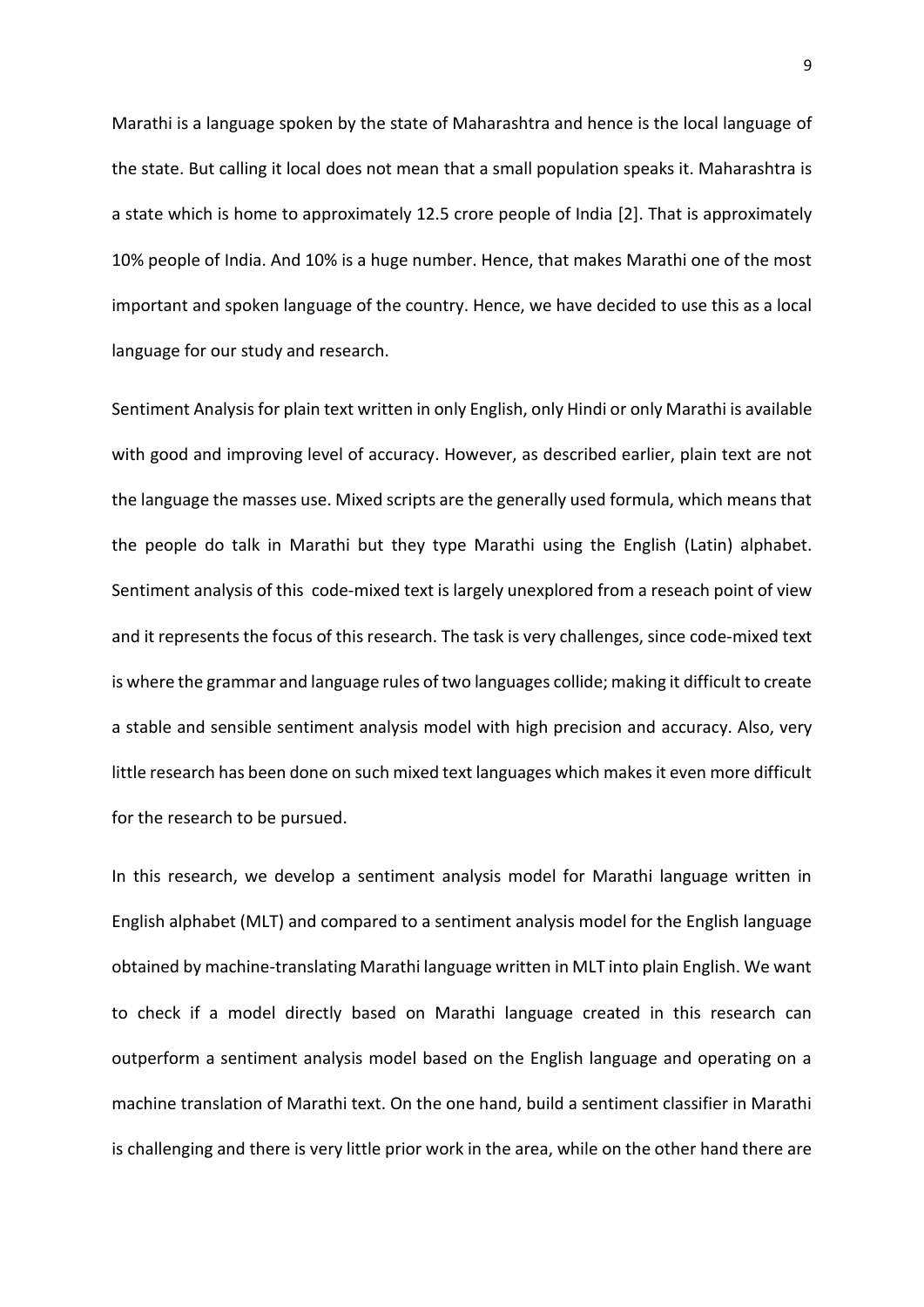Marathi is a language spoken by the state of Maharashtra and hence is the local language of the state. But calling it local does not mean that a small population speaks it. Maharashtra is a state which is home to approximately 12.5 crore people of India [2]. That is approximately 10% people of India. And 10% is a huge number. Hence, that makes Marathi one of the most important and spoken language of the country. Hence, we have decided to use this as a local language for our study and research.

Sentiment Analysis for plain text written in only English, only Hindi or only Marathi is available with good and improving level of accuracy. However, as described earlier, plain text are not the language the masses use. Mixed scripts are the generally used formula, which means that the people do talk in Marathi but they type Marathi using the English (Latin) alphabet. Sentiment analysis of this code-mixed text is largely unexplored from a reseach point of view and it represents the focus of this research. The task is very challenges, since code-mixed text is where the grammar and language rules of two languages collide; making it difficult to create a stable and sensible sentiment analysis model with high precision and accuracy. Also, very little research has been done on such mixed text languages which makes it even more difficult for the research to be pursued.

In this research, we develop a sentiment analysis model for Marathi language written in English alphabet (MLT) and compared to a sentiment analysis model for the English language obtained by machine-translating Marathi language written in MLT into plain English. We want to check if a model directly based on Marathi language created in this research can outperform a sentiment analysis model based on the English language and operating on a machine translation of Marathi text. On the one hand, build a sentiment classifier in Marathi is challenging and there is very little prior work in the area, while on the other hand there are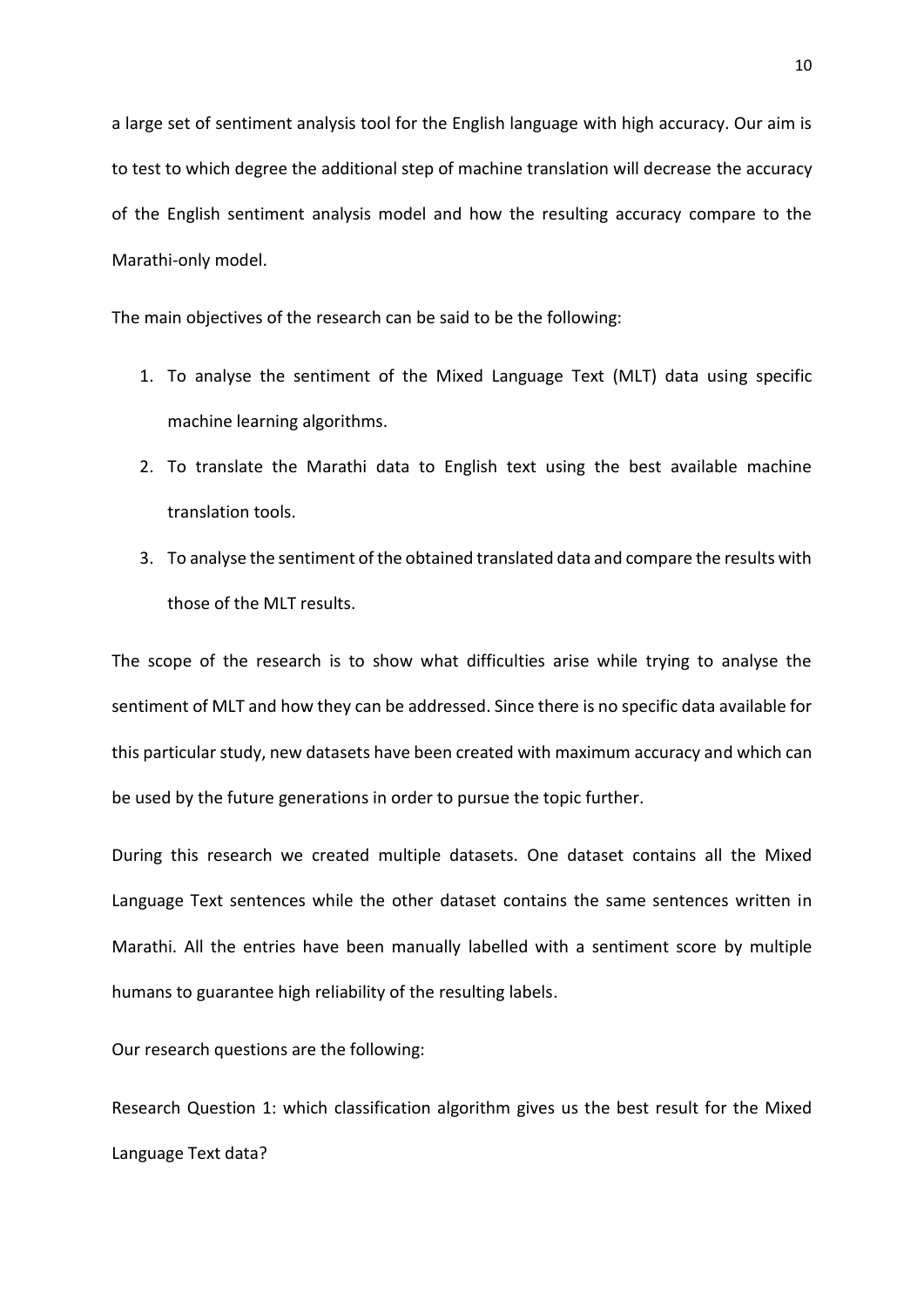a large set of sentiment analysis tool for the English language with high accuracy. Our aim is to test to which degree the additional step of machine translation will decrease the accuracy of the English sentiment analysis model and how the resulting accuracy compare to the Marathi-only model.

The main objectives of the research can be said to be the following:

- 1. To analyse the sentiment of the Mixed Language Text (MLT) data using specific machine learning algorithms.
- 2. To translate the Marathi data to English text using the best available machine translation tools.
- 3. To analyse the sentiment of the obtained translated data and compare the results with those of the MLT results.

The scope of the research is to show what difficulties arise while trying to analyse the sentiment of MLT and how they can be addressed. Since there is no specific data available for this particular study, new datasets have been created with maximum accuracy and which can be used by the future generations in order to pursue the topic further.

During this research we created multiple datasets. One dataset contains all the Mixed Language Text sentences while the other dataset contains the same sentences written in Marathi. All the entries have been manually labelled with a sentiment score by multiple humans to guarantee high reliability of the resulting labels.

Our research questions are the following:

Research Question 1: which classification algorithm gives us the best result for the Mixed Language Text data?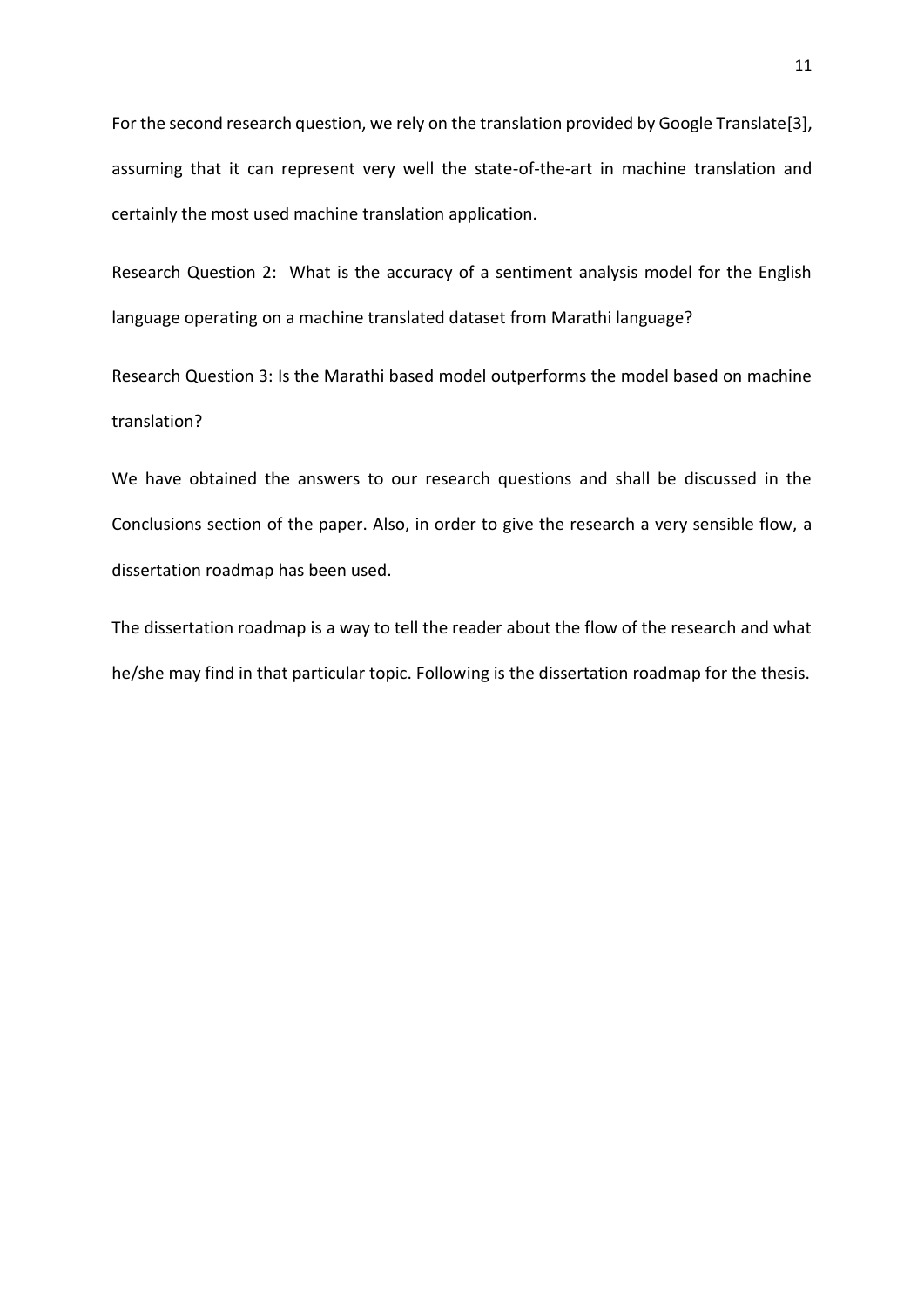For the second research question, we rely on the translation provided by Google Translate[3], assuming that it can represent very well the state-of-the-art in machine translation and certainly the most used machine translation application.

Research Question 2: What is the accuracy of a sentiment analysis model for the English language operating on a machine translated dataset from Marathi language?

Research Question 3: Is the Marathi based model outperforms the model based on machine translation?

We have obtained the answers to our research questions and shall be discussed in the Conclusions section of the paper. Also, in order to give the research a very sensible flow, a dissertation roadmap has been used.

The dissertation roadmap is a way to tell the reader about the flow of the research and what he/she may find in that particular topic. Following is the dissertation roadmap for the thesis.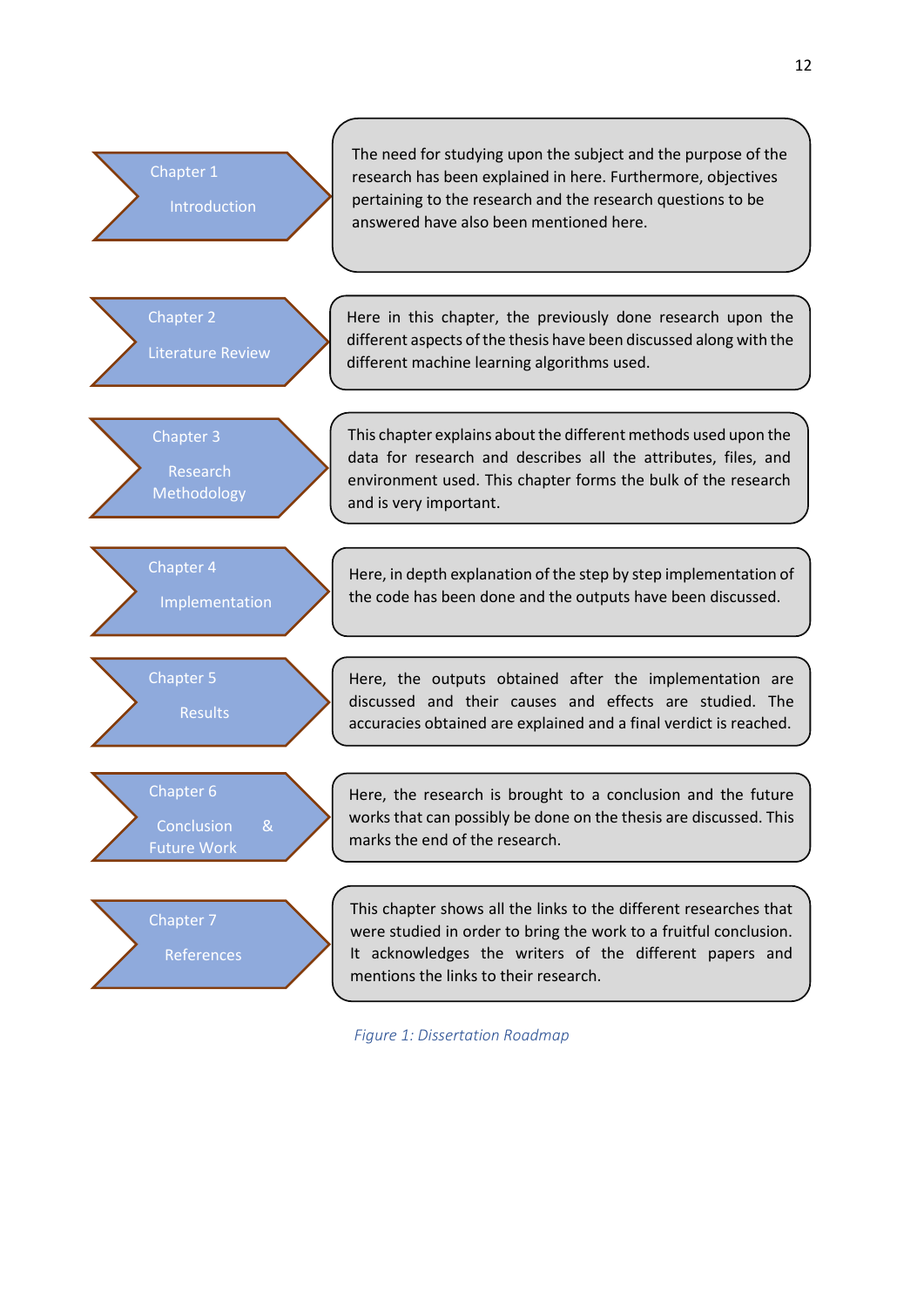

<span id="page-11-0"></span>*Figure 1: Dissertation Roadmap*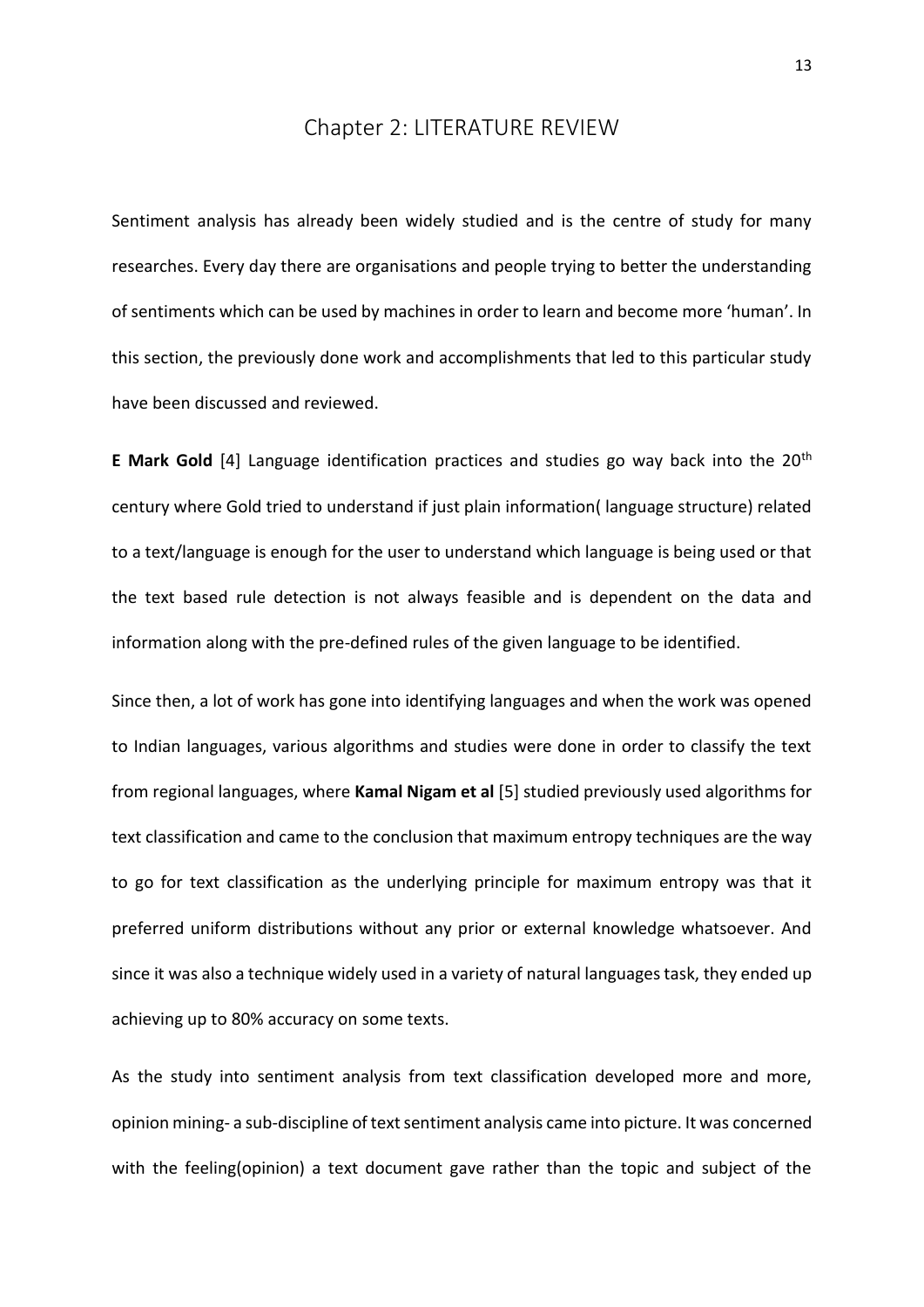## Chapter 2: LITERATURE REVIEW

<span id="page-12-0"></span>Sentiment analysis has already been widely studied and is the centre of study for many researches. Every day there are organisations and people trying to better the understanding of sentiments which can be used by machines in order to learn and become more 'human'. In this section, the previously done work and accomplishments that led to this particular study have been discussed and reviewed.

**E Mark Gold** [4] Language identification practices and studies go way back into the 20th century where Gold tried to understand if just plain information( language structure) related to a text/language is enough for the user to understand which language is being used or that the text based rule detection is not always feasible and is dependent on the data and information along with the pre-defined rules of the given language to be identified.

Since then, a lot of work has gone into identifying languages and when the work was opened to Indian languages, various algorithms and studies were done in order to classify the text from regional languages, where **Kamal Nigam et al** [5] studied previously used algorithms for text classification and came to the conclusion that maximum entropy techniques are the way to go for text classification as the underlying principle for maximum entropy was that it preferred uniform distributions without any prior or external knowledge whatsoever. And since it was also a technique widely used in a variety of natural languages task, they ended up achieving up to 80% accuracy on some texts.

As the study into sentiment analysis from text classification developed more and more, opinion mining- a sub-discipline of text sentiment analysis came into picture. It was concerned with the feeling(opinion) a text document gave rather than the topic and subject of the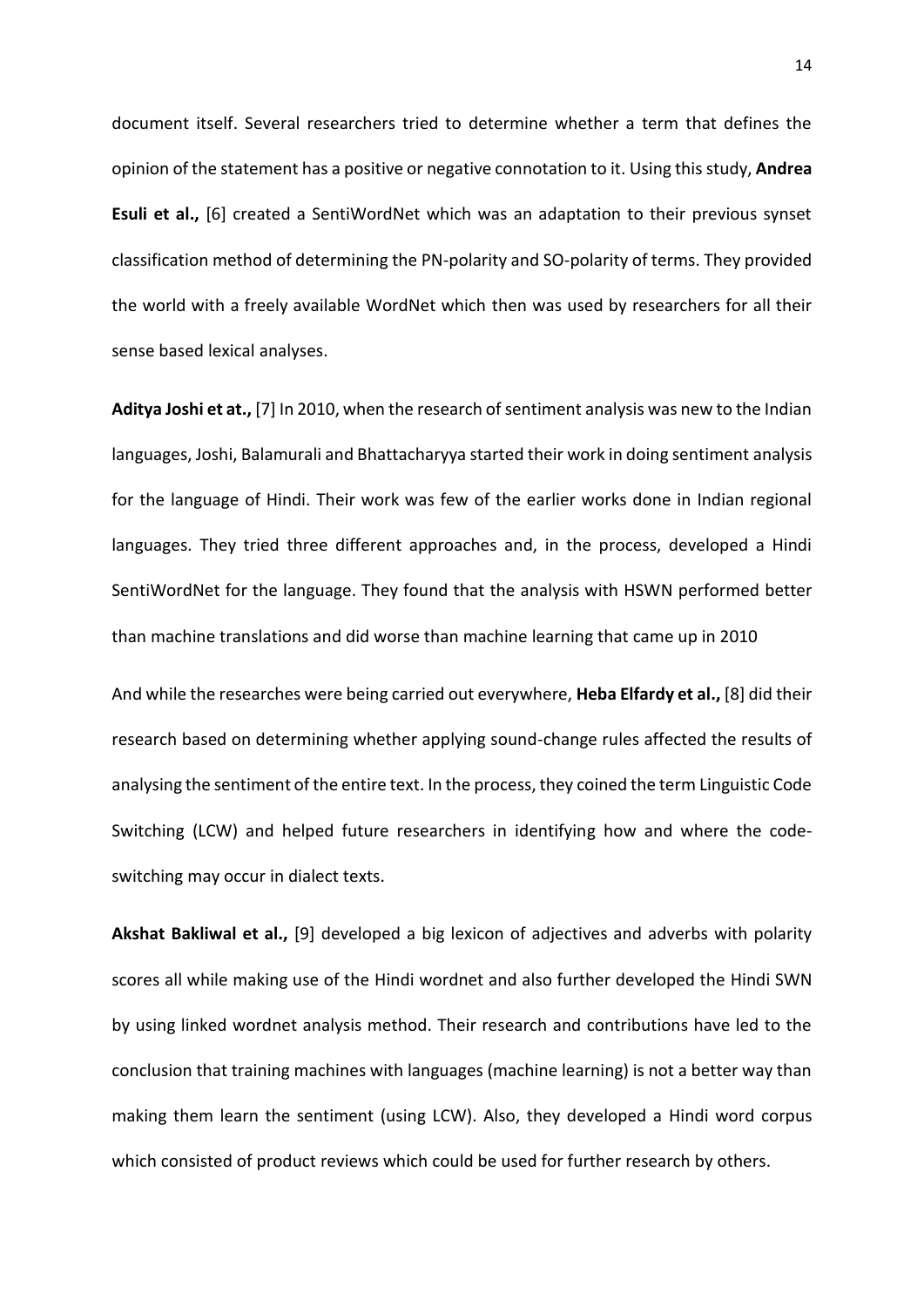document itself. Several researchers tried to determine whether a term that defines the opinion of the statement has a positive or negative connotation to it. Using this study, **Andrea Esuli et al.,** [6] created a SentiWordNet which was an adaptation to their previous synset classification method of determining the PN-polarity and SO-polarity of terms. They provided the world with a freely available WordNet which then was used by researchers for all their sense based lexical analyses.

**Aditya Joshi et at.,** [7] In 2010, when the research of sentiment analysis was new to the Indian languages, Joshi, Balamurali and Bhattacharyya started their work in doing sentiment analysis for the language of Hindi. Their work was few of the earlier works done in Indian regional languages. They tried three different approaches and, in the process, developed a Hindi SentiWordNet for the language. They found that the analysis with HSWN performed better than machine translations and did worse than machine learning that came up in 2010

And while the researches were being carried out everywhere, **Heba Elfardy et al.,** [8] did their research based on determining whether applying sound-change rules affected the results of analysing the sentiment of the entire text. In the process, they coined the term Linguistic Code Switching (LCW) and helped future researchers in identifying how and where the codeswitching may occur in dialect texts.

**Akshat Bakliwal et al.,** [9] developed a big lexicon of adjectives and adverbs with polarity scores all while making use of the Hindi wordnet and also further developed the Hindi SWN by using linked wordnet analysis method. Their research and contributions have led to the conclusion that training machines with languages (machine learning) is not a better way than making them learn the sentiment (using LCW). Also, they developed a Hindi word corpus which consisted of product reviews which could be used for further research by others.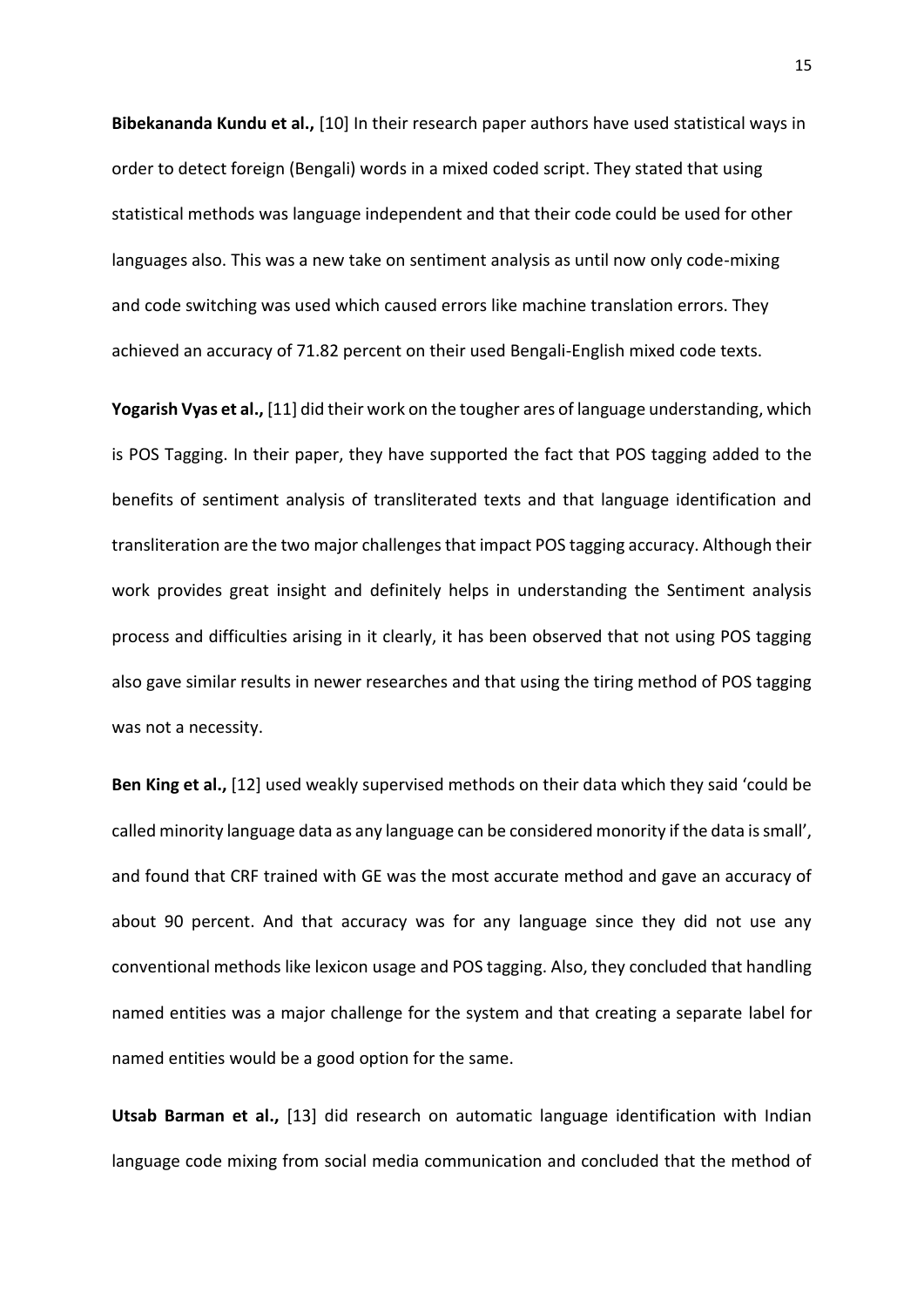**Bibekananda Kundu et al.,** [10] In their research paper authors have used statistical ways in order to detect foreign (Bengali) words in a mixed coded script. They stated that using statistical methods was language independent and that their code could be used for other languages also. This was a new take on sentiment analysis as until now only code-mixing and code switching was used which caused errors like machine translation errors. They achieved an accuracy of 71.82 percent on their used Bengali-English mixed code texts.

**Yogarish Vyas et al.,** [11] did their work on the tougher ares of language understanding, which is POS Tagging. In their paper, they have supported the fact that POS tagging added to the benefits of sentiment analysis of transliterated texts and that language identification and transliteration are the two major challenges that impact POS tagging accuracy. Although their work provides great insight and definitely helps in understanding the Sentiment analysis process and difficulties arising in it clearly, it has been observed that not using POS tagging also gave similar results in newer researches and that using the tiring method of POS tagging was not a necessity.

**Ben King et al.,** [12] used weakly supervised methods on their data which they said 'could be called minority language data as any language can be considered monority if the data is small', and found that CRF trained with GE was the most accurate method and gave an accuracy of about 90 percent. And that accuracy was for any language since they did not use any conventional methods like lexicon usage and POS tagging. Also, they concluded that handling named entities was a major challenge for the system and that creating a separate label for named entities would be a good option for the same.

**Utsab Barman et al.,** [13] did research on automatic language identification with Indian language code mixing from social media communication and concluded that the method of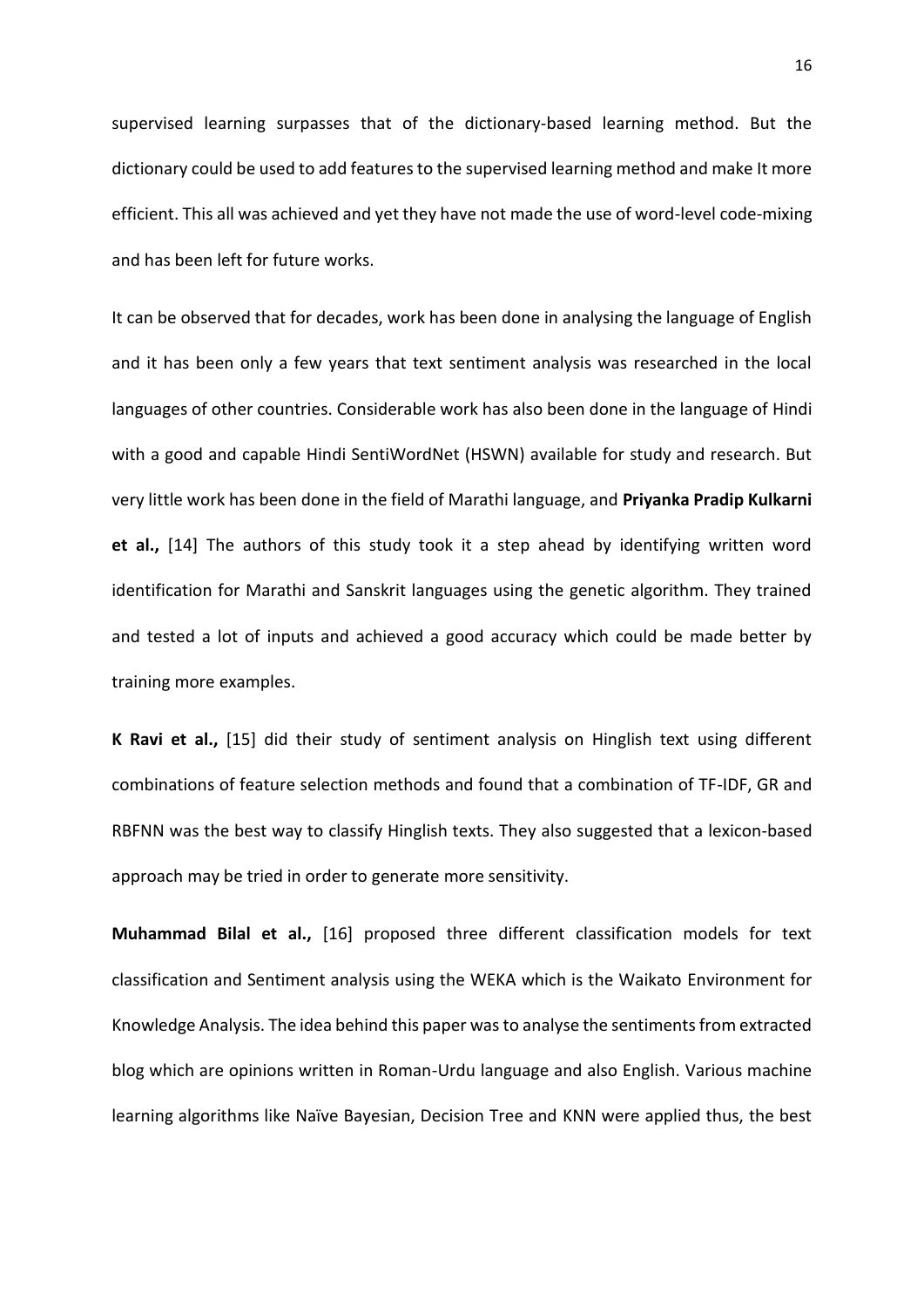supervised learning surpasses that of the dictionary-based learning method. But the dictionary could be used to add features to the supervised learning method and make It more efficient. This all was achieved and yet they have not made the use of word-level code-mixing and has been left for future works.

It can be observed that for decades, work has been done in analysing the language of English and it has been only a few years that text sentiment analysis was researched in the local languages of other countries. Considerable work has also been done in the language of Hindi with a good and capable Hindi SentiWordNet (HSWN) available for study and research. But very little work has been done in the field of Marathi language, and **Priyanka Pradip Kulkarni et al.,** [14] The authors of this study took it a step ahead by identifying written word identification for Marathi and Sanskrit languages using the genetic algorithm. They trained and tested a lot of inputs and achieved a good accuracy which could be made better by training more examples.

**K Ravi et al.,** [15] did their study of sentiment analysis on Hinglish text using different combinations of feature selection methods and found that a combination of TF-IDF, GR and RBFNN was the best way to classify Hinglish texts. They also suggested that a lexicon-based approach may be tried in order to generate more sensitivity.

**Muhammad Bilal et al.,** [16] proposed three different classification models for text classification and Sentiment analysis using the WEKA which is the Waikato Environment for Knowledge Analysis. The idea behind this paper was to analyse the sentiments from extracted blog which are opinions written in Roman-Urdu language and also English. Various machine learning algorithms like Naïve Bayesian, Decision Tree and KNN were applied thus, the best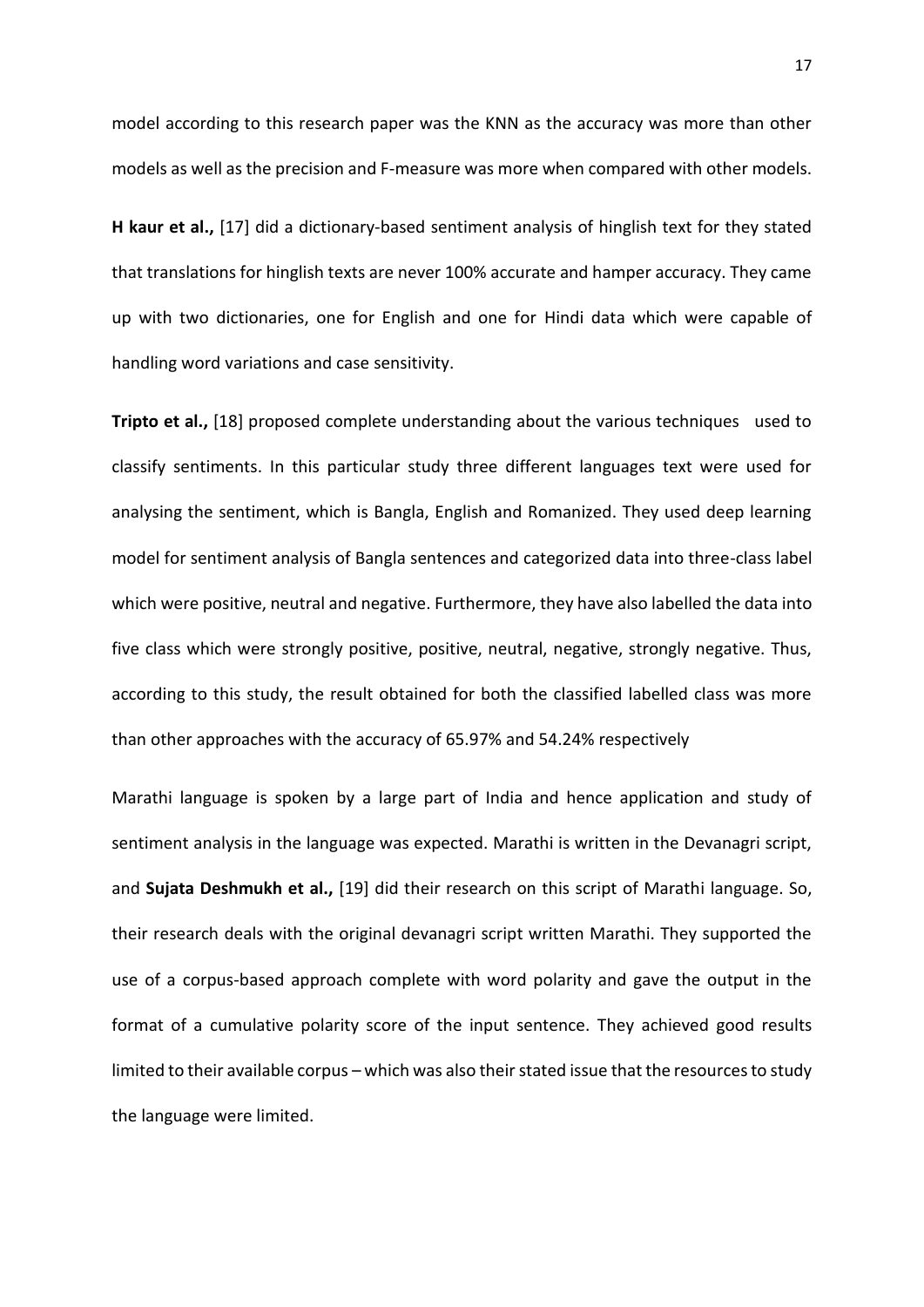model according to this research paper was the KNN as the accuracy was more than other models as well as the precision and F-measure was more when compared with other models.

**H kaur et al.,** [17] did a dictionary-based sentiment analysis of hinglish text for they stated that translations for hinglish texts are never 100% accurate and hamper accuracy. They came up with two dictionaries, one for English and one for Hindi data which were capable of handling word variations and case sensitivity.

**Tripto et al.,** [18] proposed complete understanding about the various techniques used to classify sentiments. In this particular study three different languages text were used for analysing the sentiment, which is Bangla, English and Romanized. They used deep learning model for sentiment analysis of Bangla sentences and categorized data into three-class label which were positive, neutral and negative. Furthermore, they have also labelled the data into five class which were strongly positive, positive, neutral, negative, strongly negative. Thus, according to this study, the result obtained for both the classified labelled class was more than other approaches with the accuracy of 65.97% and 54.24% respectively

Marathi language is spoken by a large part of India and hence application and study of sentiment analysis in the language was expected. Marathi is written in the Devanagri script, and **Sujata Deshmukh et al.,** [19] did their research on this script of Marathi language. So, their research deals with the original devanagri script written Marathi. They supported the use of a corpus-based approach complete with word polarity and gave the output in the format of a cumulative polarity score of the input sentence. They achieved good results limited to their available corpus – which was also their stated issue that the resources to study the language were limited.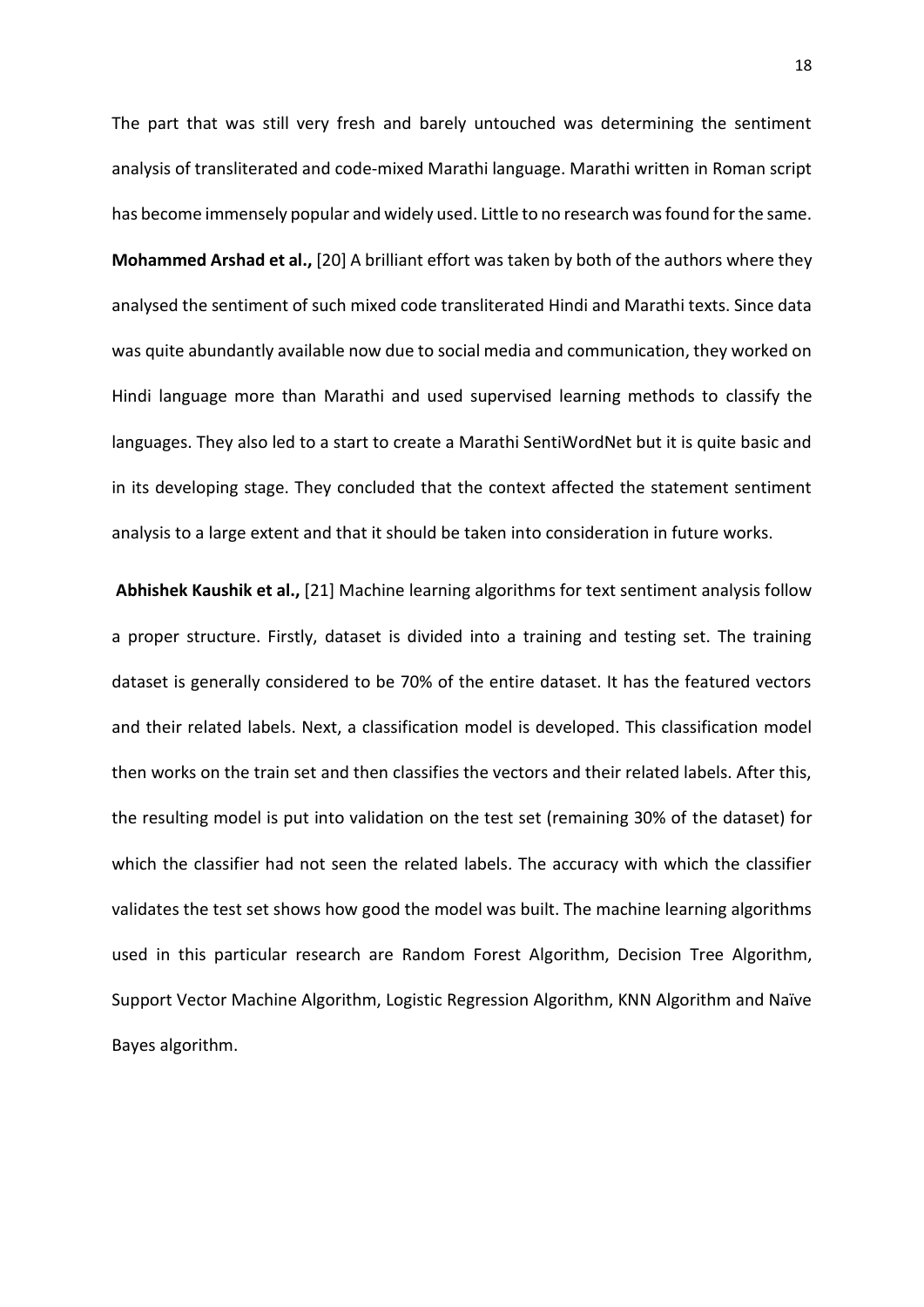The part that was still very fresh and barely untouched was determining the sentiment analysis of transliterated and code-mixed Marathi language. Marathi written in Roman script has become immensely popular and widely used. Little to no research was found for the same. **Mohammed Arshad et al.,** [20] A brilliant effort was taken by both of the authors where they analysed the sentiment of such mixed code transliterated Hindi and Marathi texts. Since data was quite abundantly available now due to social media and communication, they worked on Hindi language more than Marathi and used supervised learning methods to classify the languages. They also led to a start to create a Marathi SentiWordNet but it is quite basic and in its developing stage. They concluded that the context affected the statement sentiment analysis to a large extent and that it should be taken into consideration in future works.

**Abhishek Kaushik et al.,** [21] Machine learning algorithms for text sentiment analysis follow a proper structure. Firstly, dataset is divided into a training and testing set. The training dataset is generally considered to be 70% of the entire dataset. It has the featured vectors and their related labels. Next, a classification model is developed. This classification model then works on the train set and then classifies the vectors and their related labels. After this, the resulting model is put into validation on the test set (remaining 30% of the dataset) for which the classifier had not seen the related labels. The accuracy with which the classifier validates the test set shows how good the model was built. The machine learning algorithms used in this particular research are Random Forest Algorithm, Decision Tree Algorithm, Support Vector Machine Algorithm, Logistic Regression Algorithm, KNN Algorithm and Naïve Bayes algorithm.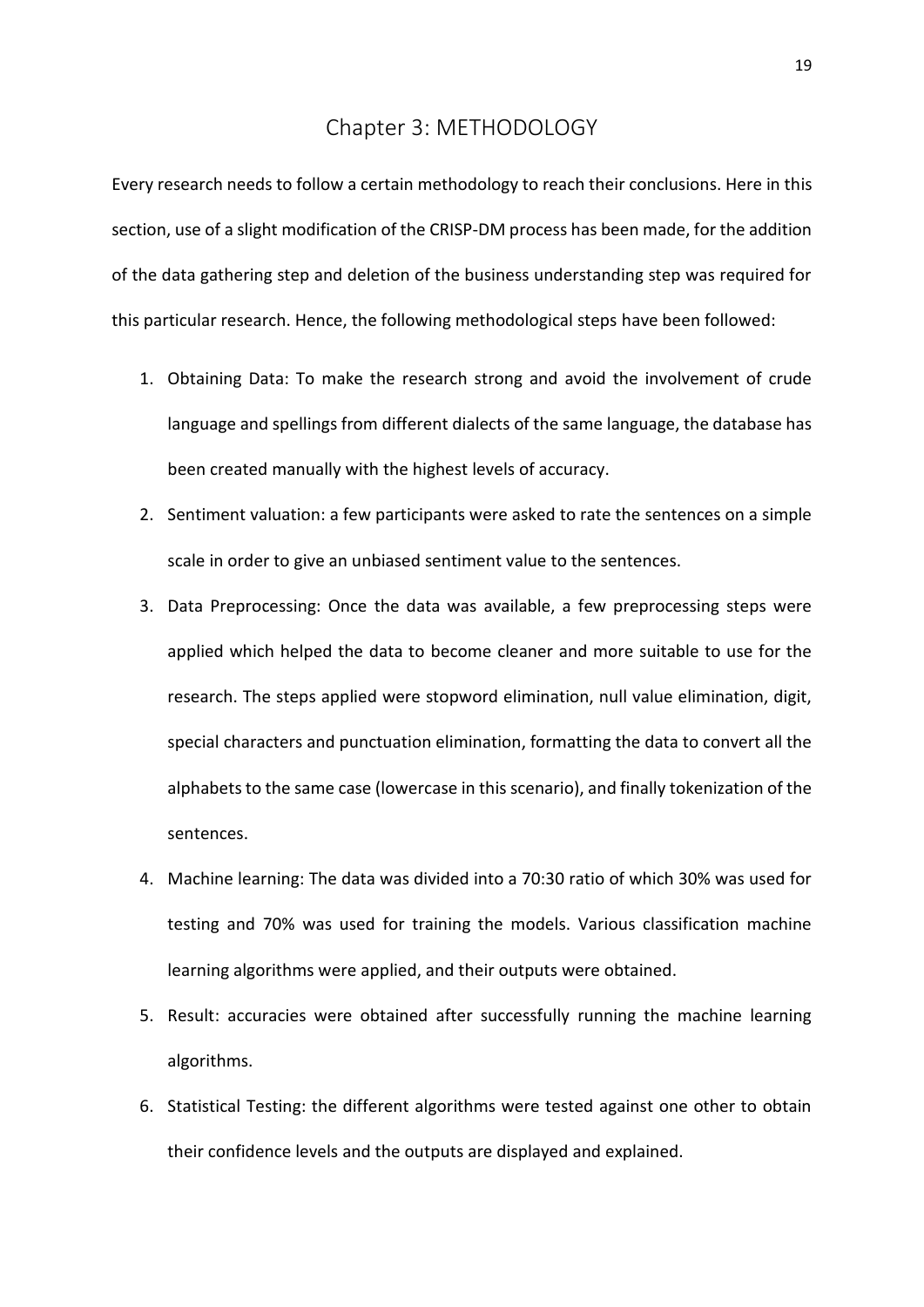## Chapter 3: METHODOLOGY

<span id="page-18-0"></span>Every research needs to follow a certain methodology to reach their conclusions. Here in this section, use of a slight modification of the CRISP-DM process has been made, for the addition of the data gathering step and deletion of the business understanding step was required for this particular research. Hence, the following methodological steps have been followed:

- 1. Obtaining Data: To make the research strong and avoid the involvement of crude language and spellings from different dialects of the same language, the database has been created manually with the highest levels of accuracy.
- 2. Sentiment valuation: a few participants were asked to rate the sentences on a simple scale in order to give an unbiased sentiment value to the sentences.
- 3. Data Preprocessing: Once the data was available, a few preprocessing steps were applied which helped the data to become cleaner and more suitable to use for the research. The steps applied were stopword elimination, null value elimination, digit, special characters and punctuation elimination, formatting the data to convert all the alphabets to the same case (lowercase in this scenario), and finally tokenization of the sentences.
- 4. Machine learning: The data was divided into a 70:30 ratio of which 30% was used for testing and 70% was used for training the models. Various classification machine learning algorithms were applied, and their outputs were obtained.
- 5. Result: accuracies were obtained after successfully running the machine learning algorithms.
- 6. Statistical Testing: the different algorithms were tested against one other to obtain their confidence levels and the outputs are displayed and explained.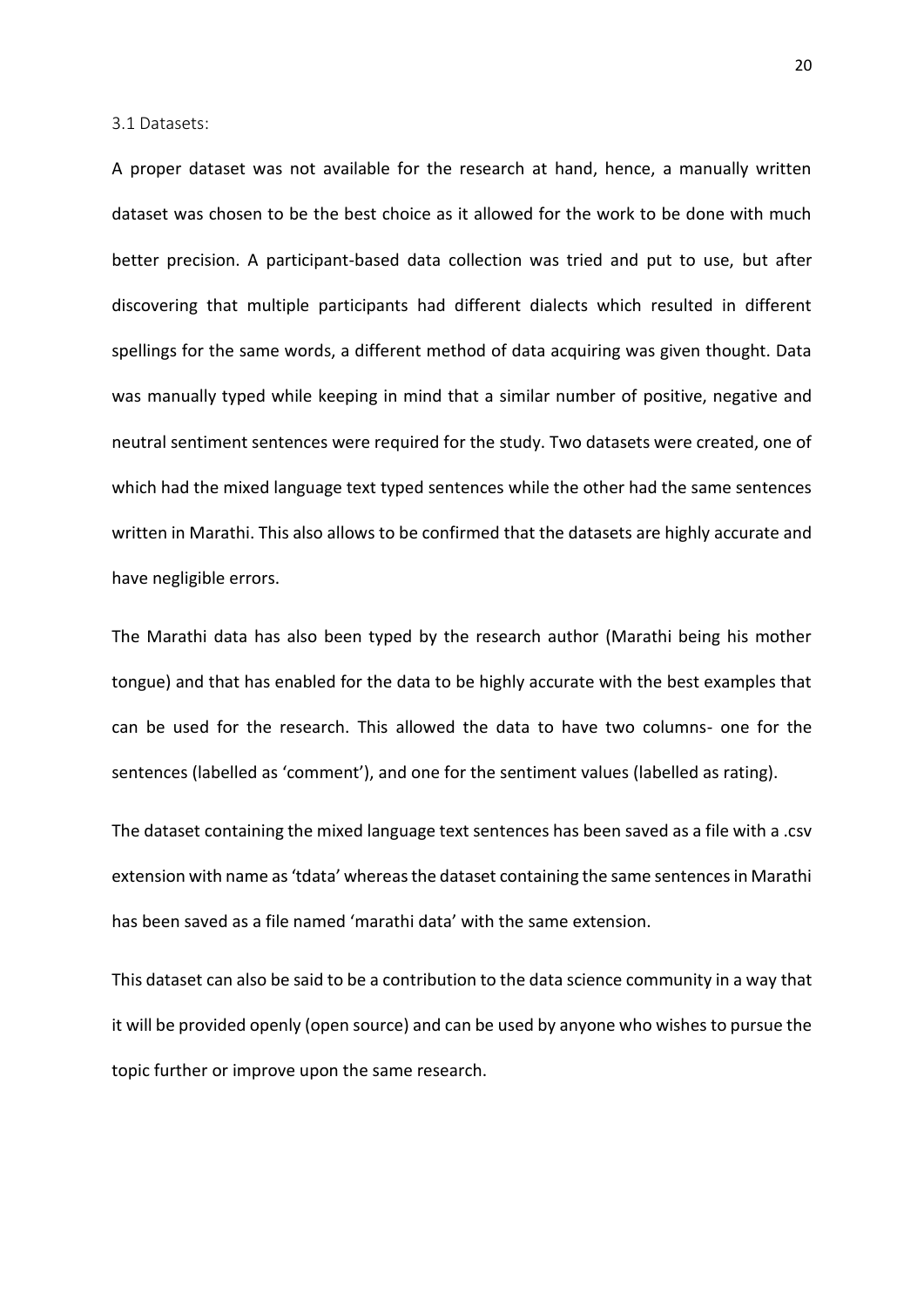<span id="page-19-0"></span>3.1 Datasets:

A proper dataset was not available for the research at hand, hence, a manually written dataset was chosen to be the best choice as it allowed for the work to be done with much better precision. A participant-based data collection was tried and put to use, but after discovering that multiple participants had different dialects which resulted in different spellings for the same words, a different method of data acquiring was given thought. Data was manually typed while keeping in mind that a similar number of positive, negative and neutral sentiment sentences were required for the study. Two datasets were created, one of which had the mixed language text typed sentences while the other had the same sentences written in Marathi. This also allows to be confirmed that the datasets are highly accurate and have negligible errors.

The Marathi data has also been typed by the research author (Marathi being his mother tongue) and that has enabled for the data to be highly accurate with the best examples that can be used for the research. This allowed the data to have two columns- one for the sentences (labelled as 'comment'), and one for the sentiment values (labelled as rating).

The dataset containing the mixed language text sentences has been saved as a file with a .csv extension with name as 'tdata' whereas the dataset containing the same sentences in Marathi has been saved as a file named 'marathi data' with the same extension.

This dataset can also be said to be a contribution to the data science community in a way that it will be provided openly (open source) and can be used by anyone who wishes to pursue the topic further or improve upon the same research.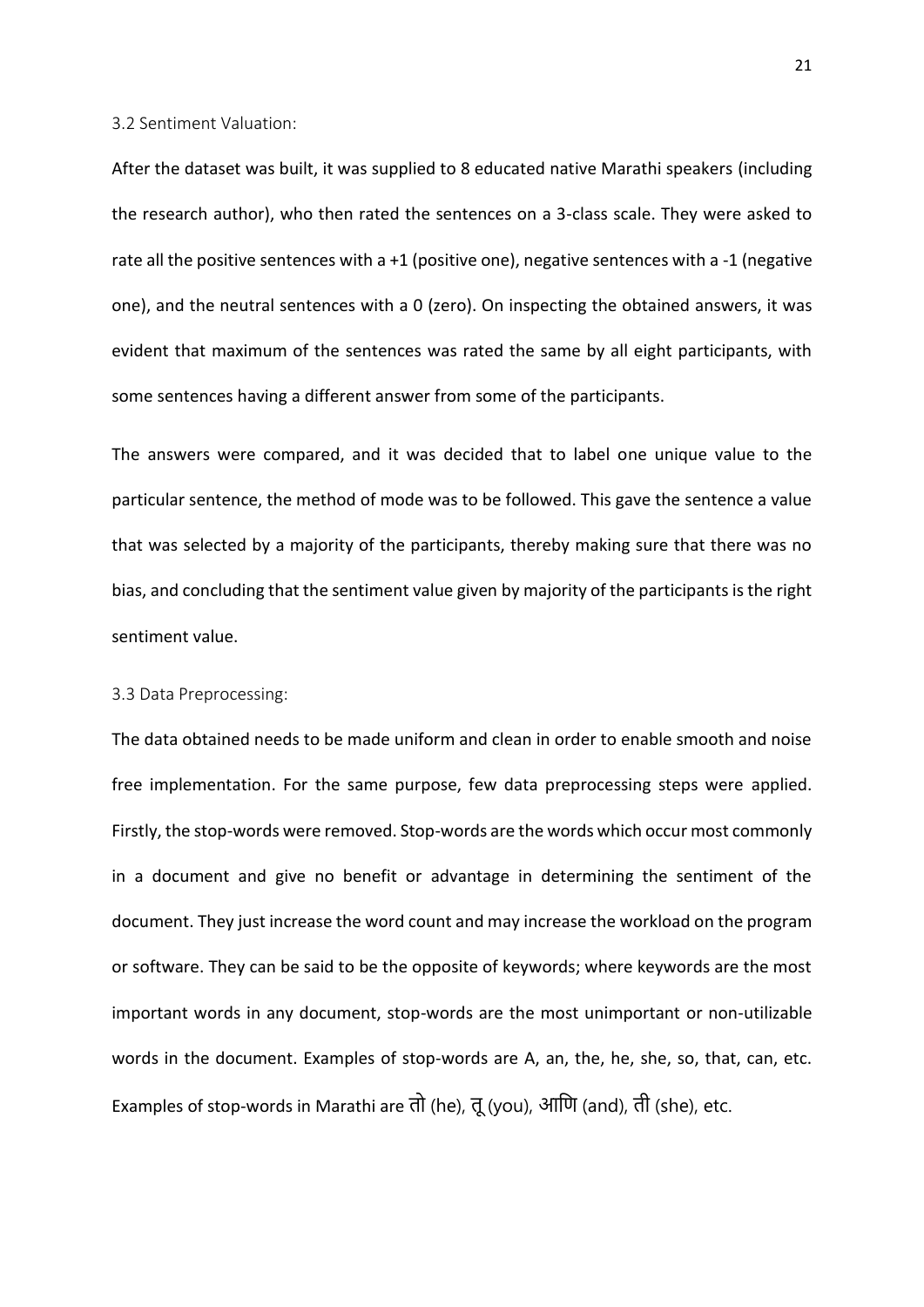<span id="page-20-0"></span>3.2 Sentiment Valuation:

After the dataset was built, it was supplied to 8 educated native Marathi speakers (including the research author), who then rated the sentences on a 3-class scale. They were asked to rate all the positive sentences with a +1 (positive one), negative sentences with a -1 (negative one), and the neutral sentences with a 0 (zero). On inspecting the obtained answers, it was evident that maximum of the sentences was rated the same by all eight participants, with some sentences having a different answer from some of the participants.

The answers were compared, and it was decided that to label one unique value to the particular sentence, the method of mode was to be followed. This gave the sentence a value that was selected by a majority of the participants, thereby making sure that there was no bias, and concluding that the sentiment value given by majority of the participants is the right sentiment value.

#### <span id="page-20-1"></span>3.3 Data Preprocessing:

The data obtained needs to be made uniform and clean in order to enable smooth and noise free implementation. For the same purpose, few data preprocessing steps were applied. Firstly, the stop-words were removed. Stop-words are the words which occur most commonly in a document and give no benefit or advantage in determining the sentiment of the document. They just increase the word count and may increase the workload on the program or software. They can be said to be the opposite of keywords; where keywords are the most important words in any document, stop-words are the most unimportant or non-utilizable words in the document. Examples of stop-words are A, an, the, he, she, so, that, can, etc. Examples of stop-words in Marathi are तो (he), तू(you), आणि (and), ती (she), etc.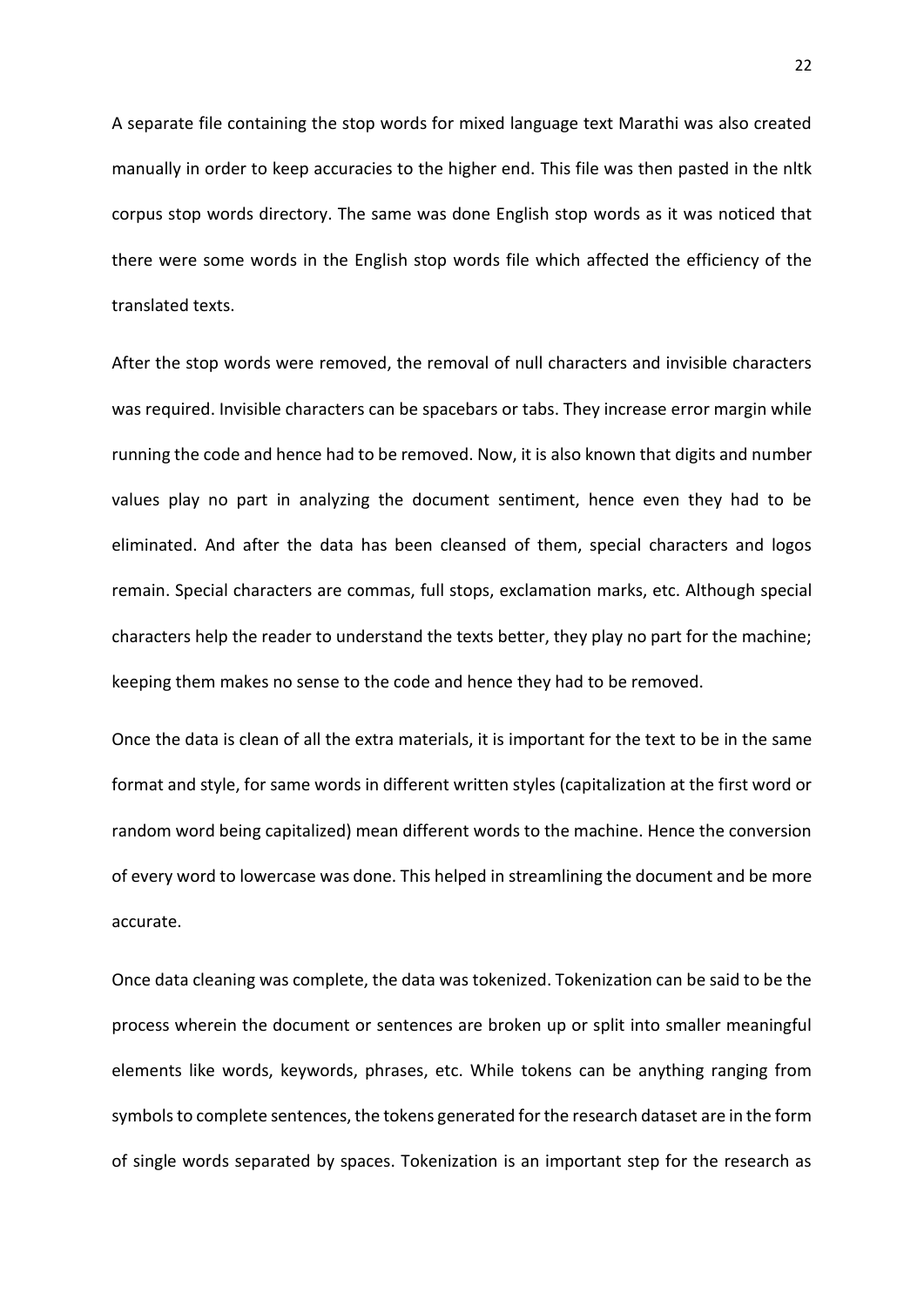A separate file containing the stop words for mixed language text Marathi was also created manually in order to keep accuracies to the higher end. This file was then pasted in the nltk corpus stop words directory. The same was done English stop words as it was noticed that there were some words in the English stop words file which affected the efficiency of the translated texts.

After the stop words were removed, the removal of null characters and invisible characters was required. Invisible characters can be spacebars or tabs. They increase error margin while running the code and hence had to be removed. Now, it is also known that digits and number values play no part in analyzing the document sentiment, hence even they had to be eliminated. And after the data has been cleansed of them, special characters and logos remain. Special characters are commas, full stops, exclamation marks, etc. Although special characters help the reader to understand the texts better, they play no part for the machine; keeping them makes no sense to the code and hence they had to be removed.

Once the data is clean of all the extra materials, it is important for the text to be in the same format and style, for same words in different written styles (capitalization at the first word or random word being capitalized) mean different words to the machine. Hence the conversion of every word to lowercase was done. This helped in streamlining the document and be more accurate.

Once data cleaning was complete, the data was tokenized. Tokenization can be said to be the process wherein the document or sentences are broken up or split into smaller meaningful elements like words, keywords, phrases, etc. While tokens can be anything ranging from symbols to complete sentences, the tokens generated for the research dataset are in the form of single words separated by spaces. Tokenization is an important step for the research as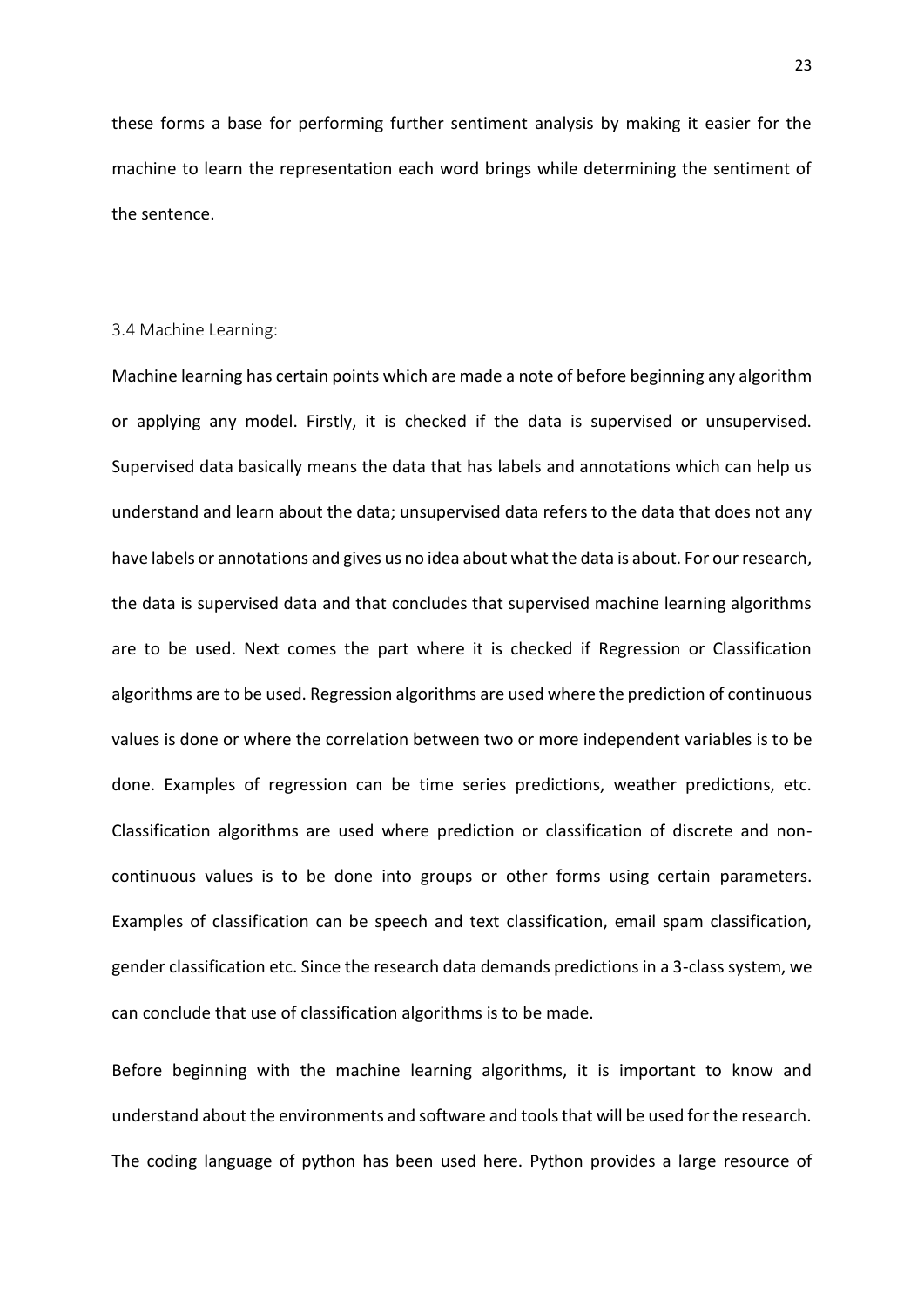these forms a base for performing further sentiment analysis by making it easier for the machine to learn the representation each word brings while determining the sentiment of the sentence.

#### <span id="page-22-0"></span>3.4 Machine Learning:

Machine learning has certain points which are made a note of before beginning any algorithm or applying any model. Firstly, it is checked if the data is supervised or unsupervised. Supervised data basically means the data that has labels and annotations which can help us understand and learn about the data; unsupervised data refers to the data that does not any have labels or annotations and gives us no idea about what the data is about. For our research, the data is supervised data and that concludes that supervised machine learning algorithms are to be used. Next comes the part where it is checked if Regression or Classification algorithms are to be used. Regression algorithms are used where the prediction of continuous values is done or where the correlation between two or more independent variables is to be done. Examples of regression can be time series predictions, weather predictions, etc. Classification algorithms are used where prediction or classification of discrete and noncontinuous values is to be done into groups or other forms using certain parameters. Examples of classification can be speech and text classification, email spam classification, gender classification etc. Since the research data demands predictions in a 3-class system, we can conclude that use of classification algorithms is to be made.

Before beginning with the machine learning algorithms, it is important to know and understand about the environments and software and tools that will be used for the research. The coding language of python has been used here. Python provides a large resource of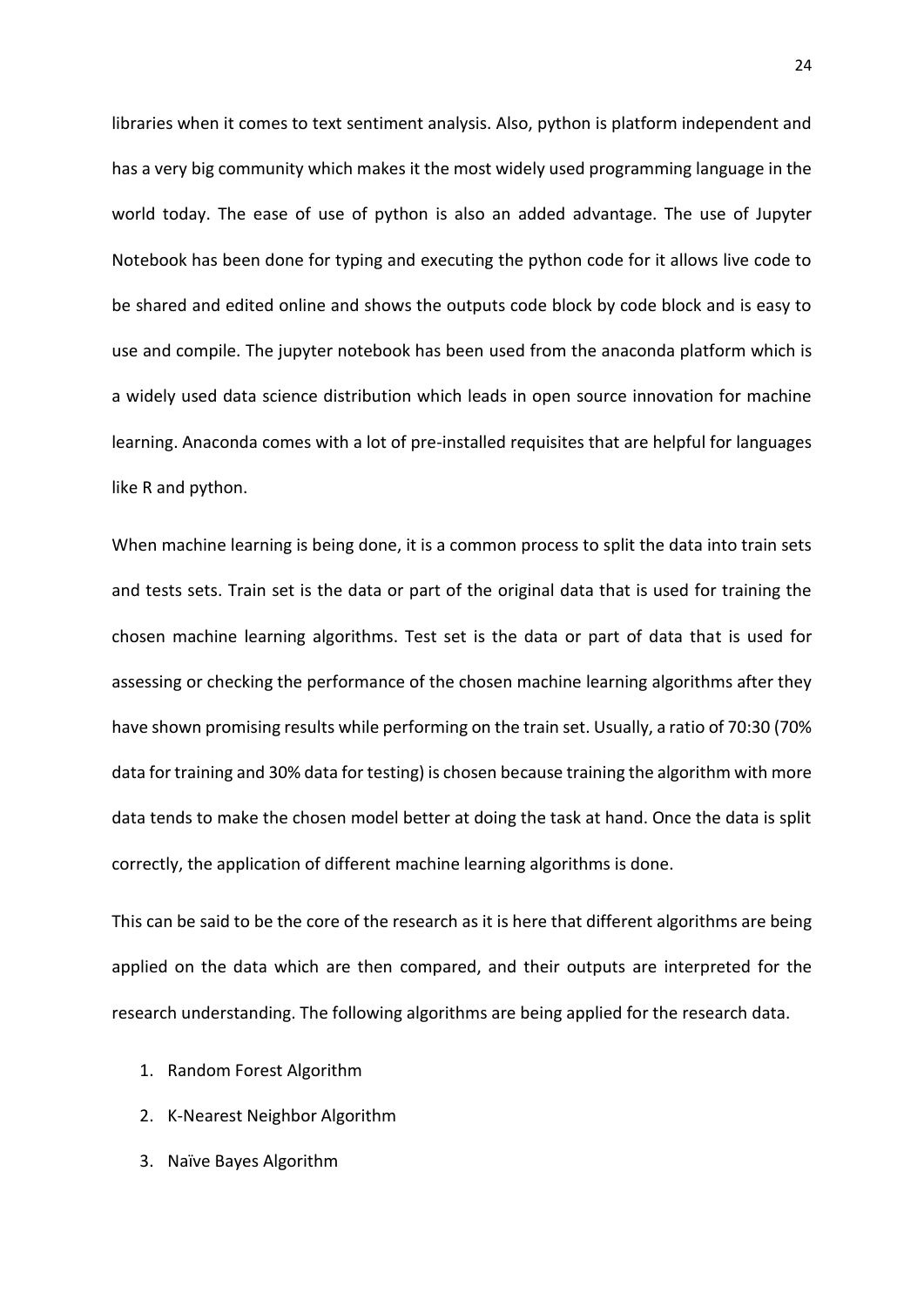libraries when it comes to text sentiment analysis. Also, python is platform independent and has a very big community which makes it the most widely used programming language in the world today. The ease of use of python is also an added advantage. The use of Jupyter Notebook has been done for typing and executing the python code for it allows live code to be shared and edited online and shows the outputs code block by code block and is easy to use and compile. The jupyter notebook has been used from the anaconda platform which is a widely used data science distribution which leads in open source innovation for machine learning. Anaconda comes with a lot of pre-installed requisites that are helpful for languages like R and python.

When machine learning is being done, it is a common process to split the data into train sets and tests sets. Train set is the data or part of the original data that is used for training the chosen machine learning algorithms. Test set is the data or part of data that is used for assessing or checking the performance of the chosen machine learning algorithms after they have shown promising results while performing on the train set. Usually, a ratio of 70:30 (70% data for training and 30% data for testing) is chosen because training the algorithm with more data tends to make the chosen model better at doing the task at hand. Once the data is split correctly, the application of different machine learning algorithms is done.

This can be said to be the core of the research as it is here that different algorithms are being applied on the data which are then compared, and their outputs are interpreted for the research understanding. The following algorithms are being applied for the research data.

- 1. Random Forest Algorithm
- 2. K-Nearest Neighbor Algorithm
- 3. Naïve Bayes Algorithm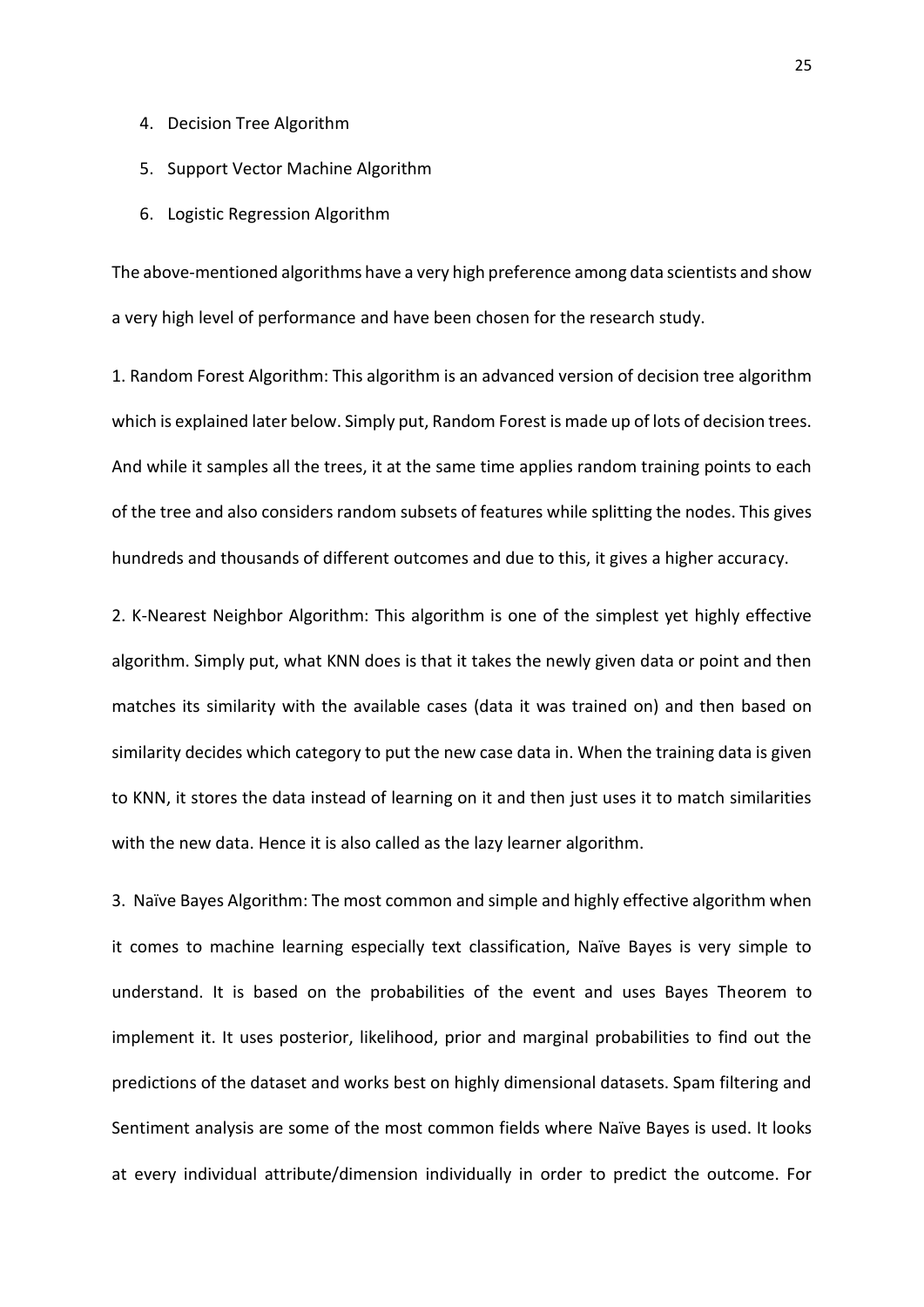- 4. Decision Tree Algorithm
- 5. Support Vector Machine Algorithm
- 6. Logistic Regression Algorithm

The above-mentioned algorithms have a very high preference among data scientists and show a very high level of performance and have been chosen for the research study.

1. Random Forest Algorithm: This algorithm is an advanced version of decision tree algorithm which is explained later below. Simply put, Random Forest is made up of lots of decision trees. And while it samples all the trees, it at the same time applies random training points to each of the tree and also considers random subsets of features while splitting the nodes. This gives hundreds and thousands of different outcomes and due to this, it gives a higher accuracy.

2. K-Nearest Neighbor Algorithm: This algorithm is one of the simplest yet highly effective algorithm. Simply put, what KNN does is that it takes the newly given data or point and then matches its similarity with the available cases (data it was trained on) and then based on similarity decides which category to put the new case data in. When the training data is given to KNN, it stores the data instead of learning on it and then just uses it to match similarities with the new data. Hence it is also called as the lazy learner algorithm.

3. Naïve Bayes Algorithm: The most common and simple and highly effective algorithm when it comes to machine learning especially text classification, Naïve Bayes is very simple to understand. It is based on the probabilities of the event and uses Bayes Theorem to implement it. It uses posterior, likelihood, prior and marginal probabilities to find out the predictions of the dataset and works best on highly dimensional datasets. Spam filtering and Sentiment analysis are some of the most common fields where Naïve Bayes is used. It looks at every individual attribute/dimension individually in order to predict the outcome. For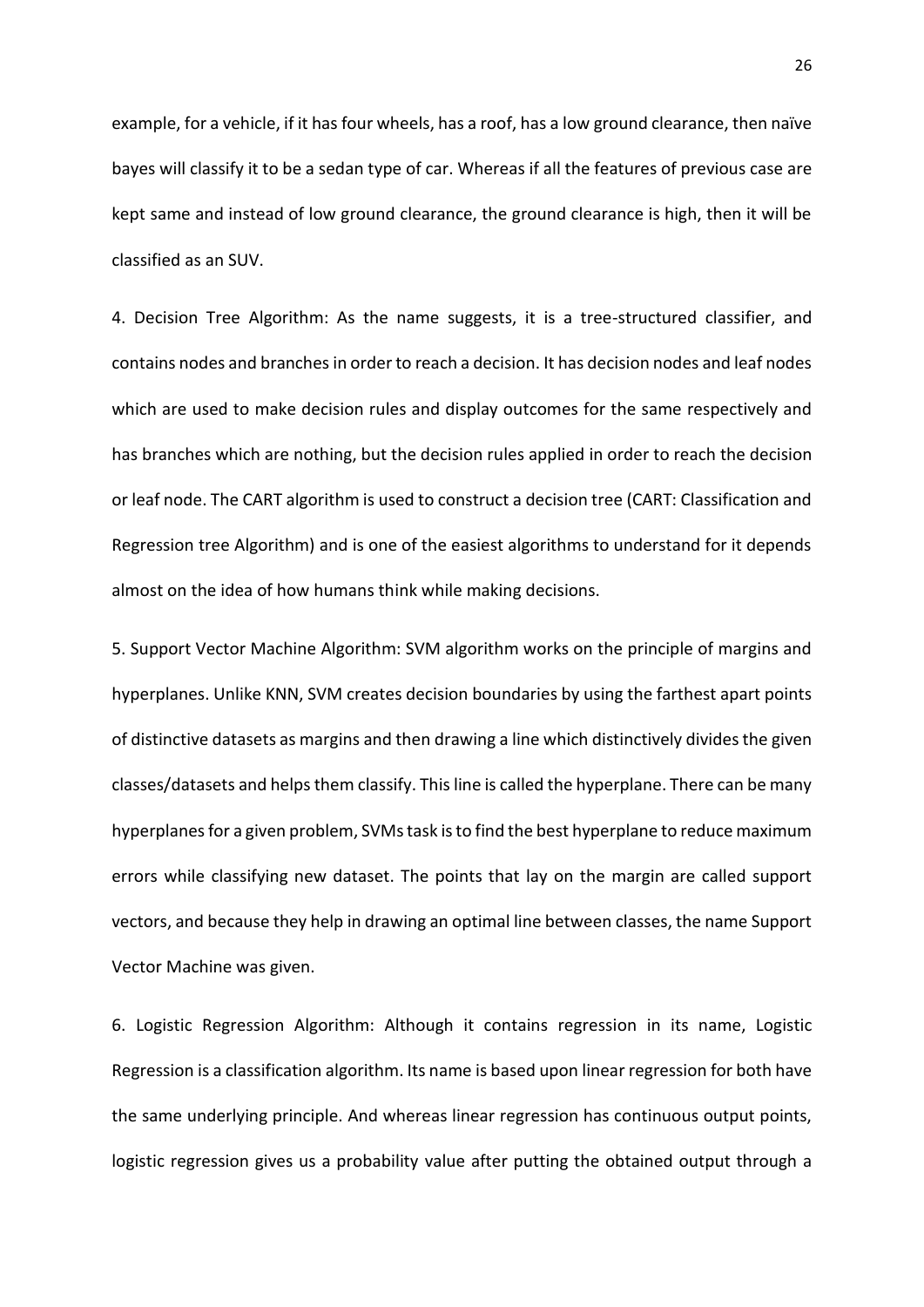example, for a vehicle, if it has four wheels, has a roof, has a low ground clearance, then naïve bayes will classify it to be a sedan type of car. Whereas if all the features of previous case are kept same and instead of low ground clearance, the ground clearance is high, then it will be classified as an SUV.

4. Decision Tree Algorithm: As the name suggests, it is a tree-structured classifier, and contains nodes and branches in order to reach a decision. It has decision nodes and leaf nodes which are used to make decision rules and display outcomes for the same respectively and has branches which are nothing, but the decision rules applied in order to reach the decision or leaf node. The CART algorithm is used to construct a decision tree (CART: Classification and Regression tree Algorithm) and is one of the easiest algorithms to understand for it depends almost on the idea of how humans think while making decisions.

5. Support Vector Machine Algorithm: SVM algorithm works on the principle of margins and hyperplanes. Unlike KNN, SVM creates decision boundaries by using the farthest apart points of distinctive datasets as margins and then drawing a line which distinctively divides the given classes/datasets and helps them classify. This line is called the hyperplane. There can be many hyperplanes for a given problem, SVMs task is to find the best hyperplane to reduce maximum errors while classifying new dataset. The points that lay on the margin are called support vectors, and because they help in drawing an optimal line between classes, the name Support Vector Machine was given.

6. Logistic Regression Algorithm: Although it contains regression in its name, Logistic Regression is a classification algorithm. Its name is based upon linear regression for both have the same underlying principle. And whereas linear regression has continuous output points, logistic regression gives us a probability value after putting the obtained output through a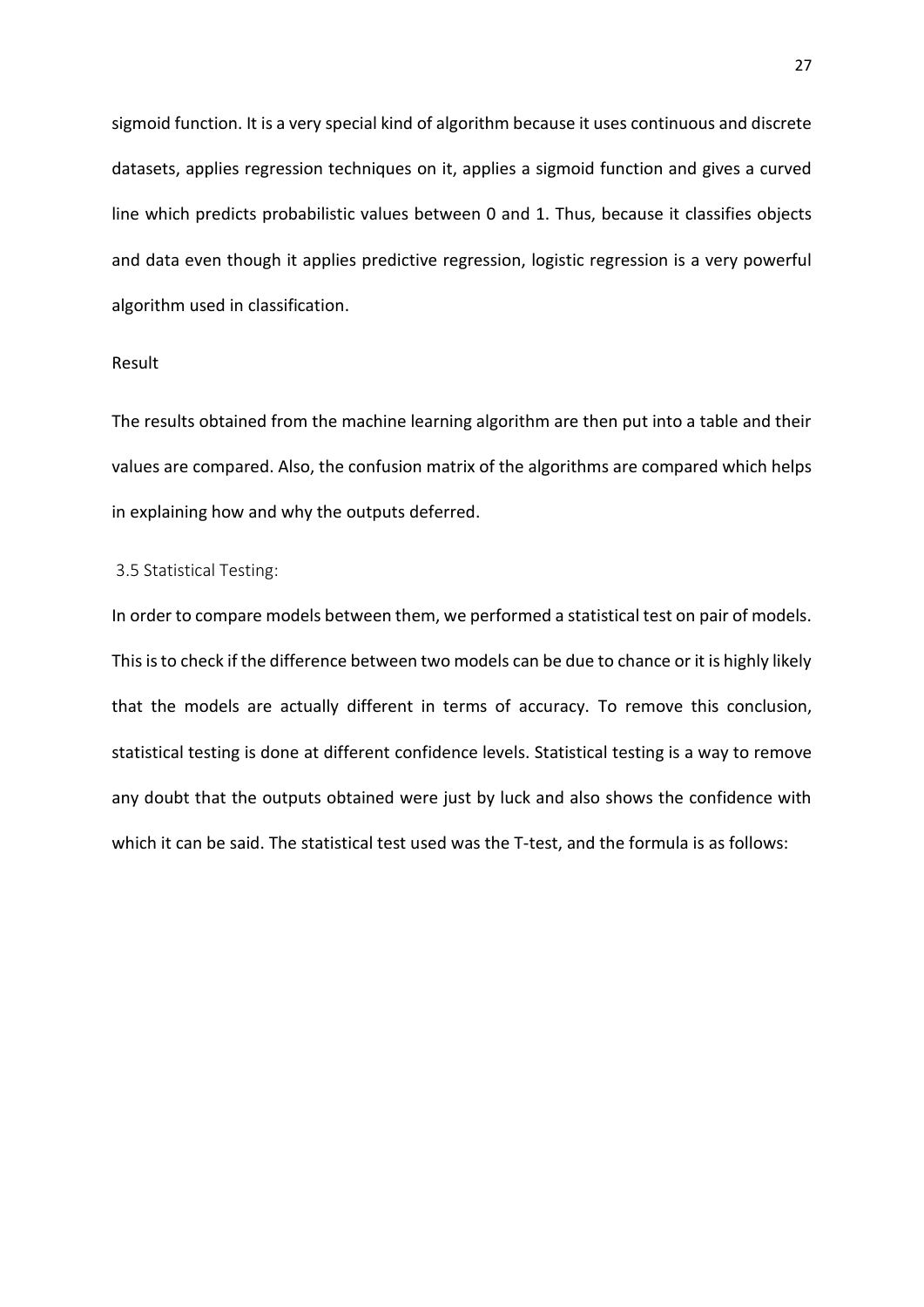sigmoid function. It is a very special kind of algorithm because it uses continuous and discrete datasets, applies regression techniques on it, applies a sigmoid function and gives a curved line which predicts probabilistic values between 0 and 1. Thus, because it classifies objects and data even though it applies predictive regression, logistic regression is a very powerful algorithm used in classification.

### Result

The results obtained from the machine learning algorithm are then put into a table and their values are compared. Also, the confusion matrix of the algorithms are compared which helps in explaining how and why the outputs deferred.

### <span id="page-26-0"></span>3.5 Statistical Testing:

In order to compare models between them, we performed a statistical test on pair of models. This is to check if the difference between two models can be due to chance or it is highly likely that the models are actually different in terms of accuracy. To remove this conclusion, statistical testing is done at different confidence levels. Statistical testing is a way to remove any doubt that the outputs obtained were just by luck and also shows the confidence with which it can be said. The statistical test used was the T-test, and the formula is as follows: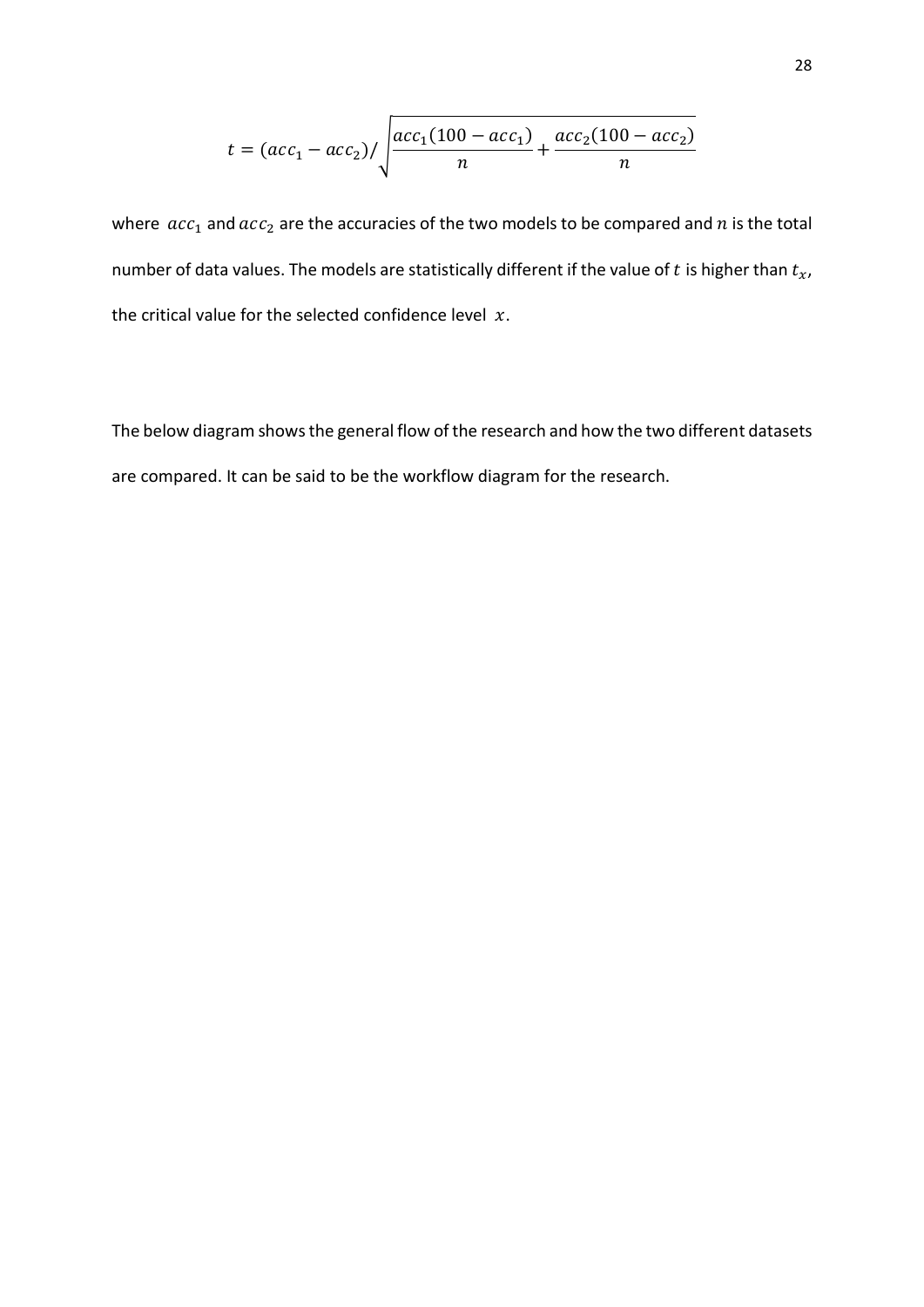$$
t = (acc_1 - acc_2) / \sqrt{\frac{acc_1(100 - acc_1)}{n} + \frac{acc_2(100 - acc_2)}{n}}
$$

where  $acc_1$  and  $acc_2$  are the accuracies of the two models to be compared and  $n$  is the total number of data values. The models are statistically different if the value of  $t$  is higher than  $t_x$ , the critical value for the selected confidence level  $x$ .

The below diagram shows the general flow of the research and how the two different datasets are compared. It can be said to be the workflow diagram for the research.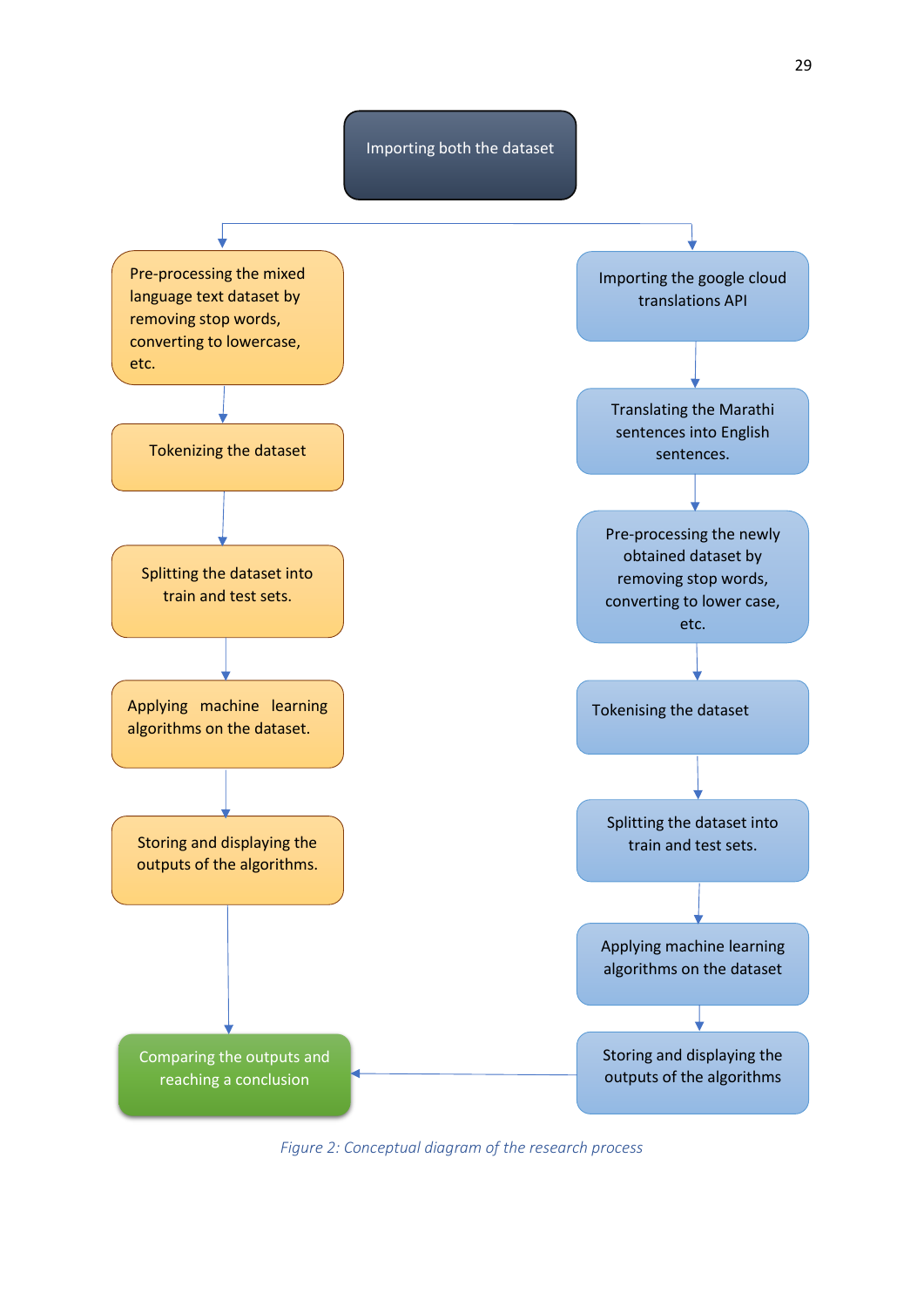



<span id="page-28-0"></span>*Figure 2: Conceptual diagram of the research process*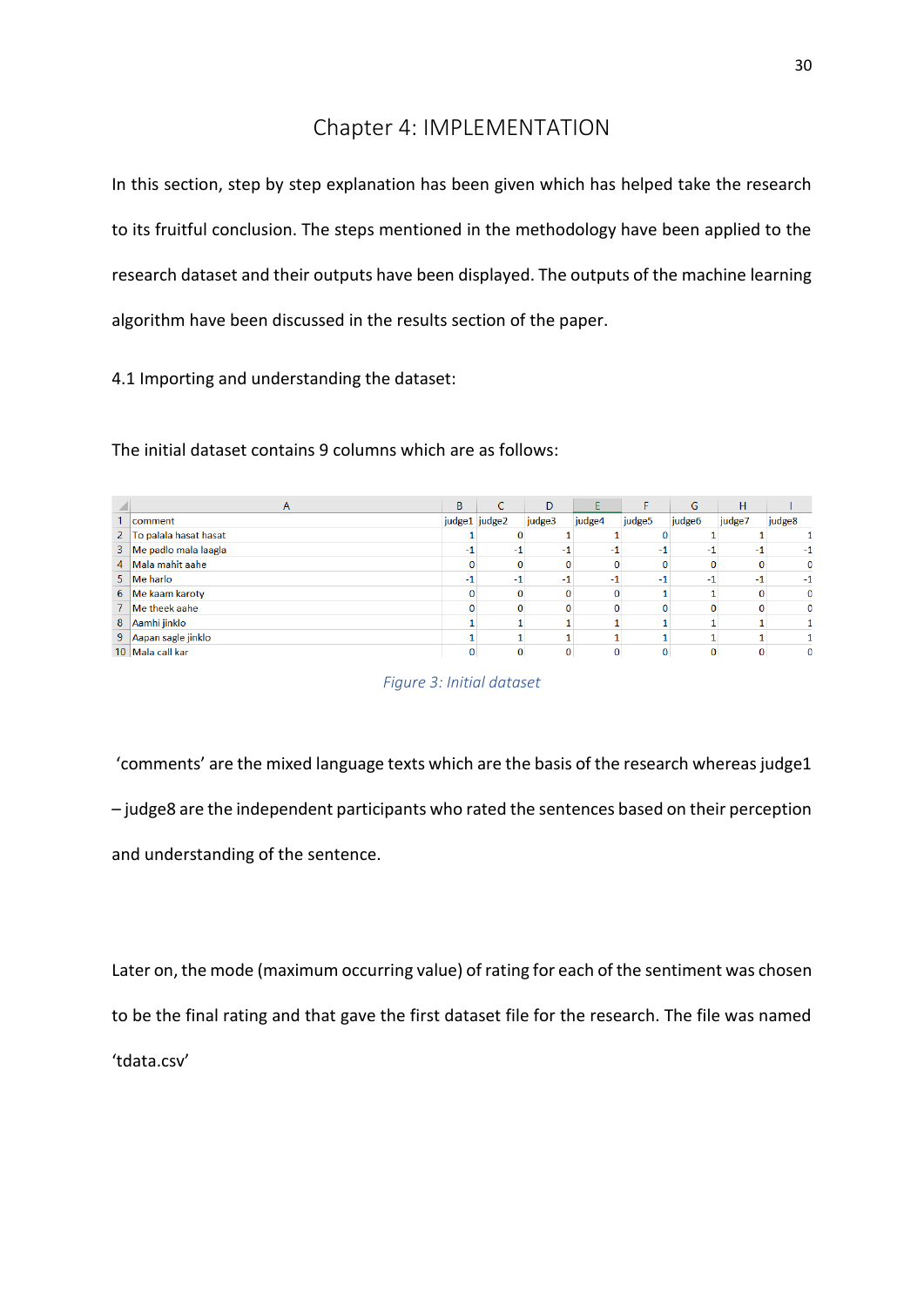# Chapter 4: IMPLEMENTATION

<span id="page-29-0"></span>In this section, step by step explanation has been given which has helped take the research to its fruitful conclusion. The steps mentioned in the methodology have been applied to the research dataset and their outputs have been displayed. The outputs of the machine learning algorithm have been discussed in the results section of the paper.

4.1 Importing and understanding the dataset:

The initial dataset contains 9 columns which are as follows:

|                | A                      | B             | C | D        |        |        | G      | H      |              |
|----------------|------------------------|---------------|---|----------|--------|--------|--------|--------|--------------|
|                | comment                | judge1 judge2 |   | judge3   | judge4 | judge5 | judge6 | judge7 | judge8       |
| 2 <sup>1</sup> | To palala hasat hasat  |               |   |          |        |        |        |        |              |
|                | 3 Me padlo mala laagla | -1            |   | -1       |        | -1     |        |        |              |
|                | 4 Mala mahit aahe      | 0             |   | $\Omega$ |        |        | 0      |        | $\mathbf{0}$ |
|                | 5 Me harlo             |               |   | -1       | -      | -1     |        |        |              |
|                | 6 Me kaam karoty       | 0             |   |          |        |        |        |        | $\mathbf{0}$ |
|                | 7 Me theek aahe        | 0             |   | $\Omega$ |        |        |        |        | 0            |
|                | 8 Aamhi jinklo         |               |   |          |        |        |        |        |              |
|                | 9 Aapan sagle jinklo   |               |   |          |        |        |        |        |              |
|                | 10 Mala call kar       | 0             |   |          |        |        |        |        |              |



<span id="page-29-1"></span>'comments' are the mixed language texts which are the basis of the research whereas judge1 – judge8 are the independent participants who rated the sentences based on their perception and understanding of the sentence.

Later on, the mode (maximum occurring value) of rating for each of the sentiment was chosen to be the final rating and that gave the first dataset file for the research. The file was named 'tdata.csv'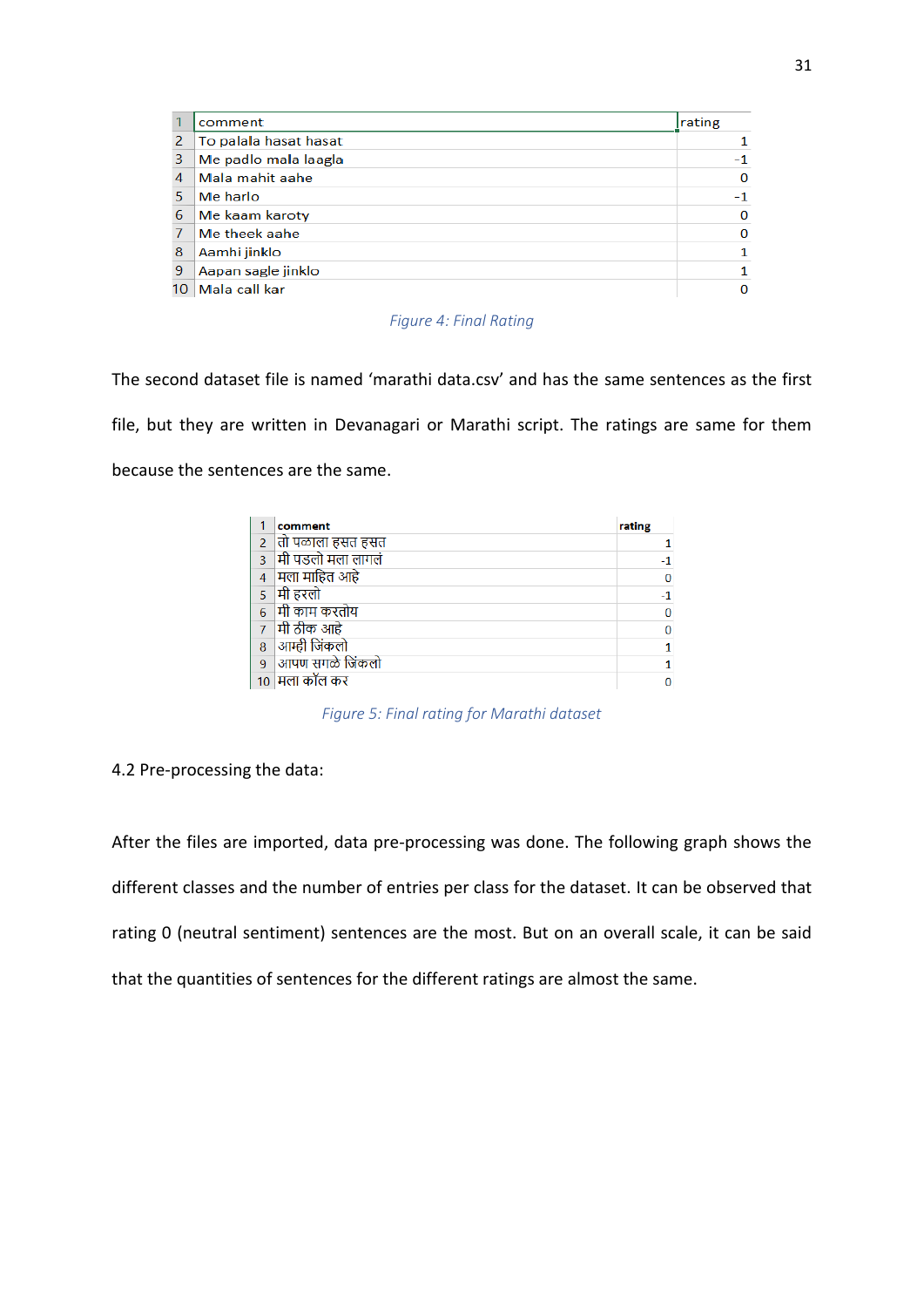|    | comment               | rating   |
|----|-----------------------|----------|
| 2  | To palala hasat hasat |          |
| 3  | Me padlo mala laagla  | $-1$     |
| 4  | Mala mahit aahe       | $\Omega$ |
| 5. | Me harlo              | $-1$     |
| 6  | Me kaam karoty        | 0        |
| 7  | Me theek aahe         | 0        |
| 8  | Aamhi jinklo          | 1        |
| 9  | Aapan sagle jinklo    |          |
| 10 | Mala call kar         | $\Omega$ |

*Figure 4: Final Rating*

<span id="page-30-0"></span>The second dataset file is named 'marathi data.csv' and has the same sentences as the first file, but they are written in Devanagari or Marathi script. The ratings are same for them because the sentences are the same.

|                | comment           | rating |
|----------------|-------------------|--------|
|                | तो पळाला हसत हसत  |        |
| R              | मी पडलो मला लागलं |        |
| $\overline{4}$ | ्मिला माहित आहे   | 0      |
|                | मी हरलो           |        |
| 6              | मी काम करतोय      | ٥      |
| 7              | मी ठीक आहे        | ۵      |
| 8              | आम्ही जिंकलो      |        |
| 9              | आपण सगळे जिंकलो   |        |
|                | मला कॉल कर        | ſ      |

*Figure 5: Final rating for Marathi dataset*

<span id="page-30-1"></span>4.2 Pre-processing the data:

After the files are imported, data pre-processing was done. The following graph shows the different classes and the number of entries per class for the dataset. It can be observed that rating 0 (neutral sentiment) sentences are the most. But on an overall scale, it can be said that the quantities of sentences for the different ratings are almost the same.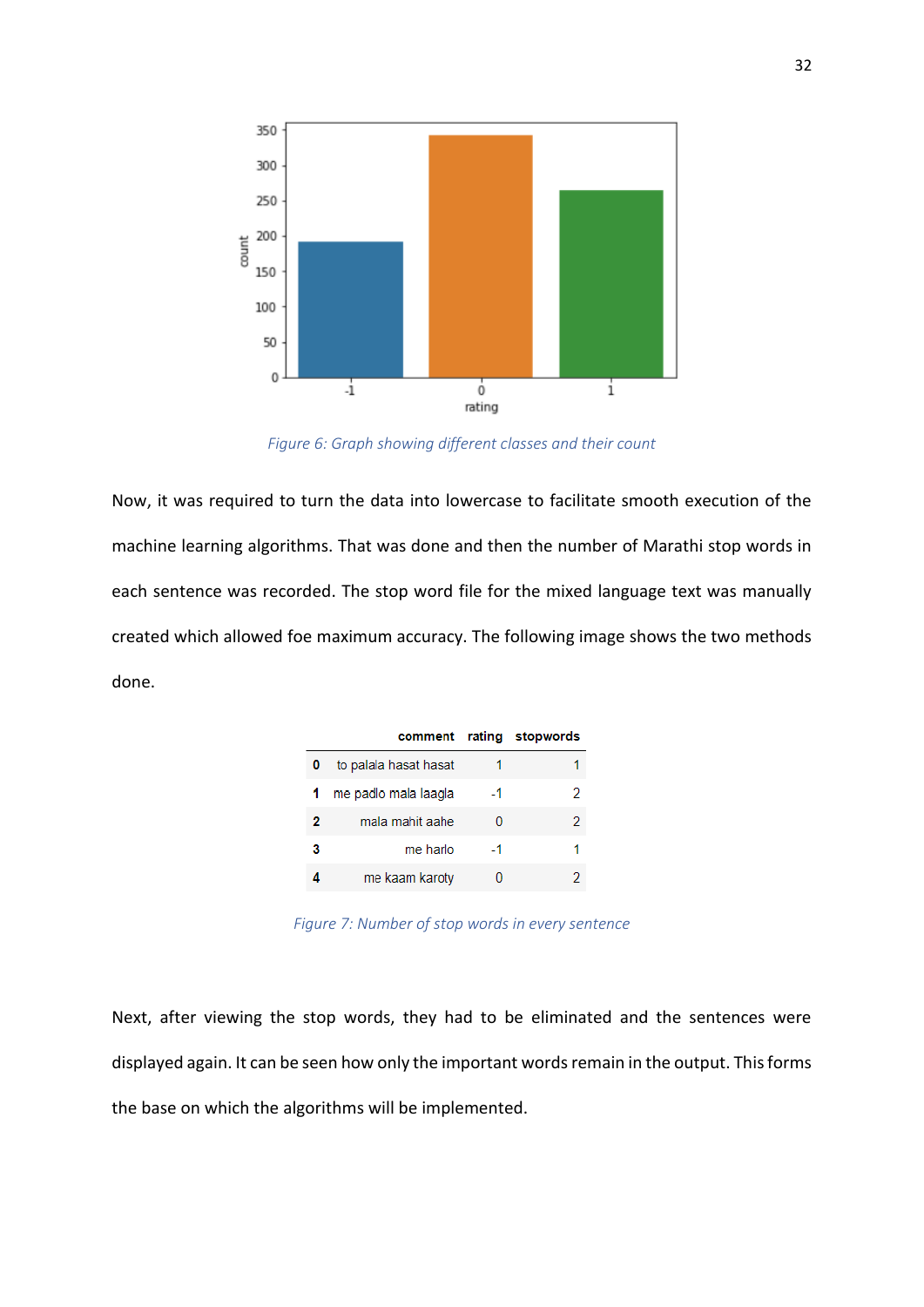

*Figure 6: Graph showing different classes and their count*

<span id="page-31-0"></span>Now, it was required to turn the data into lowercase to facilitate smooth execution of the machine learning algorithms. That was done and then the number of Marathi stop words in each sentence was recorded. The stop word file for the mixed language text was manually created which allowed foe maximum accuracy. The following image shows the two methods done.

|   |                       |      | comment rating stopwords |
|---|-----------------------|------|--------------------------|
|   | to palala hasat hasat |      |                          |
|   | me padlo mala laagla  | $-1$ | 2                        |
| 2 | mala mahit aahe       |      | 2                        |
| з | me harlo              | -1   |                          |
|   | me kaam karoty        |      |                          |

*Figure 7: Number of stop words in every sentence*

<span id="page-31-1"></span>Next, after viewing the stop words, they had to be eliminated and the sentences were displayed again. It can be seen how only the important words remain in the output. This forms the base on which the algorithms will be implemented.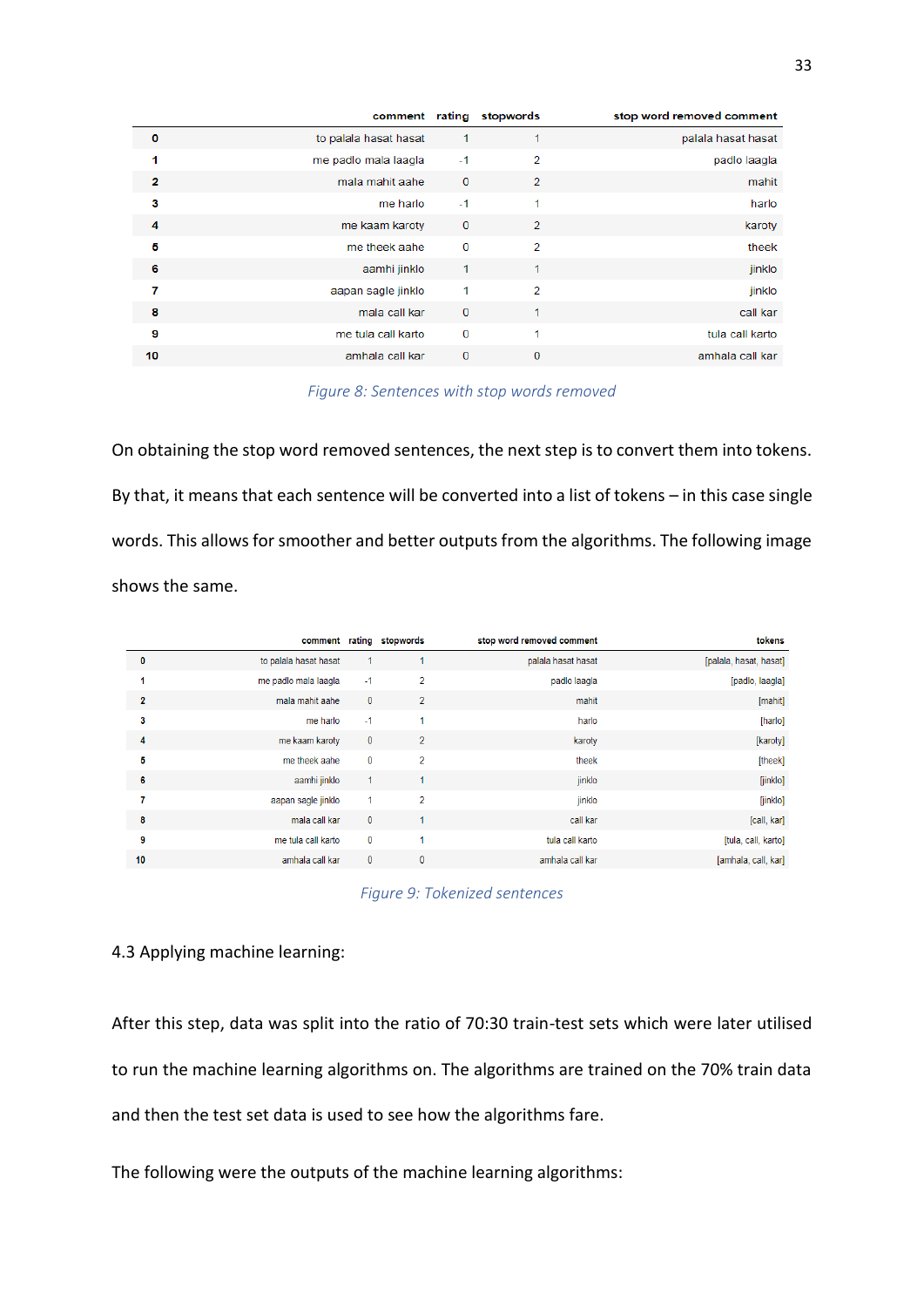|          |                       |              | comment rating stopwords | stop word removed comment |
|----------|-----------------------|--------------|--------------------------|---------------------------|
| $\bf{0}$ | to palala hasat hasat | 1            |                          | palala hasat hasat        |
| 1        | me padlo mala laagla  | $-1$         | $\overline{2}$           | padlo laagla              |
| 2        | mala mahit aahe       | $\bf{0}$     | 2                        | mahit                     |
| з        | me harlo              | $-1$         | 1                        | harlo                     |
| 4        | me kaam karoty        | $\mathbf{0}$ | $\overline{2}$           | karoty                    |
| 5        | me theek aahe         | $\mathbf 0$  | $\overline{2}$           | theek                     |
| 6        | aamhi jinklo          | 1            | 1                        | jinklo                    |
| 7        | aapan sagle jinklo    | 1            | $\overline{2}$           | jinklo                    |
| 8        | mala call kar         | $\bf{0}$     | 1                        | call kar                  |
| 9        | me tula call karto    | $\mathbf 0$  | 1                        | tula call karto           |
| 10       | amhala call kar       | $\mathbf 0$  | $\mathbf 0$              | amhala call kar           |

*Figure 8: Sentences with stop words removed*

<span id="page-32-0"></span>On obtaining the stop word removed sentences, the next step is to convert them into tokens. By that, it means that each sentence will be converted into a list of tokens – in this case single words. This allows for smoother and better outputs from the algorithms. The following image shows the same.

|                |                       |              | comment rating stopwords | stop word removed comment | tokens                 |
|----------------|-----------------------|--------------|--------------------------|---------------------------|------------------------|
| $\bf{0}$       | to palala hasat hasat | $\mathbf{1}$ |                          | palala hasat hasat        | [palala, hasat, hasat] |
|                | me padlo mala laagla  | $-1$         | 2                        | padlo laagla              | [padlo, laagla]        |
| $\overline{2}$ | mala mahit aahe       | $\mathbf 0$  | $\overline{2}$           | mahit                     | [mahit]                |
| 3              | me harlo              | $-1$         | 1                        | harlo                     | [harlo]                |
| 4              | me kaam karoty        | $\mathbf{0}$ | $\overline{2}$           | karoty                    | [karoty]               |
| b              | me theek aahe         | $\mathbf 0$  | $\overline{2}$           | theek                     | [theek]                |
| 6              | aamhi jinklo          | $\mathbf{1}$ | 1                        | jinklo                    | [jinklo]               |
| 7              | aapan sagle jinklo    | 1            | $\overline{2}$           | jinklo                    | [jinklo]               |
| 8              | mala call kar         | $\mathbf{0}$ |                          | call kar                  | [call, kar]            |
| 9              | me tula call karto    | $\mathbf 0$  |                          | tula call karto           | [tula, call, karto]    |
| 10             | amhala call kar       | $\mathbf 0$  | $\mathbf{0}$             | amhala call kar           | [amhala, call, kar]    |
|                |                       |              |                          |                           |                        |



<span id="page-32-1"></span>4.3 Applying machine learning:

After this step, data was split into the ratio of 70:30 train-test sets which were later utilised to run the machine learning algorithms on. The algorithms are trained on the 70% train data and then the test set data is used to see how the algorithms fare.

The following were the outputs of the machine learning algorithms: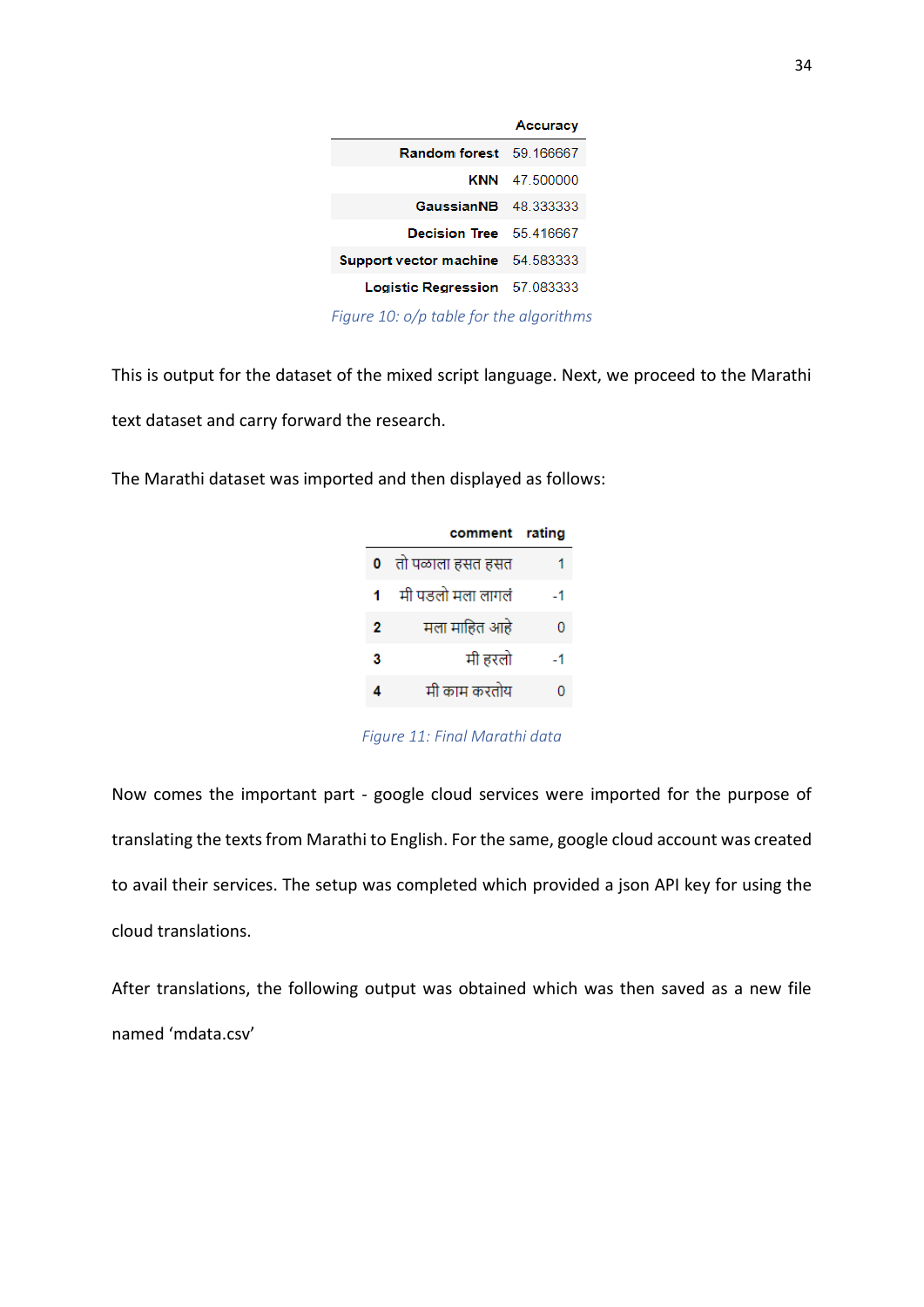|                                         | <b>Accuracy</b>      |
|-----------------------------------------|----------------------|
| <b>Random forest</b> 59.166667          |                      |
|                                         | <b>KNN</b> 47 500000 |
| <b>GaussianNB</b> 48.333333             |                      |
| Decision Tree 55.416667                 |                      |
| <b>Support vector machine</b> 54.583333 |                      |
| <b>Logistic Regression</b> 57,083333    |                      |
|                                         |                      |

*Figure 10: o/p table for the algorithms*

<span id="page-33-0"></span>This is output for the dataset of the mixed script language. Next, we proceed to the Marathi text dataset and carry forward the research.

The Marathi dataset was imported and then displayed as follows:

|    | comment rating     |    |
|----|--------------------|----|
|    | 0 तो पळाला हसत हसत |    |
| 1. | मी पडलो मला लागलं  | -1 |
| 2  | मला माहित आहे      | 0  |
| 3  | मी हरलो            | -1 |
| 4  | मी काम करतोय       | n  |

*Figure 11: Final Marathi data*

<span id="page-33-1"></span>Now comes the important part - google cloud services were imported for the purpose of translating the texts from Marathi to English. For the same, google cloud account was created to avail their services. The setup was completed which provided a json API key for using the cloud translations.

After translations, the following output was obtained which was then saved as a new file named 'mdata.csv'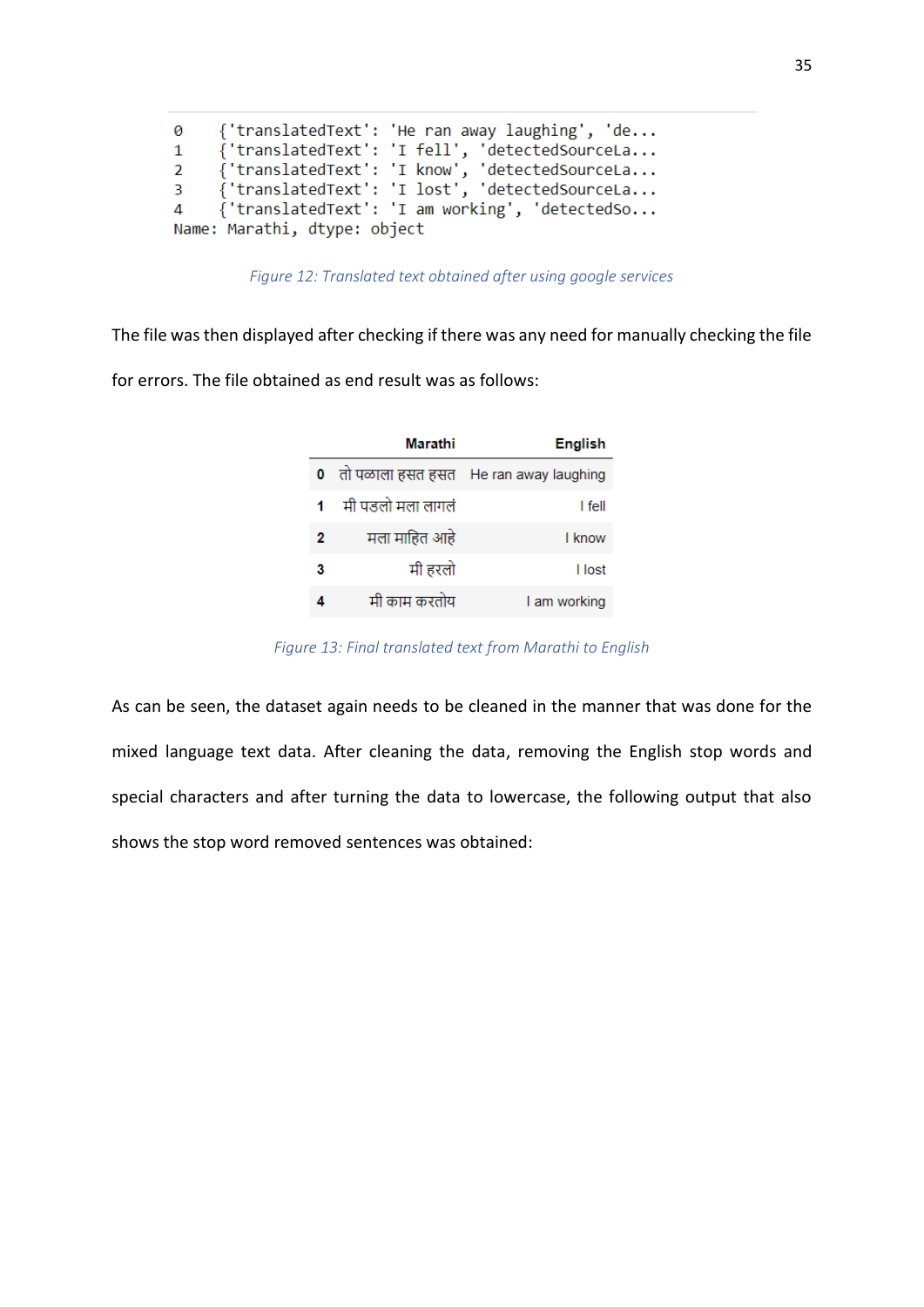| 0              |                              | {'translatedText': 'He ran away laughing', 'de |
|----------------|------------------------------|------------------------------------------------|
| $\mathbf{1}$   |                              | {'translatedText': 'I fell', 'detectedSourceLa |
| $2^{\circ}$    |                              | {'translatedText': 'I know', 'detectedSourceLa |
| 3.             |                              | {'translatedText': 'I lost', 'detectedSourceLa |
| $\overline{4}$ |                              | {'translatedText': 'I am working', 'detectedSo |
|                | Name: Marathi, dtype: object |                                                |

*Figure 12: Translated text obtained after using google services*

<span id="page-34-0"></span>The file was then displayed after checking if there was any need for manually checking the file

for errors. The file obtained as end result was as follows:

|   | Marathi              | <b>English</b>       |
|---|----------------------|----------------------|
|   | 0 ) तो पळाला हसत हसत | He ran away laughing |
|   | मी पडलो मला लागलं    | I fell               |
| 2 | मला माहित आहे        | I know               |
| з | मी हरलो              | I lost               |
|   | मी काम करतोय         | I am working         |

*Figure 13: Final translated text from Marathi to English*

<span id="page-34-1"></span>As can be seen, the dataset again needs to be cleaned in the manner that was done for the mixed language text data. After cleaning the data, removing the English stop words and special characters and after turning the data to lowercase, the following output that also shows the stop word removed sentences was obtained: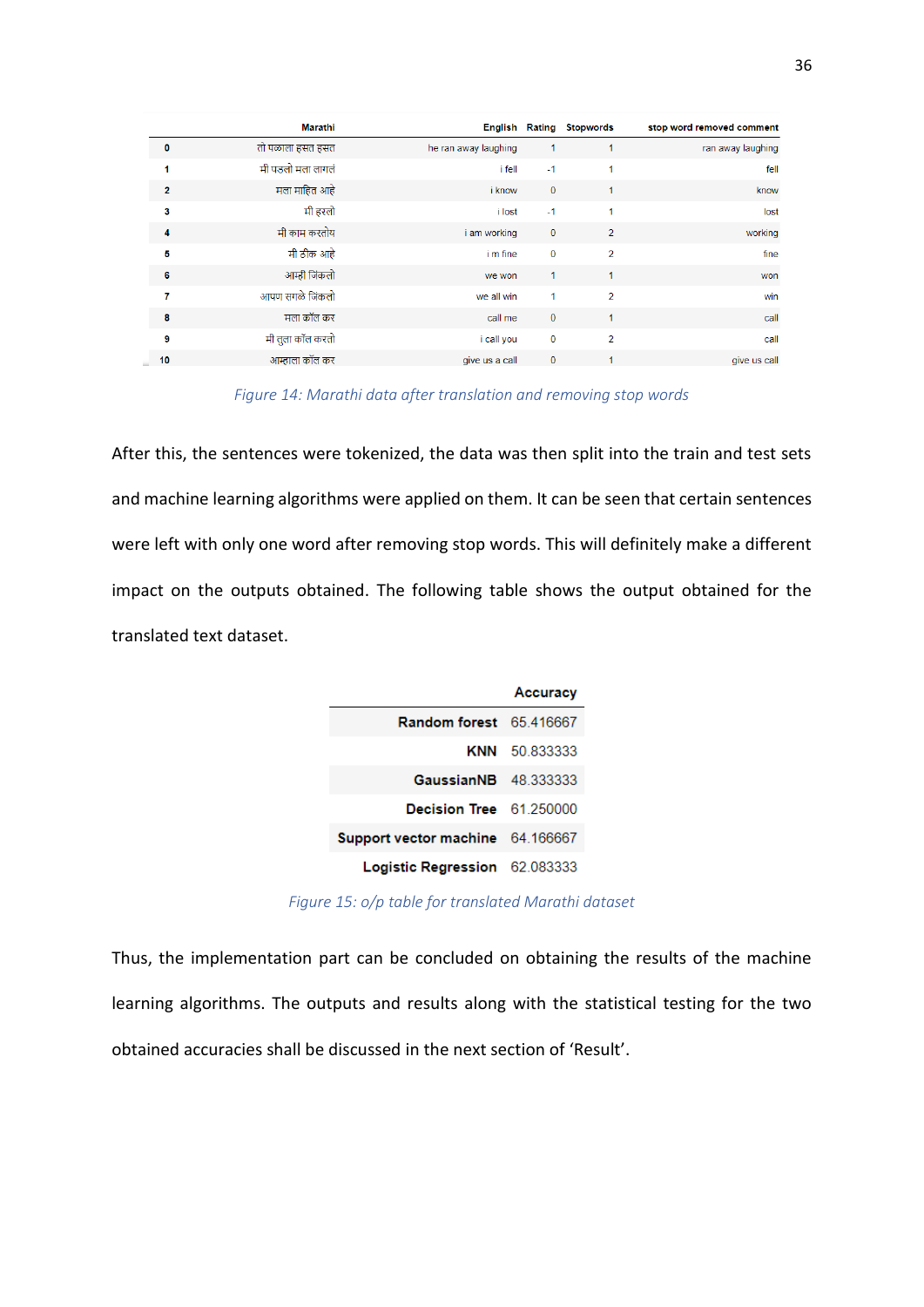|                | Marathi           |                      |             | <b>English Rating Stopwords</b> | stop word removed comment |
|----------------|-------------------|----------------------|-------------|---------------------------------|---------------------------|
| $\bf{0}$       | तो पळाला हसत हसत  | he ran away laughing | 1           |                                 | ran away laughing         |
| 1              | मी पडलो मला लागलं | i fell               | $-1$        |                                 | fell                      |
| $\mathbf{2}$   | मला माहित आहे     | <i>i</i> know        | $\mathbf 0$ |                                 | know                      |
| 3              | मी हरलो           | i lost               | $-1$        | 1                               | lost                      |
| 4              | मी काम करतोय      | i am working         | $\mathbf 0$ | $\overline{2}$                  | working                   |
| 5              | मी ठीक आहे        | i m fine             | $\mathbf 0$ | $\overline{2}$                  | fine                      |
| 6              | आम्ही जिंकलो      | we won               | 1           | $\blacktriangleleft$            | won                       |
| 7              | आपण सगळे जिंकलो   | we all win           | 1           | $\overline{2}$                  | win                       |
| 8              | मला कॉल कर        | call me              | $\mathbf 0$ | 1                               | call                      |
| $\overline{9}$ | मी तुला कॉल करतो  | i call you           | $\bf{0}$    | $\overline{2}$                  | call                      |
| 10             | आम्हाला कॉल कर    | give us a call       | $\mathbf 0$ |                                 | give us call              |

*Figure 14: Marathi data after translation and removing stop words*

<span id="page-35-0"></span>After this, the sentences were tokenized, the data was then split into the train and test sets and machine learning algorithms were applied on them. It can be seen that certain sentences were left with only one word after removing stop words. This will definitely make a different impact on the outputs obtained. The following table shows the output obtained for the translated text dataset.



*Figure 15: o/p table for translated Marathi dataset*

<span id="page-35-1"></span>Thus, the implementation part can be concluded on obtaining the results of the machine learning algorithms. The outputs and results along with the statistical testing for the two obtained accuracies shall be discussed in the next section of 'Result'.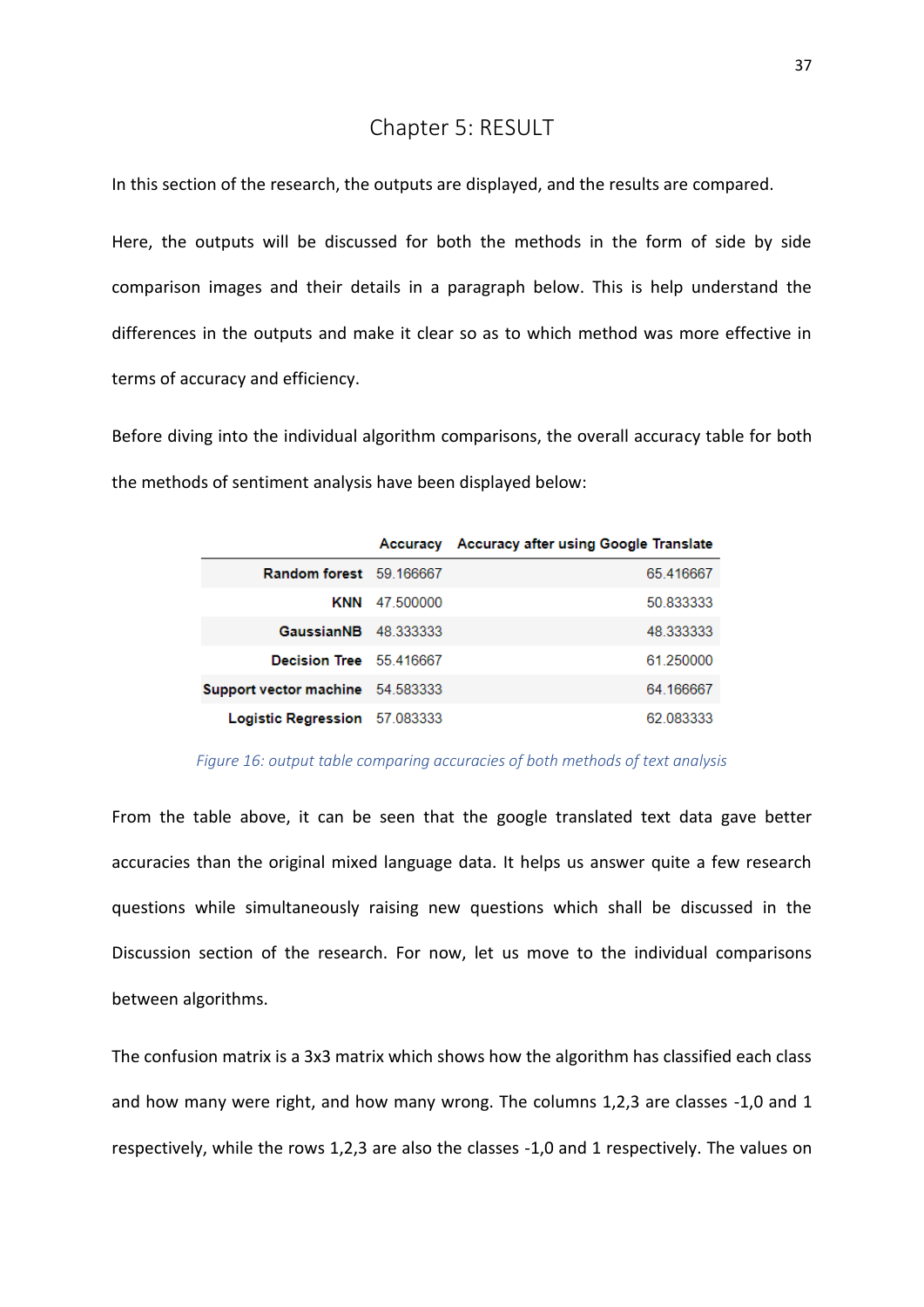# Chapter 5: RESULT

<span id="page-36-0"></span>In this section of the research, the outputs are displayed, and the results are compared.

Here, the outputs will be discussed for both the methods in the form of side by side comparison images and their details in a paragraph below. This is help understand the differences in the outputs and make it clear so as to which method was more effective in terms of accuracy and efficiency.

Before diving into the individual algorithm comparisons, the overall accuracy table for both the methods of sentiment analysis have been displayed below:

|                                         |                      | Accuracy Accuracy after using Google Translate |
|-----------------------------------------|----------------------|------------------------------------------------|
| Random forest 59.166667                 |                      | 65.416667                                      |
|                                         | <b>KNN</b> 47 500000 | 50 833333                                      |
| <b>GaussianNB</b> 48.333333             |                      | 48.333333                                      |
| Decision Tree 55 416667                 |                      | 61 250000                                      |
| <b>Support vector machine</b> 54.583333 |                      | 64.166667                                      |
| Logistic Regression 57.083333           |                      | 62.083333                                      |

#### *Figure 16: output table comparing accuracies of both methods of text analysis*

<span id="page-36-1"></span>From the table above, it can be seen that the google translated text data gave better accuracies than the original mixed language data. It helps us answer quite a few research questions while simultaneously raising new questions which shall be discussed in the Discussion section of the research. For now, let us move to the individual comparisons between algorithms.

The confusion matrix is a 3x3 matrix which shows how the algorithm has classified each class and how many were right, and how many wrong. The columns 1,2,3 are classes -1,0 and 1 respectively, while the rows 1,2,3 are also the classes -1,0 and 1 respectively. The values on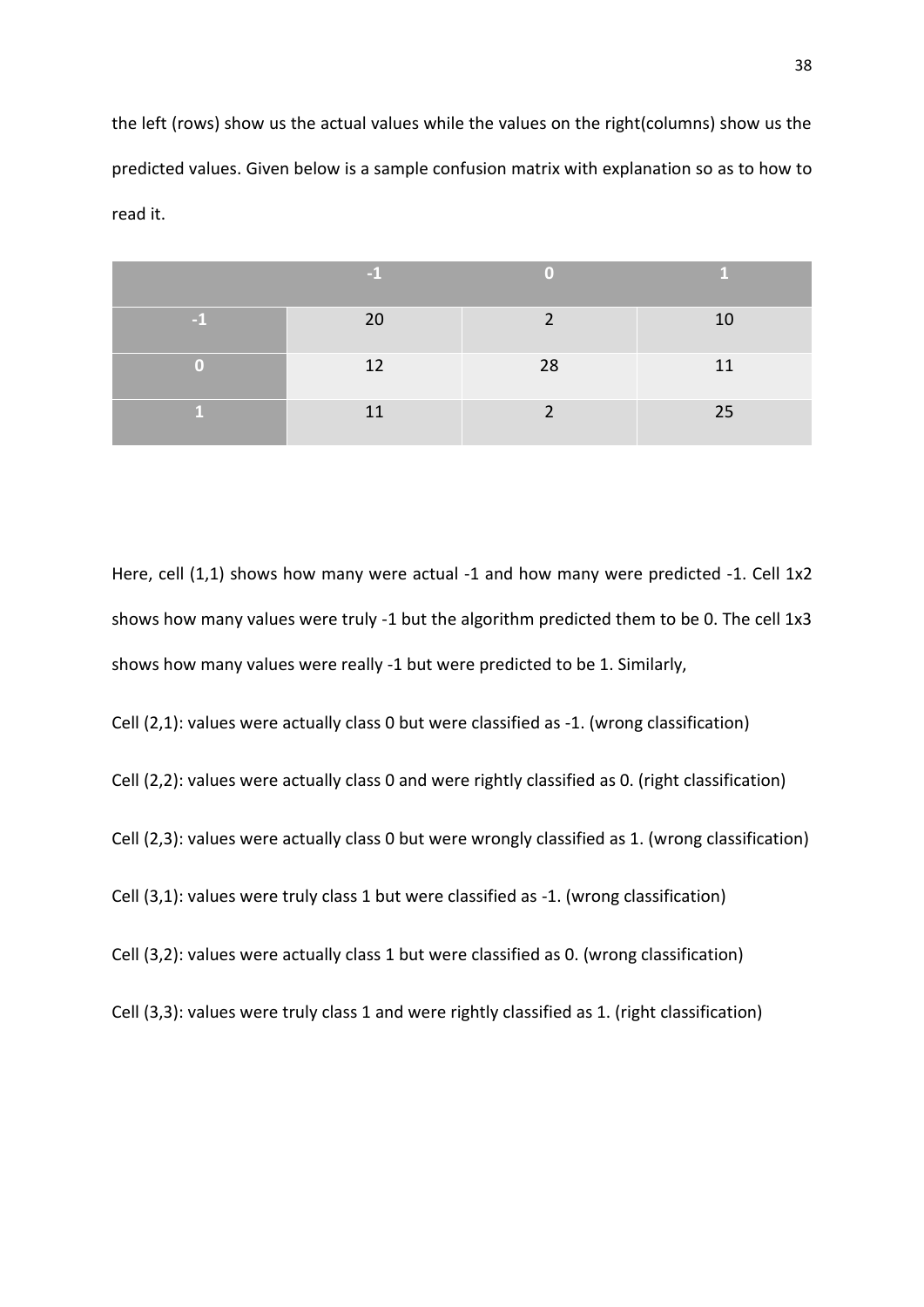the left (rows) show us the actual values while the values on the right(columns) show us the predicted values. Given below is a sample confusion matrix with explanation so as to how to read it.

|   | 20 | ◠  | 10 |
|---|----|----|----|
| ω | 12 | 28 | 11 |
|   | 11 |    | 25 |

Here, cell (1,1) shows how many were actual -1 and how many were predicted -1. Cell 1x2 shows how many values were truly -1 but the algorithm predicted them to be 0. The cell 1x3 shows how many values were really -1 but were predicted to be 1. Similarly,

Cell (2,1): values were actually class 0 but were classified as -1. (wrong classification)

Cell (2,2): values were actually class 0 and were rightly classified as 0. (right classification)

Cell (2,3): values were actually class 0 but were wrongly classified as 1. (wrong classification)

Cell (3,1): values were truly class 1 but were classified as -1. (wrong classification)

Cell (3,2): values were actually class 1 but were classified as 0. (wrong classification)

Cell (3,3): values were truly class 1 and were rightly classified as 1. (right classification)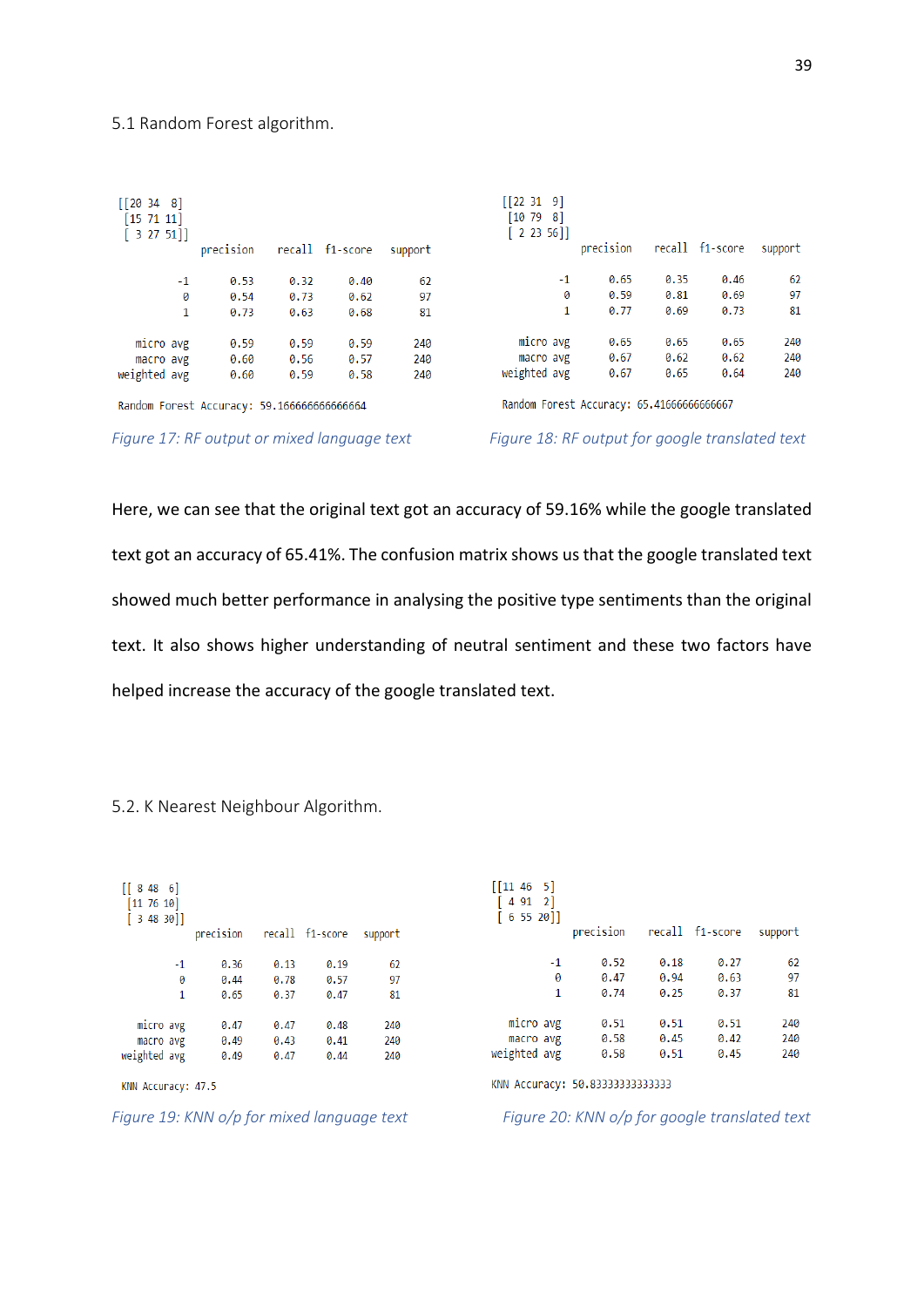#### <span id="page-38-0"></span>5.1 Random Forest algorithm.

| [20348]<br>[15 71 11]<br>[3 27 51]         | precision |      | recall f1-score | support | [[22 31 9]<br>[10 79 8]<br>[2 23 56]      | precision |      | recall f1-score | support |
|--------------------------------------------|-----------|------|-----------------|---------|-------------------------------------------|-----------|------|-----------------|---------|
| $-1$                                       | 0.53      | 0.32 | 0.40            | 62      | -1                                        | 0.65      | 0.35 | 0.46            | 62      |
| 0                                          | 0.54      | 0.73 | 0.62            | 97      | 0                                         | 0.59      | 0.81 | 0.69            | 97      |
| $\mathbf{1}$                               | 0.73      | 0.63 | 0.68            | 81      |                                           | 0.77      | 0.69 | 0.73            | 81      |
| micro avg                                  | 0.59      | 0.59 | 0.59            | 240     | micro avg                                 | 0.65      | 0.65 | 0.65            | 240     |
| macro avg                                  | 0.60      | 0.56 | 0.57            | 240     | macro avg                                 | 0.67      | 0.62 | 0.62            | 240     |
| weighted avg                               | 0.60      | 0.59 | 0.58            | 240     | weighted avg                              | 0.67      | 0.65 | 0.64            | 240     |
| Random Forest Accuracy: 59.166666666666664 |           |      |                 |         | Random Forest Accuracy: 65.41666666666667 |           |      |                 |         |

<span id="page-38-2"></span>*Figure 17: RF output or mixed language text Figure 18: RF output for google translated text*

Here, we can see that the original text got an accuracy of 59.16% while the google translated text got an accuracy of 65.41%. The confusion matrix shows us that the google translated text showed much better performance in analysing the positive type sentiments than the original text. It also shows higher understanding of neutral sentiment and these two factors have helped increase the accuracy of the google translated text.

<span id="page-38-1"></span>5.2. K Nearest Neighbour Algorithm.

| [8486]<br>[11 76 10]<br>[3 48 30] | precision |      | recall f1-score | support | $\begin{bmatrix} 11 & 46 & 5 \end{bmatrix}$<br>4 91 2]<br>$65520$ ] | precision |      | recall f1-score | support |
|-----------------------------------|-----------|------|-----------------|---------|---------------------------------------------------------------------|-----------|------|-----------------|---------|
| $-1$                              | 0.36      | 0.13 | 0.19            | 62      | $-1$                                                                | 0.52      | 0.18 | 0.27            | 62      |
| 0                                 | 0.44      | 0.78 | 0.57            | 97      | 0                                                                   | 0.47      | 0.94 | 0.63            | 97      |
| $\mathbf{1}$                      | 0.65      | 0.37 | 0.47            | 81      | 1                                                                   | 0.74      | 0.25 | 0.37            | 81      |
| micro avg                         | 0.47      | 0.47 | 0.48            | 240     | micro avg                                                           | 0.51      | 0.51 | 0.51            | 240     |
| macro avg                         | 0.49      | 0.43 | 0.41            | 240     | macro avg                                                           | 0.58      | 0.45 | 0.42            | 240     |
| weighted avg                      | 0.49      | 0.47 | 0.44            | 240     | weighted avg                                                        | 0.58      | 0.51 | 0.45            | 240     |
| KNN Accuracy: 47.5                |           |      |                 |         | KNN Accuracy: 50.83333333333333                                     |           |      |                 |         |

<span id="page-38-3"></span>*Figure 19: KNN o/p for mixed language text Figure 20: KNN o/p for google translated text*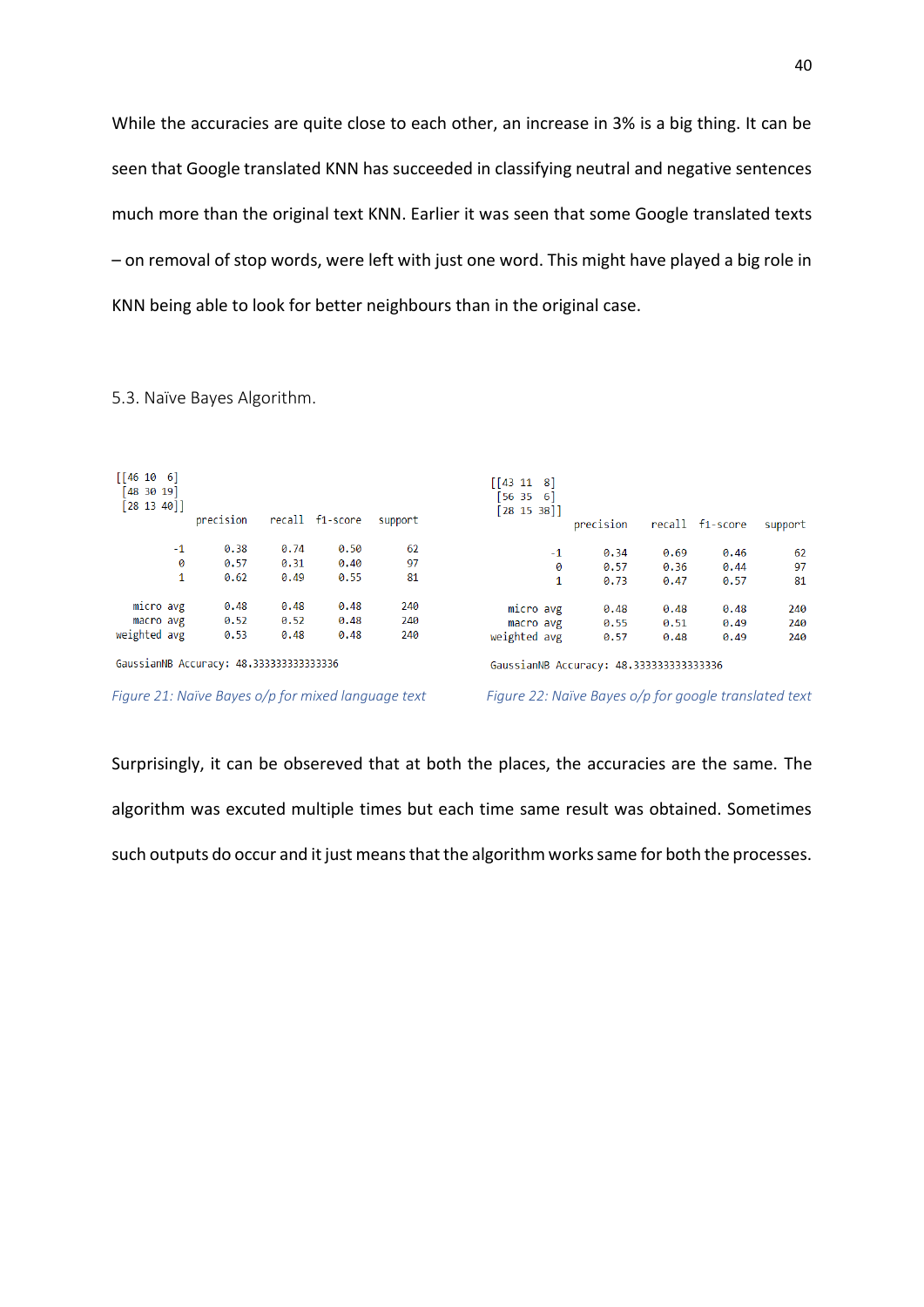While the accuracies are quite close to each other, an increase in 3% is a big thing. It can be seen that Google translated KNN has succeeded in classifying neutral and negative sentences much more than the original text KNN. Earlier it was seen that some Google translated texts – on removal of stop words, were left with just one word. This might have played a big role in KNN being able to look for better neighbours than in the original case.

| $\begin{bmatrix} 46 & 10 & 6 \end{bmatrix}$<br>[48 30 19]<br>[28 13 40]            | precision |      | recall f1-score | support | $\begin{bmatrix} 43 & 11 & 8 \end{bmatrix}$<br>[56 35 6]<br>[28 15 38] | precision |      | recall f1-score | support |
|------------------------------------------------------------------------------------|-----------|------|-----------------|---------|------------------------------------------------------------------------|-----------|------|-----------------|---------|
| $-1$                                                                               | 0.38      | 0.74 | 0.50            | 62      | $-1$                                                                   | 0.34      | 0.69 | 0.46            | -62     |
| 0                                                                                  | 0.57      | 0.31 | 0.40            | 97      | 0                                                                      | 0.57      | 0.36 | 0.44            | 97      |
| 1                                                                                  | 0.62      | 0.49 | 0.55            | 81      | 1                                                                      | 0.73      | 0.47 | 0.57            | 81      |
| micro avg                                                                          | 0.48      | 0.48 | 0.48            | 240     | micro avg                                                              | 0.48      | 0.48 | 0.48            | 240     |
| macro avg                                                                          | 0.52      | 0.52 | 0.48            | 240     | macro avg                                                              | 0.55      | 0.51 | 0.49            | 240     |
| weighted avg                                                                       | 0.53      | 0.48 | 0.48            | 240     | weighted avg                                                           | 0.57      | 0.48 | 0.49            | 240     |
| GaussianNB Accuracy: 48.333333333333336<br>GaussianNB Accuracy: 48.333333333333336 |           |      |                 |         |                                                                        |           |      |                 |         |

<span id="page-39-0"></span>5.3. Naïve Bayes Algorithm.

<span id="page-39-1"></span>*Figure 21: Naïve Bayes o/p for mixed language text Figure 22: Naïve Bayes o/p for google translated text*

Surprisingly, it can be obsereved that at both the places, the accuracies are the same. The algorithm was excuted multiple times but each time same result was obtained. Sometimes such outputs do occur and it just means that the algorithm works same for both the processes.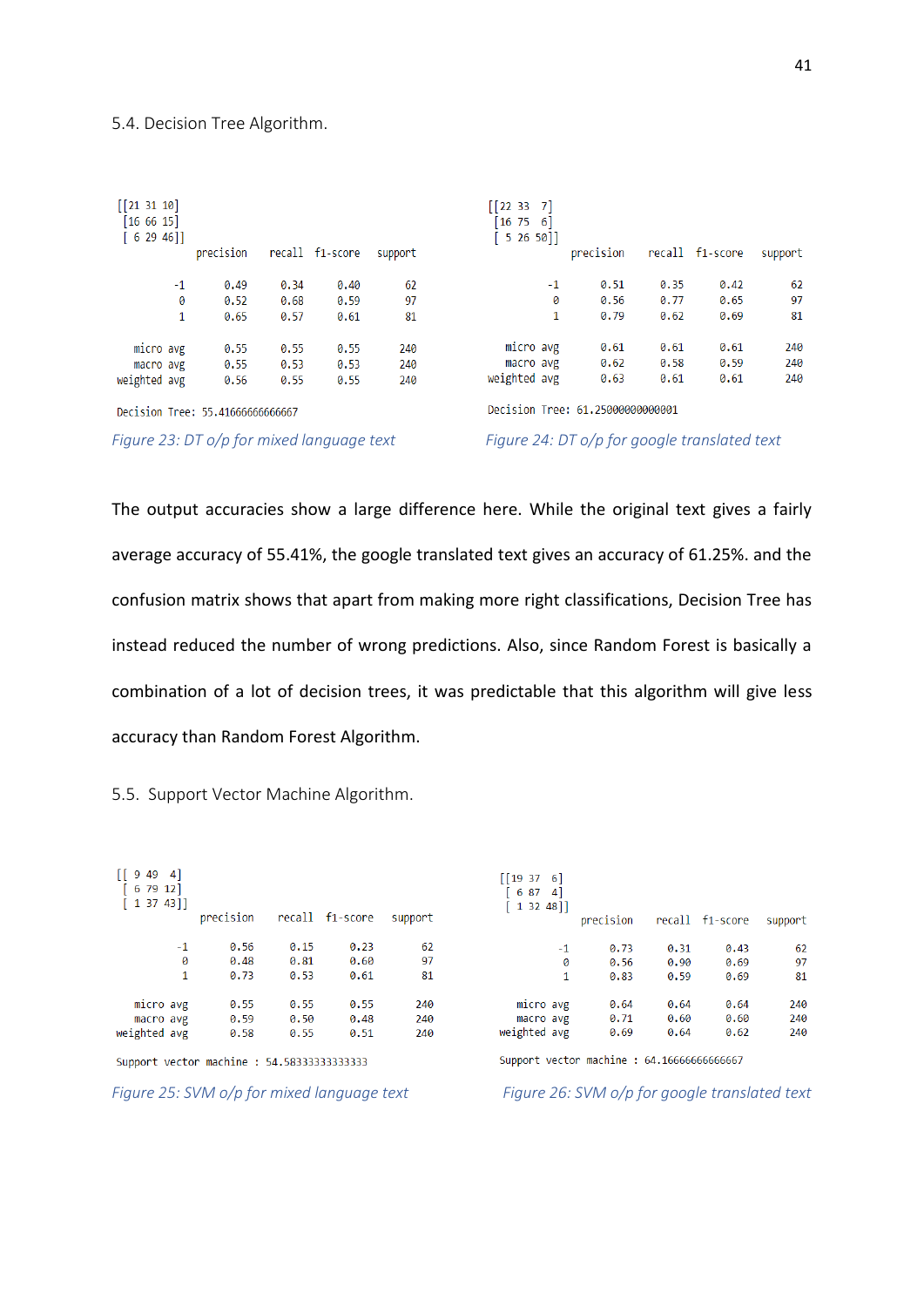#### <span id="page-40-0"></span>5.4. Decision Tree Algorithm.

| $[$ [21 31 10]<br>[16 66 15]<br>$62946$ ] | precision |      | recall f1-score | support | $\begin{bmatrix} 22 & 33 & 7 \end{bmatrix}$<br>$\begin{bmatrix} 16 & 75 & 6 \end{bmatrix}$<br>5 26 50]] | precision                                    |      | recall f1-score | support |
|-------------------------------------------|-----------|------|-----------------|---------|---------------------------------------------------------------------------------------------------------|----------------------------------------------|------|-----------------|---------|
| $-1$                                      | 0.49      | 0.34 | 0.40            | 62      | $-1$                                                                                                    | 0.51                                         | 0.35 | 0.42            | 62      |
| 0                                         | 0.52      | 0.68 | 0.59            | 97      | 0                                                                                                       | 0.56                                         | 0.77 | 0.65            | 97      |
| 1                                         | 0.65      | 0.57 | 0.61            | 81      | 1                                                                                                       | 0.79                                         | 0.62 | 0.69            | 81      |
| micro avg                                 | 0.55      | 0.55 | 0.55            | 240     | micro avg                                                                                               | 0.61                                         | 0.61 | 0.61            | 240     |
| macro avg                                 | 0.55      | 0.53 | 0.53            | 240     | macro avg                                                                                               | 0.62                                         | 0.58 | 0.59            | 240     |
| weighted avg                              | 0.56      | 0.55 | 0.55            | 240     | weighted avg                                                                                            | 0.63                                         | 0.61 | 0.61            | 240     |
| Decision Tree: 55.41666666666667          |           |      |                 |         | Decision Tree: 61.25000000000001                                                                        |                                              |      |                 |         |
| Figure 23: DT o/p for mixed language text |           |      |                 |         |                                                                                                         | Figure 24: DT o/p for google translated text |      |                 |         |

<span id="page-40-2"></span>The output accuracies show a large difference here. While the original text gives a fairly average accuracy of 55.41%, the google translated text gives an accuracy of 61.25%. and the confusion matrix shows that apart from making more right classifications, Decision Tree has instead reduced the number of wrong predictions. Also, since Random Forest is basically a combination of a lot of decision trees, it was predictable that this algorithm will give less accuracy than Random Forest Algorithm.

| $[$ [ 9 49 4]<br>[ 6 79 12]<br>[13743]    | precision |      | recall f1-score | support |
|-------------------------------------------|-----------|------|-----------------|---------|
| $-1$                                      | 0.56      | 0.15 | 0.23            | 62      |
| ø                                         | 0.48      | 0.81 | 0.60            | 97      |
| 1                                         | 0.73      | 0.53 | 0.61            | 81      |
|                                           |           |      |                 |         |
| micro avg                                 | 0.55      | 0.55 | 0.55            | 240     |
| macro avg                                 | 0.59      | 0.50 | 0.48            | 240     |
| weighted avg                              | 0.58      | 0.55 | 0.51            | 240     |
| Support vector machine: 54.58333333333333 |           |      |                 |         |

<span id="page-40-1"></span>5.5. Support Vector Machine Algorithm.

<span id="page-40-3"></span>*Figure 25: SVM o/p for mixed language text Figure 26: SVM o/p for google translated text*

| [19376]<br>6 87<br>1 32 48]] | 4    |           |      |                 |         |
|------------------------------|------|-----------|------|-----------------|---------|
|                              |      | precision |      | recall f1-score | support |
|                              | $-1$ | 0.73      | 0.31 | 0.43            | 62      |
|                              | 0    | 0.56      | 0.90 | 0.69            | 97      |
|                              | 1    | 0.83      | 0.59 | 0.69            | 81      |
| micro avg                    |      | 0.64      | 0.64 | 0.64            | 240     |
| macro avg                    |      | 0.71      | 0.60 | 0.60            | 240     |
| weighted avg                 |      | 0.69      | 0.64 | 0.62            | 240     |

Support vector machine : 64.16666666666667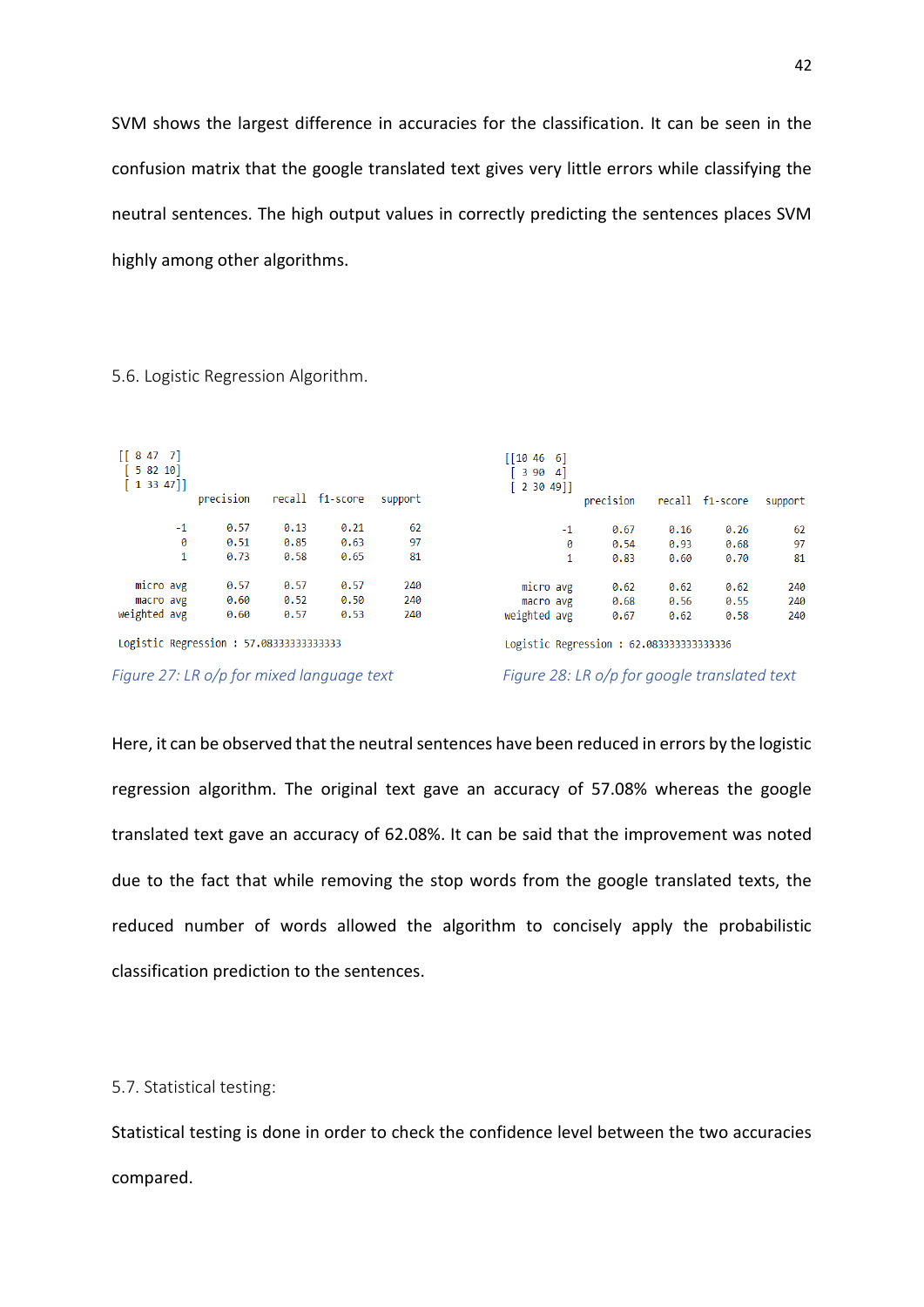SVM shows the largest difference in accuracies for the classification. It can be seen in the confusion matrix that the google translated text gives very little errors while classifying the neutral sentences. The high output values in correctly predicting the sentences places SVM highly among other algorithms.

<span id="page-41-0"></span>5.6. Logistic Regression Algorithm.

| $[$ [ 8 47 7]<br>[58210]<br>[13347] |      | precision                               |      | recall f1-score | support | [10466]<br>3904]<br>$2, 30, 49$ ]       | precision |      | recall f1-score | support |
|-------------------------------------|------|-----------------------------------------|------|-----------------|---------|-----------------------------------------|-----------|------|-----------------|---------|
|                                     | $-1$ | 0.57                                    | 0.13 | 0.21            | 62      | $-1$                                    | 0.67      | 0.16 | 0.26            | 62      |
|                                     | 0    | 0.51                                    | 0.85 | 0.63            | 97      | 0                                       | 0.54      | 0.93 | 0.68            | 97      |
|                                     | 1    | 0.73                                    | 0.58 | 0.65            | 81      | 1                                       | 0.83      | 0.60 | 0.70            | 81      |
| micro avg                           |      | 0.57                                    | 0.57 | 0.57            | 240     | micro avg                               | 0.62      | 0.62 | 0.62            | 240     |
| macro avg                           |      | 0.60                                    | 0.52 | 0.50            | 240     | macro avg                               | 0.68      | 0.56 | 0.55            | 240     |
| weighted avg                        |      | 0.60                                    | 0.57 | 0.53            | 240     | weighted avg                            | 0.67      | 0.62 | 0.58            | 240     |
|                                     |      | Logistic Regression : 57.08333333333333 |      |                 |         | Logistic Regression: 62.083333333333336 |           |      |                 |         |

<span id="page-41-2"></span>*Figure 27: LR o/p for mixed language text Figure 28: LR o/p for google translated text*

Here, it can be observed that the neutral sentences have been reduced in errors by the logistic regression algorithm. The original text gave an accuracy of 57.08% whereas the google translated text gave an accuracy of 62.08%. It can be said that the improvement was noted due to the fact that while removing the stop words from the google translated texts, the reduced number of words allowed the algorithm to concisely apply the probabilistic classification prediction to the sentences.

<span id="page-41-1"></span>5.7. Statistical testing:

Statistical testing is done in order to check the confidence level between the two accuracies compared.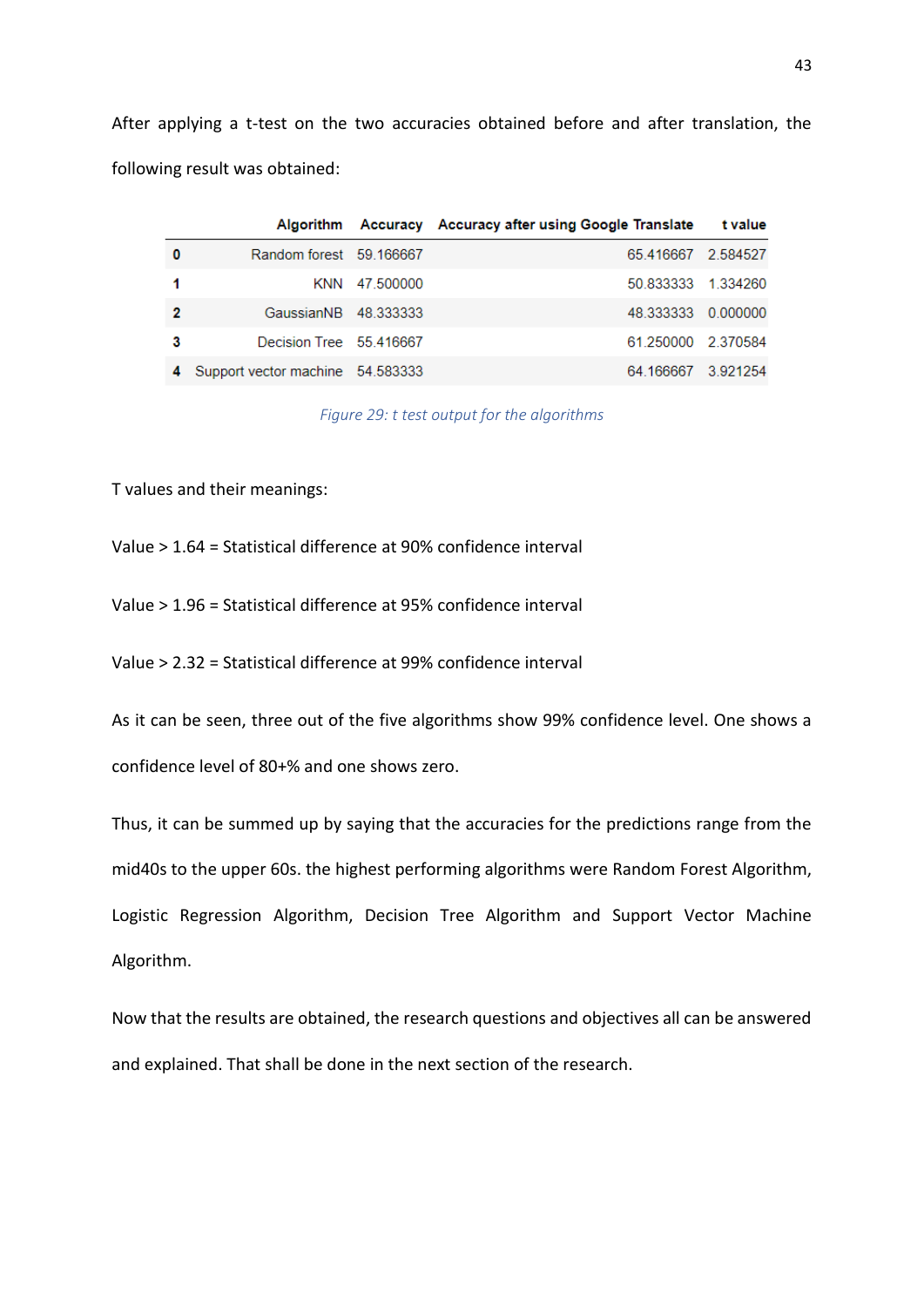After applying a t-test on the two accuracies obtained before and after translation, the following result was obtained:

|   |                                  |               | Algorithm Accuracy Accuracy after using Google Translate | t value |
|---|----------------------------------|---------------|----------------------------------------------------------|---------|
|   | Random forest 59.166667          |               | 65.416667 2.584527                                       |         |
|   |                                  | KNN 47 500000 | 50 833333 1 334260                                       |         |
| 2 | GaussianNB 48.333333             |               | 48.333333 0.000000                                       |         |
| 3 | Decision Tree 55.416667          |               | 61.250000 2.370584                                       |         |
|   | Support vector machine 54.583333 |               | 64.166667 3.921254                                       |         |

*Figure 29: t test output for the algorithms*

<span id="page-42-0"></span>T values and their meanings:

Value > 1.64 = Statistical difference at 90% confidence interval

Value > 1.96 = Statistical difference at 95% confidence interval

Value > 2.32 = Statistical difference at 99% confidence interval

As it can be seen, three out of the five algorithms show 99% confidence level. One shows a confidence level of 80+% and one shows zero.

Thus, it can be summed up by saying that the accuracies for the predictions range from the mid40s to the upper 60s. the highest performing algorithms were Random Forest Algorithm, Logistic Regression Algorithm, Decision Tree Algorithm and Support Vector Machine Algorithm.

Now that the results are obtained, the research questions and objectives all can be answered and explained. That shall be done in the next section of the research.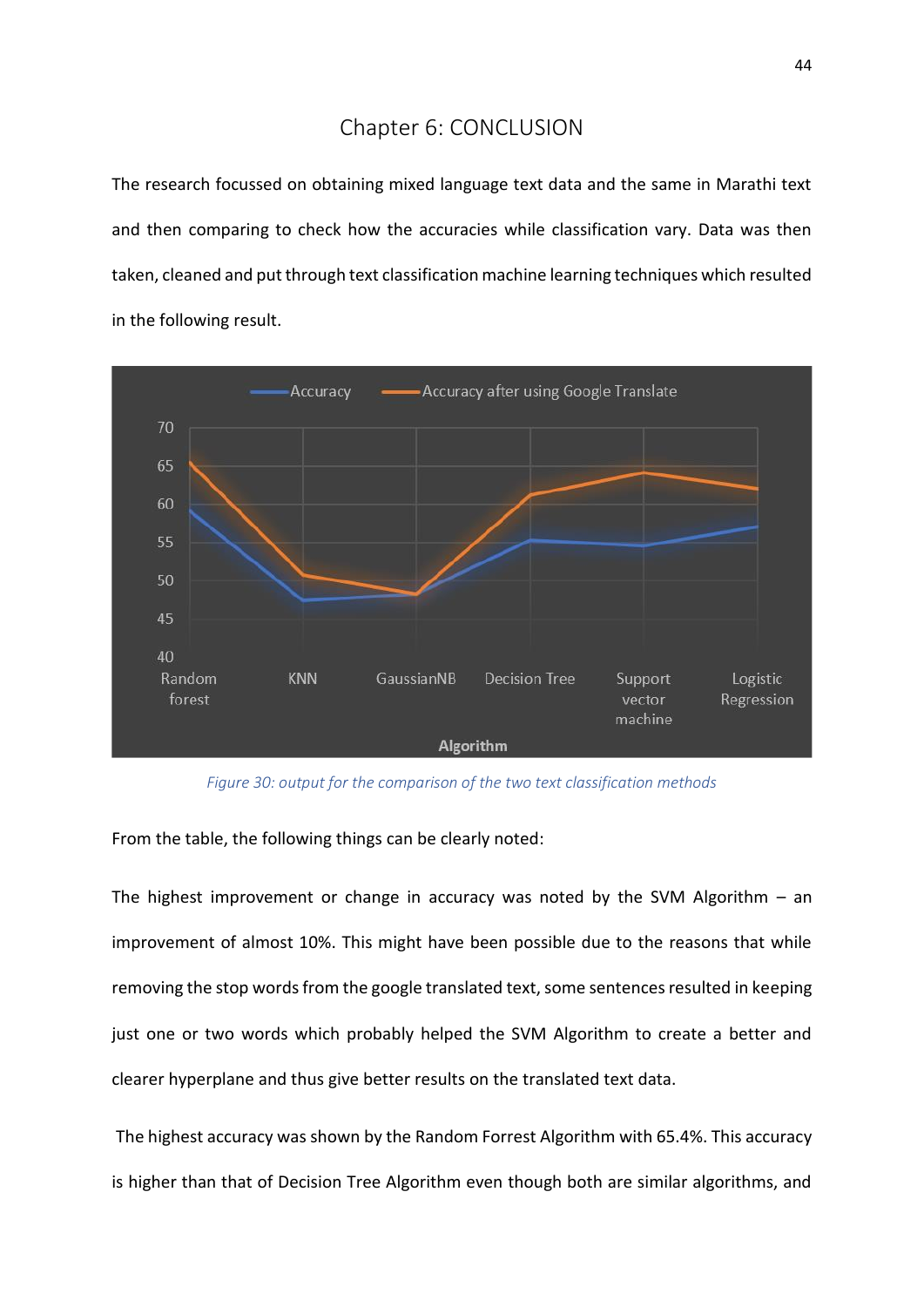# Chapter 6: CONCLUSION

<span id="page-43-0"></span>The research focussed on obtaining mixed language text data and the same in Marathi text and then comparing to check how the accuracies while classification vary. Data was then taken, cleaned and put through text classification machine learning techniques which resulted in the following result.



*Figure 30: output for the comparison of the two text classification methods*

<span id="page-43-1"></span>From the table, the following things can be clearly noted:

The highest improvement or change in accuracy was noted by the SVM Algorithm  $-$  an improvement of almost 10%. This might have been possible due to the reasons that while removing the stop words from the google translated text, some sentences resulted in keeping just one or two words which probably helped the SVM Algorithm to create a better and clearer hyperplane and thus give better results on the translated text data.

The highest accuracy was shown by the Random Forrest Algorithm with 65.4%. This accuracy is higher than that of Decision Tree Algorithm even though both are similar algorithms, and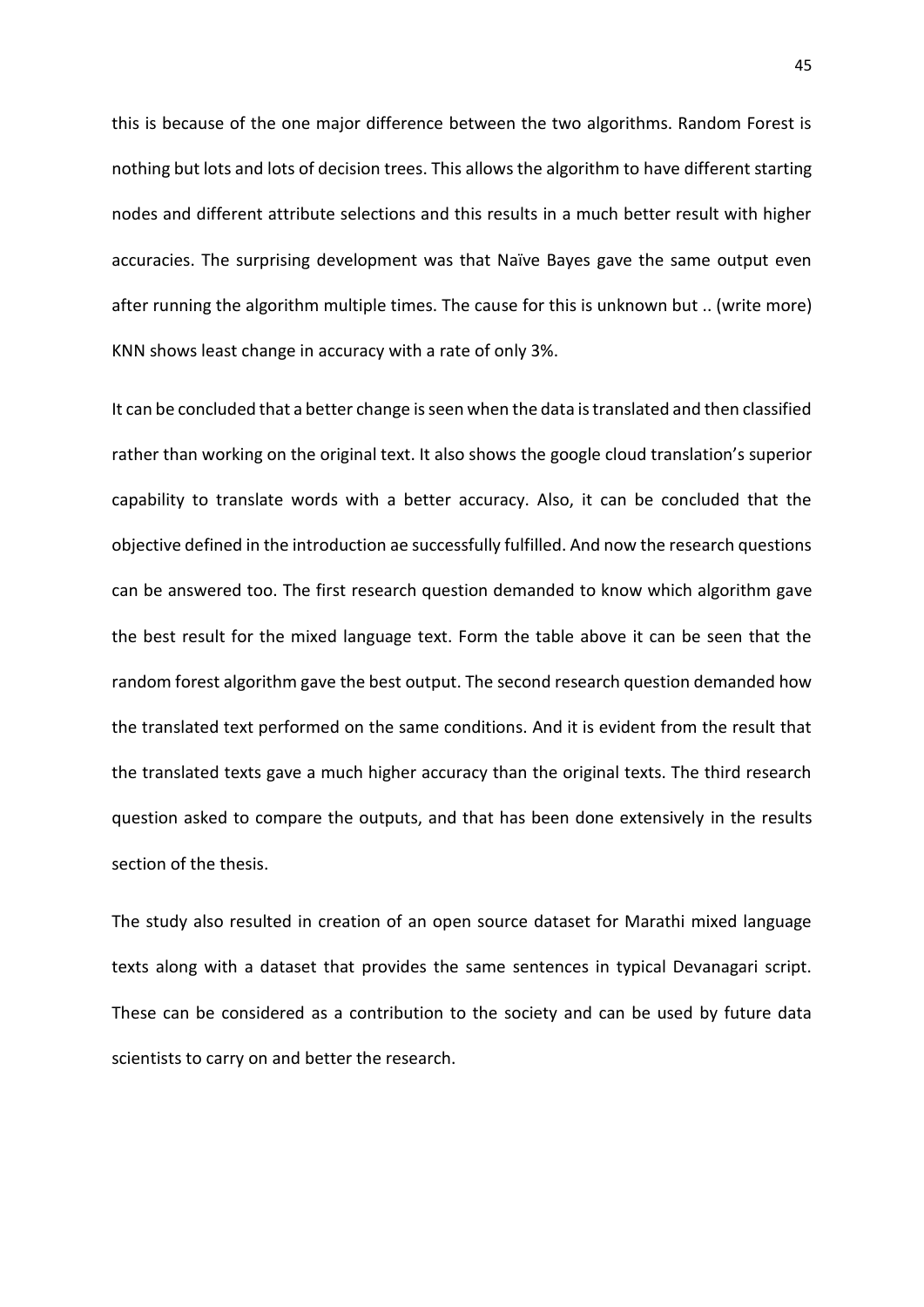this is because of the one major difference between the two algorithms. Random Forest is nothing but lots and lots of decision trees. This allows the algorithm to have different starting nodes and different attribute selections and this results in a much better result with higher accuracies. The surprising development was that Naïve Bayes gave the same output even after running the algorithm multiple times. The cause for this is unknown but .. (write more) KNN shows least change in accuracy with a rate of only 3%.

It can be concluded that a better change is seen when the data is translated and then classified rather than working on the original text. It also shows the google cloud translation's superior capability to translate words with a better accuracy. Also, it can be concluded that the objective defined in the introduction ae successfully fulfilled. And now the research questions can be answered too. The first research question demanded to know which algorithm gave the best result for the mixed language text. Form the table above it can be seen that the random forest algorithm gave the best output. The second research question demanded how the translated text performed on the same conditions. And it is evident from the result that the translated texts gave a much higher accuracy than the original texts. The third research question asked to compare the outputs, and that has been done extensively in the results section of the thesis.

The study also resulted in creation of an open source dataset for Marathi mixed language texts along with a dataset that provides the same sentences in typical Devanagari script. These can be considered as a contribution to the society and can be used by future data scientists to carry on and better the research.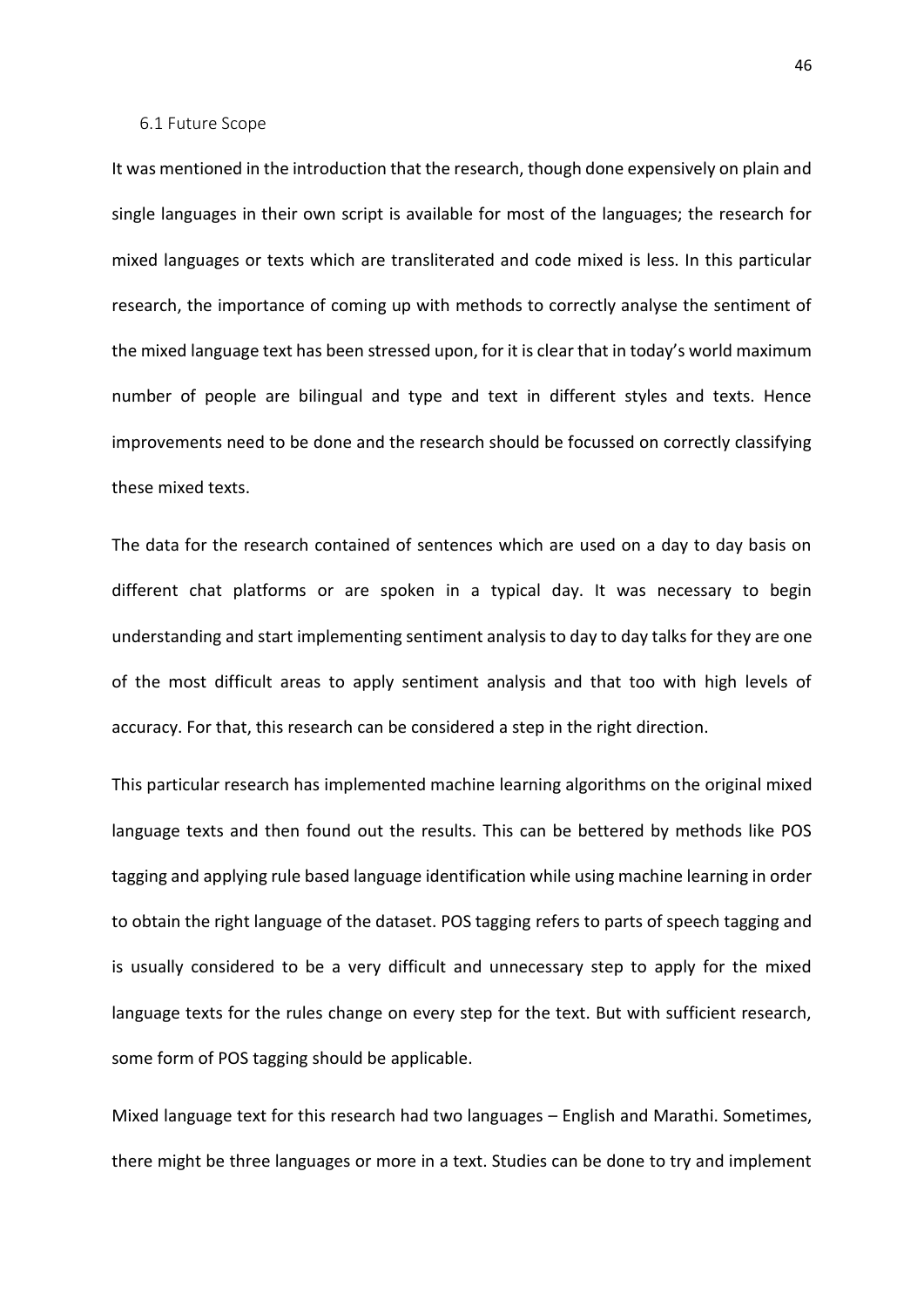#### <span id="page-45-0"></span>6.1 Future Scope

It was mentioned in the introduction that the research, though done expensively on plain and single languages in their own script is available for most of the languages; the research for mixed languages or texts which are transliterated and code mixed is less. In this particular research, the importance of coming up with methods to correctly analyse the sentiment of the mixed language text has been stressed upon, for it is clear that in today's world maximum number of people are bilingual and type and text in different styles and texts. Hence improvements need to be done and the research should be focussed on correctly classifying these mixed texts.

The data for the research contained of sentences which are used on a day to day basis on different chat platforms or are spoken in a typical day. It was necessary to begin understanding and start implementing sentiment analysis to day to day talks for they are one of the most difficult areas to apply sentiment analysis and that too with high levels of accuracy. For that, this research can be considered a step in the right direction.

This particular research has implemented machine learning algorithms on the original mixed language texts and then found out the results. This can be bettered by methods like POS tagging and applying rule based language identification while using machine learning in order to obtain the right language of the dataset. POS tagging refers to parts of speech tagging and is usually considered to be a very difficult and unnecessary step to apply for the mixed language texts for the rules change on every step for the text. But with sufficient research, some form of POS tagging should be applicable.

Mixed language text for this research had two languages – English and Marathi. Sometimes, there might be three languages or more in a text. Studies can be done to try and implement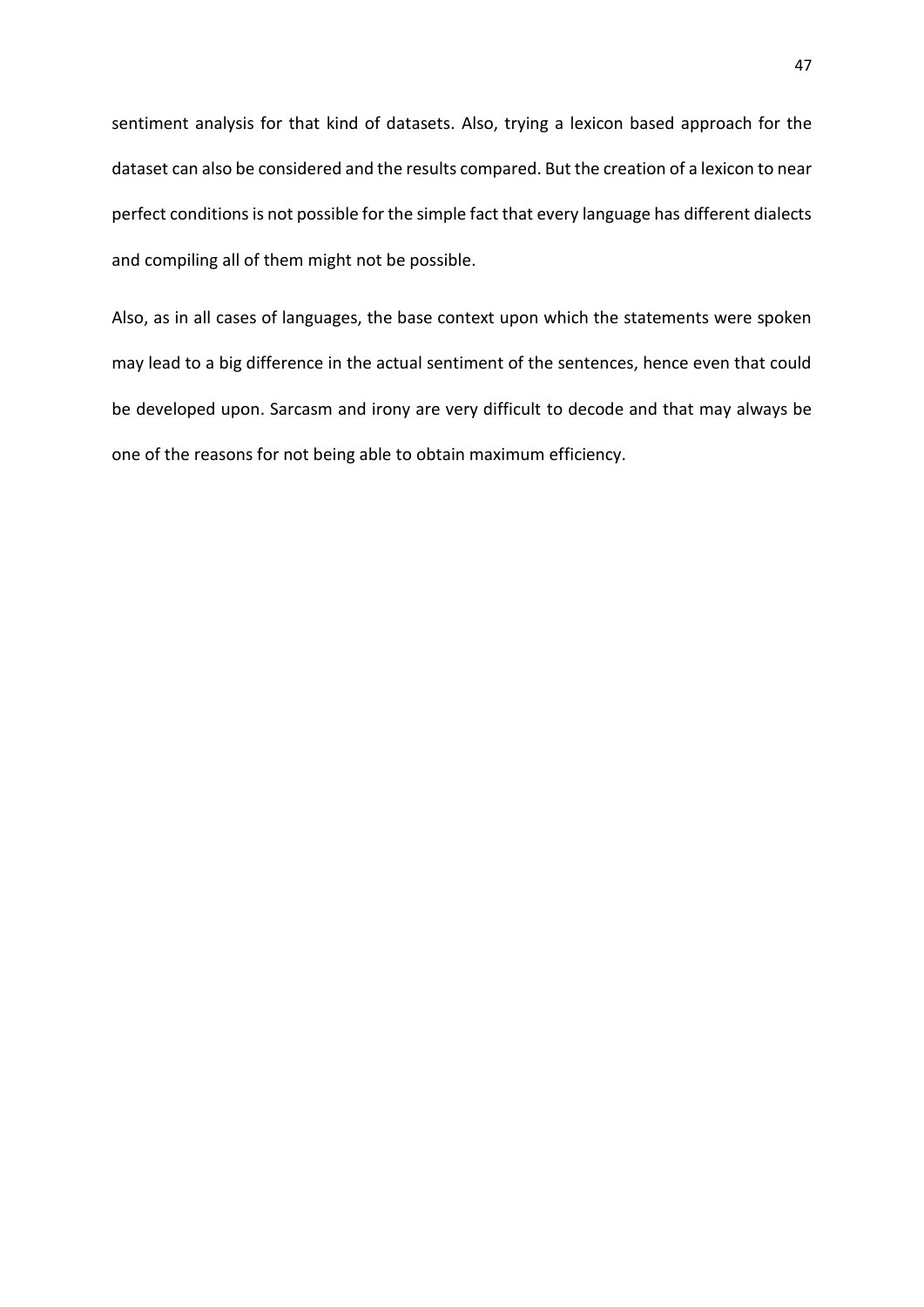sentiment analysis for that kind of datasets. Also, trying a lexicon based approach for the dataset can also be considered and the results compared. But the creation of a lexicon to near perfect conditions is not possible for the simple fact that every language has different dialects and compiling all of them might not be possible.

Also, as in all cases of languages, the base context upon which the statements were spoken may lead to a big difference in the actual sentiment of the sentences, hence even that could be developed upon. Sarcasm and irony are very difficult to decode and that may always be one of the reasons for not being able to obtain maximum efficiency.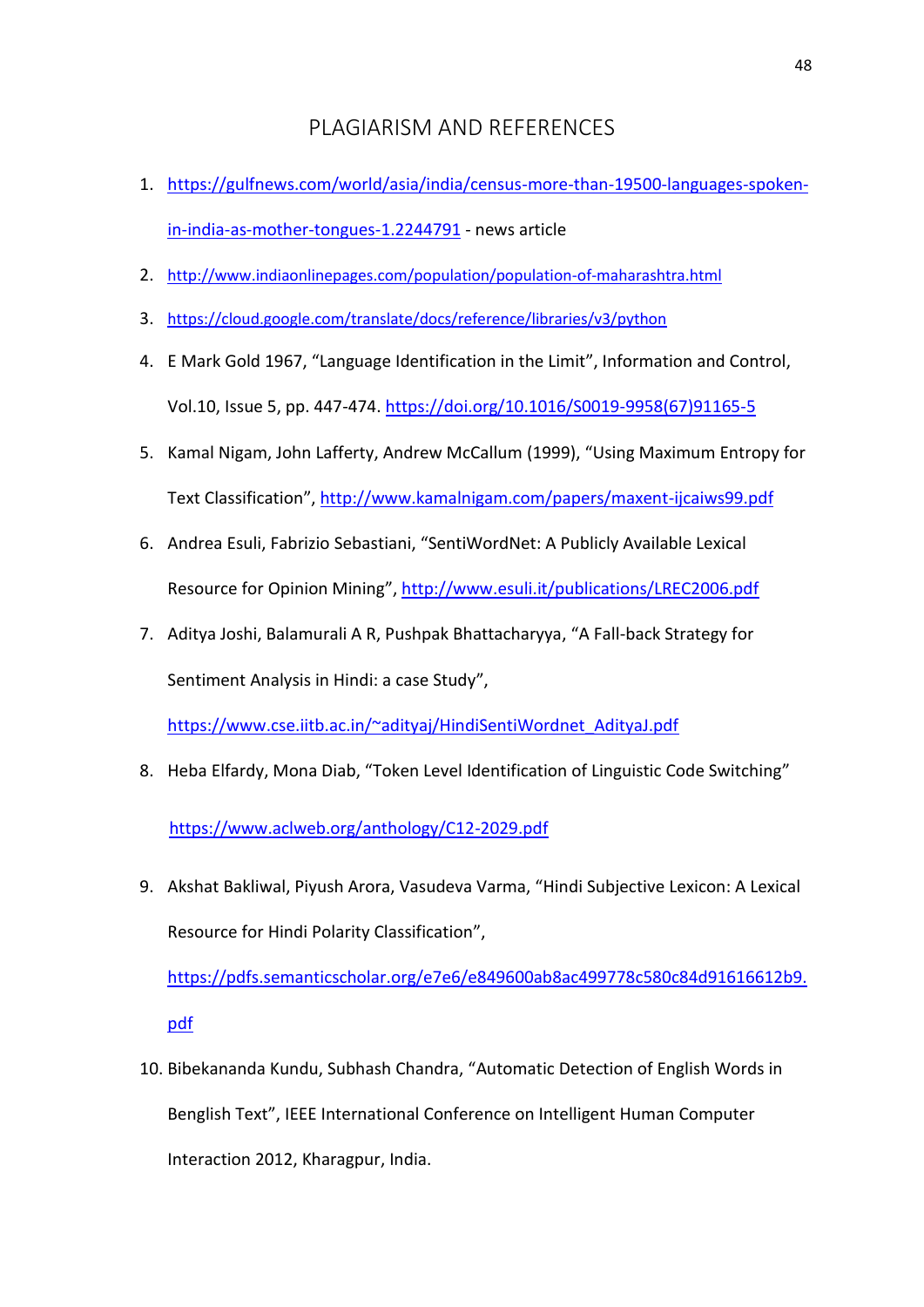# PLAGIARISM AND REFERENCES

- <span id="page-47-0"></span>1. [https://gulfnews.com/world/asia/india/census-more-than-19500-languages-spoken](https://gulfnews.com/world/asia/india/census-more-than-19500-languages-spoken-in-india-as-mother-tongues-1.2244791)[in-india-as-mother-tongues-1.2244791](https://gulfnews.com/world/asia/india/census-more-than-19500-languages-spoken-in-india-as-mother-tongues-1.2244791) - news article
- 2. <http://www.indiaonlinepages.com/population/population-of-maharashtra.html>
- 3. <https://cloud.google.com/translate/docs/reference/libraries/v3/python>
- 4. E Mark Gold 1967, "Language Identification in the Limit", Information and Control, Vol.10, Issue 5, pp. 447-474. [https://doi.org/10.1016/S0019-9958\(67\)91165-5](https://doi.org/10.1016/S0019-9958(67)91165-5)
- 5. Kamal Nigam, John Lafferty, Andrew McCallum (1999), "Using Maximum Entropy for Text Classification",<http://www.kamalnigam.com/papers/maxent-ijcaiws99.pdf>
- 6. Andrea Esuli, Fabrizio Sebastiani, "SentiWordNet: A Publicly Available Lexical Resource for Opinion Mining",<http://www.esuli.it/publications/LREC2006.pdf>
- 7. Aditya Joshi, Balamurali A R, Pushpak Bhattacharyya, "A Fall-back Strategy for Sentiment Analysis in Hindi: a case Study",

[https://www.cse.iitb.ac.in/~adityaj/HindiSentiWordnet\\_AdityaJ.pdf](https://www.cse.iitb.ac.in/~adityaj/HindiSentiWordnet_AdityaJ.pdf)

8. Heba Elfardy, Mona Diab, "Token Level Identification of Linguistic Code Switching"

<https://www.aclweb.org/anthology/C12-2029.pdf>

9. Akshat Bakliwal, Piyush Arora, Vasudeva Varma, "Hindi Subjective Lexicon: A Lexical Resource for Hindi Polarity Classification",

[https://pdfs.semanticscholar.org/e7e6/e849600ab8ac499778c580c84d91616612b9.](https://pdfs.semanticscholar.org/e7e6/e849600ab8ac499778c580c84d91616612b9.pdf) [pdf](https://pdfs.semanticscholar.org/e7e6/e849600ab8ac499778c580c84d91616612b9.pdf)

10. Bibekananda Kundu, Subhash Chandra, "Automatic Detection of English Words in Benglish Text", IEEE International Conference on Intelligent Human Computer Interaction 2012, Kharagpur, India.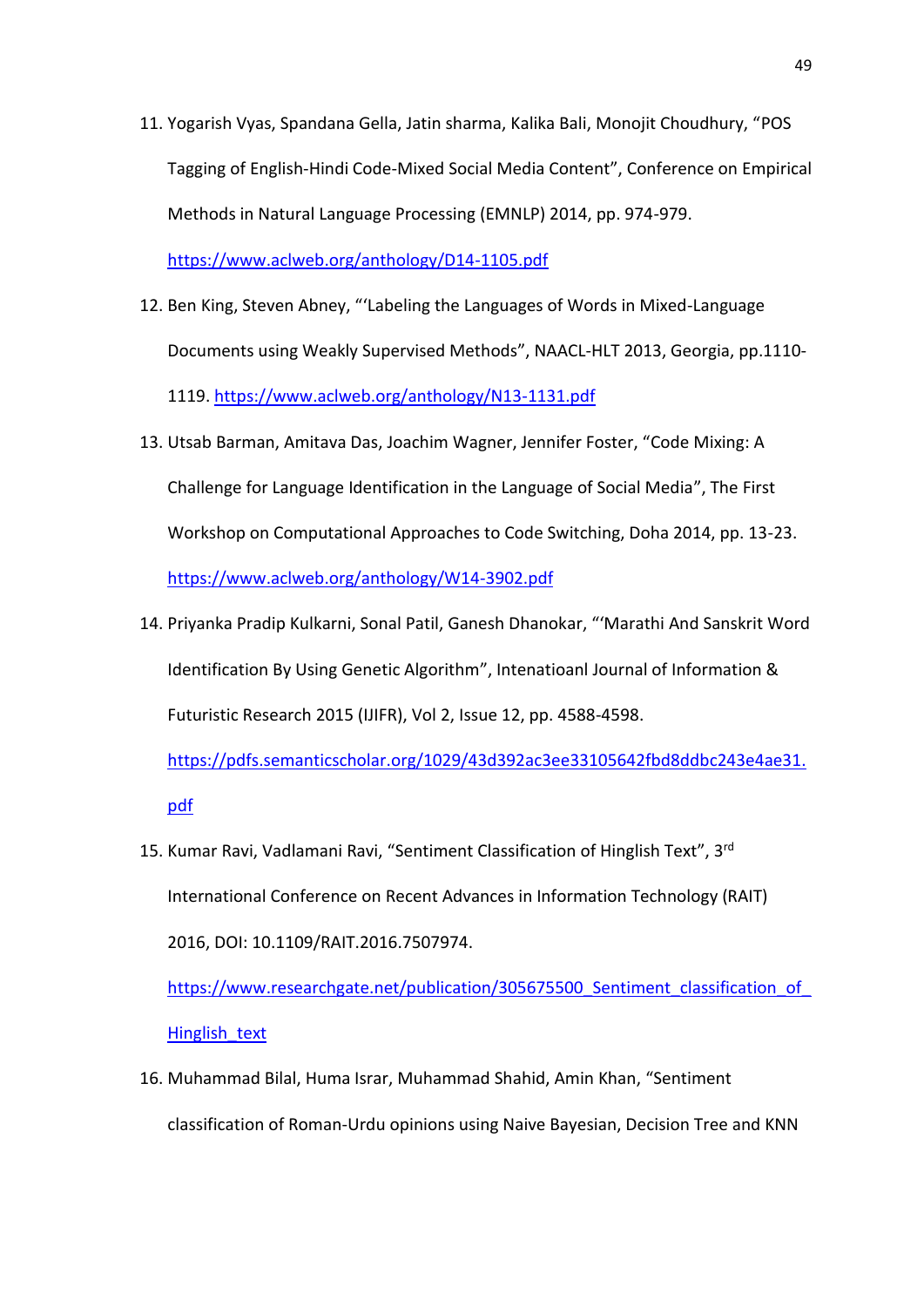- 11. Yogarish Vyas, Spandana Gella, Jatin sharma, Kalika Bali, Monojit Choudhury, "POS Tagging of English-Hindi Code-Mixed Social Media Content", Conference on Empirical Methods in Natural Language Processing (EMNLP) 2014, pp. 974-979. <https://www.aclweb.org/anthology/D14-1105.pdf>
- 12. Ben King, Steven Abney, "'Labeling the Languages of Words in Mixed-Language Documents using Weakly Supervised Methods", NAACL-HLT 2013, Georgia, pp.1110- 1119. <https://www.aclweb.org/anthology/N13-1131.pdf>
- 13. Utsab Barman, Amitava Das, Joachim Wagner, Jennifer Foster, "Code Mixing: A Challenge for Language Identification in the Language of Social Media", The First Workshop on Computational Approaches to Code Switching, Doha 2014, pp. 13-23. <https://www.aclweb.org/anthology/W14-3902.pdf>
- 14. Priyanka Pradip Kulkarni, Sonal Patil, Ganesh Dhanokar, "'Marathi And Sanskrit Word Identification By Using Genetic Algorithm", Intenatioanl Journal of Information & Futuristic Research 2015 (IJIFR), Vol 2, Issue 12, pp. 4588-4598.

[https://pdfs.semanticscholar.org/1029/43d392ac3ee33105642fbd8ddbc243e4ae31.](https://pdfs.semanticscholar.org/1029/43d392ac3ee33105642fbd8ddbc243e4ae31.pdf) [pdf](https://pdfs.semanticscholar.org/1029/43d392ac3ee33105642fbd8ddbc243e4ae31.pdf)

15. Kumar Ravi, Vadlamani Ravi, "Sentiment Classification of Hinglish Text", 3<sup>rd</sup> International Conference on Recent Advances in Information Technology (RAIT) 2016, DOI: 10.1109/RAIT.2016.7507974.

https://www.researchgate.net/publication/305675500 Sentiment classification of [Hinglish\\_text](https://www.researchgate.net/publication/305675500_Sentiment_classification_of_Hinglish_text)

16. Muhammad Bilal, Huma Israr, Muhammad Shahid, Amin Khan, "Sentiment classification of Roman-Urdu opinions using Naive Bayesian, Decision Tree and KNN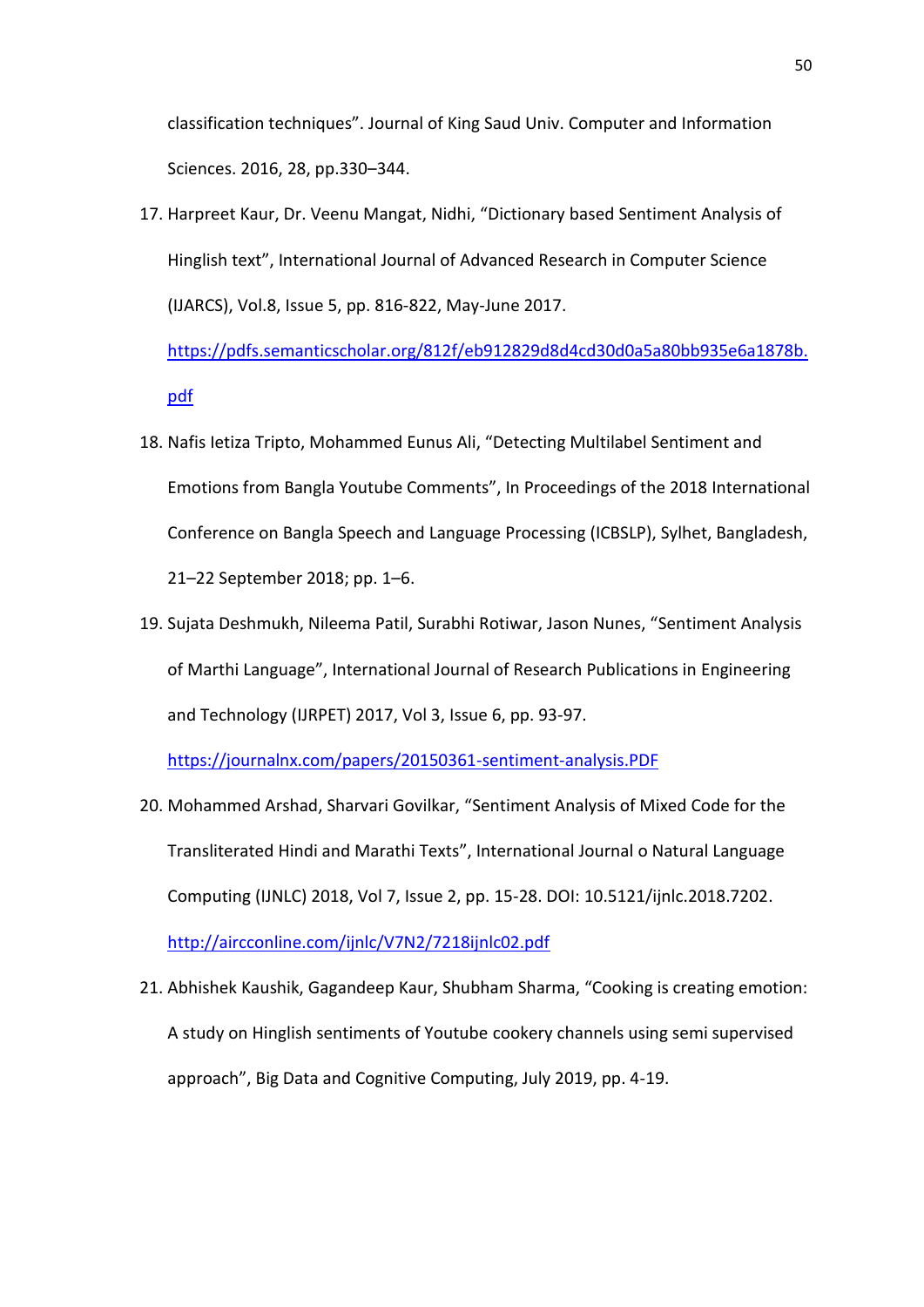classification techniques". Journal of King Saud Univ. Computer and Information Sciences. 2016, 28, pp.330–344.

17. Harpreet Kaur, Dr. Veenu Mangat, Nidhi, "Dictionary based Sentiment Analysis of Hinglish text", International Journal of Advanced Research in Computer Science (IJARCS), Vol.8, Issue 5, pp. 816-822, May-June 2017.

[https://pdfs.semanticscholar.org/812f/eb912829d8d4cd30d0a5a80bb935e6a1878b.](https://pdfs.semanticscholar.org/812f/eb912829d8d4cd30d0a5a80bb935e6a1878b.pdf) [pdf](https://pdfs.semanticscholar.org/812f/eb912829d8d4cd30d0a5a80bb935e6a1878b.pdf)

- 18. Nafis Ietiza Tripto, Mohammed Eunus Ali, "Detecting Multilabel Sentiment and Emotions from Bangla Youtube Comments", In Proceedings of the 2018 International Conference on Bangla Speech and Language Processing (ICBSLP), Sylhet, Bangladesh, 21–22 September 2018; pp. 1–6.
- 19. Sujata Deshmukh, Nileema Patil, Surabhi Rotiwar, Jason Nunes, "Sentiment Analysis of Marthi Language", International Journal of Research Publications in Engineering and Technology (IJRPET) 2017, Vol 3, Issue 6, pp. 93-97.

<https://journalnx.com/papers/20150361-sentiment-analysis.PDF>

- 20. Mohammed Arshad, Sharvari Govilkar, "Sentiment Analysis of Mixed Code for the Transliterated Hindi and Marathi Texts", International Journal o Natural Language Computing (IJNLC) 2018, Vol 7, Issue 2, pp. 15-28. DOI: 10.5121/ijnlc.2018.7202. <http://aircconline.com/ijnlc/V7N2/7218ijnlc02.pdf>
- 21. Abhishek Kaushik, Gagandeep Kaur, Shubham Sharma, "Cooking is creating emotion: A study on Hinglish sentiments of Youtube cookery channels using semi supervised approach", Big Data and Cognitive Computing, July 2019, pp. 4-19.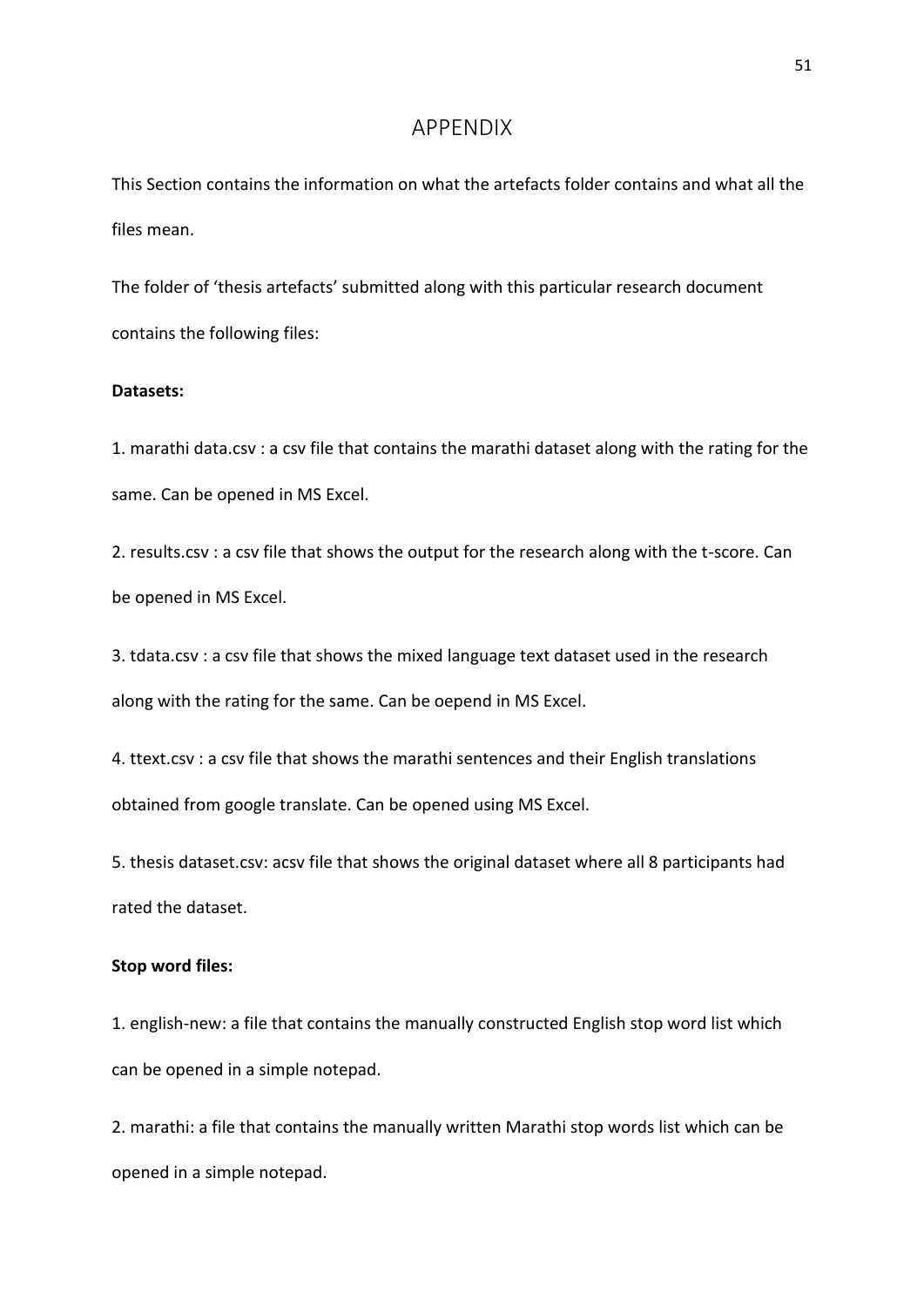### APPENDIX

<span id="page-50-0"></span>This Section contains the information on what the artefacts folder contains and what all the files mean.

The folder of 'thesis artefacts' submitted along with this particular research document contains the following files:

### **Datasets:**

1. marathi data.csv : a csv file that contains the marathi dataset along with the rating for the same. Can be opened in MS Excel.

2. results.csv : a csv file that shows the output for the research along with the t-score. Can be opened in MS Excel.

3. tdata.csv : a csv file that shows the mixed language text dataset used in the research along with the rating for the same. Can be oepend in MS Excel.

4. ttext.csv : a csv file that shows the marathi sentences and their English translations obtained from google translate. Can be opened using MS Excel.

5. thesis dataset.csv: acsv file that shows the original dataset where all 8 participants had rated the dataset.

### **Stop word files:**

1. english-new: a file that contains the manually constructed English stop word list which can be opened in a simple notepad.

2. marathi: a file that contains the manually written Marathi stop words list which can be opened in a simple notepad.